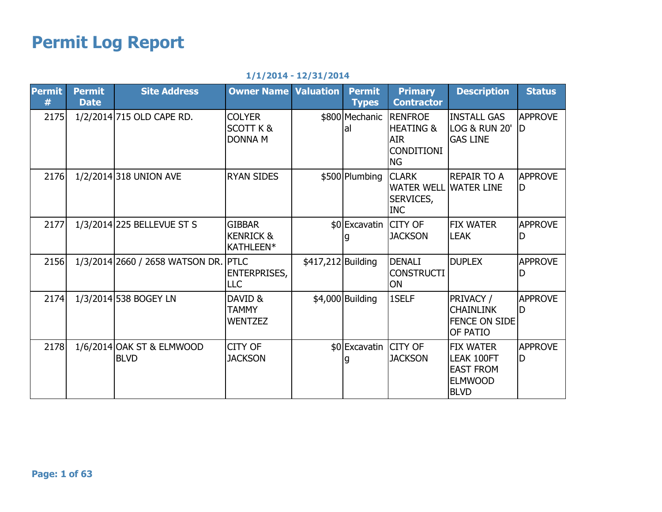## Permit Log Report

|  |  | $1/1/2014 - 12/31/2014$ |  |
|--|--|-------------------------|--|
|--|--|-------------------------|--|

| <b>Permit</b><br># | <b>Permit</b><br><b>Date</b> | <b>Site Address</b>                      | <b>Owner Name Valuation</b>                             |                    | <b>Permit</b><br><b>Types</b> | <b>Primary</b><br><b>Contractor</b>                                   | <b>Description</b>                                                                         | <b>Status</b>        |
|--------------------|------------------------------|------------------------------------------|---------------------------------------------------------|--------------------|-------------------------------|-----------------------------------------------------------------------|--------------------------------------------------------------------------------------------|----------------------|
| 2175               |                              | 1/2/2014 715 OLD CAPE RD.                | <b>COLYER</b><br><b>SCOTT K &amp;</b><br><b>DONNA M</b> |                    | \$800 Mechanic RENFROE<br>lal | <b>IHEATING &amp;</b><br><b>AIR</b><br><b>CONDITIONI</b><br><b>NG</b> | <b>INSTALL GAS</b><br><b>LOG &amp; RUN 20'</b><br><b>GAS LINE</b>                          | <b>APPROVE</b><br>ID |
| 2176               |                              | 1/2/2014 318 UNION AVE                   | <b>RYAN SIDES</b>                                       |                    | \$500 Plumbing                | <b>CLARK</b><br><b>WATER WELL</b><br>SERVICES,<br><b>INC</b>          | <b>REPAIR TO A</b><br><b>WATER LINE</b>                                                    | <b>APPROVE</b><br>D  |
| 2177               |                              | 1/3/2014 225 BELLEVUE ST S               | <b>GIBBAR</b><br><b>KENRICK &amp;</b><br>KATHLEEN*      |                    | \$0 Excavatin CITY OF         | <b>JACKSON</b>                                                        | <b>FIX WATER</b><br><b>LEAK</b>                                                            | <b>APPROVE</b><br>D  |
| 2156               |                              | 1/3/2014 2660 / 2658 WATSON DR.          | <b>PTLC</b><br><b>ENTERPRISES,</b><br>LLC               | \$417,212 Building |                               | <b>DENALI</b><br><b>CONSTRUCTI</b><br><b>ON</b>                       | <b>DUPLEX</b>                                                                              | <b>APPROVE</b>       |
| 2174               |                              | 1/3/2014 538 BOGEY LN                    | DAVID &<br><b>TAMMY</b><br><b>WENTZEZ</b>               |                    | \$4,000 Building              | 1SELF                                                                 | PRIVACY /<br><b>CHAINLINK</b><br><b>FENCE ON SIDE</b><br>OF PATIO                          | <b>APPROVE</b><br>D  |
| 2178               |                              | 1/6/2014 OAK ST & ELMWOOD<br><b>BLVD</b> | <b>CITY OF</b><br><b>JACKSON</b>                        |                    | \$0 Excavatin CITY OF         | <b>JACKSON</b>                                                        | <b>FIX WATER</b><br><b>LEAK 100FT</b><br><b>EAST FROM</b><br><b>ELMWOOD</b><br><b>BLVD</b> | <b>APPROVE</b><br>D  |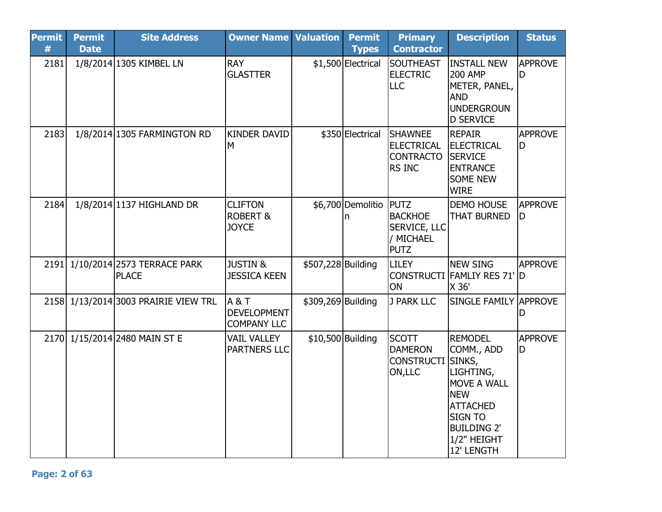| <b>Permit</b><br># | <b>Permit</b><br><b>Date</b> | <b>Site Address</b>                         | <b>Owner Name</b>                                     | <b>Valuation</b>   | <b>Permit</b><br><b>Types</b> | <b>Primary</b><br><b>Contractor</b>                               | <b>Description</b>                                                                                                                                                       | <b>Status</b>        |
|--------------------|------------------------------|---------------------------------------------|-------------------------------------------------------|--------------------|-------------------------------|-------------------------------------------------------------------|--------------------------------------------------------------------------------------------------------------------------------------------------------------------------|----------------------|
| 2181               |                              | 1/8/2014 1305 KIMBEL LN                     | <b>RAY</b><br><b>GLASTTER</b>                         |                    | \$1,500 Electrical            | <b>SOUTHEAST</b><br><b>ELECTRIC</b><br><b>LLC</b>                 | <b>INSTALL NEW</b><br><b>200 AMP</b><br>METER, PANEL,<br><b>AND</b><br>UNDERGROUN<br>D SERVICE                                                                           | <b>APPROVE</b><br>ID |
| 2183               |                              | 1/8/2014 1305 FARMINGTON RD                 | <b>KINDER DAVID</b><br>M                              |                    | \$350 Electrical              | <b>SHAWNEE</b><br><b>ELECTRICAL</b><br><b>CONTRACTO</b><br>RS INC | <b>REPAIR</b><br><b>ELECTRICAL</b><br><b>SERVICE</b><br><b>ENTRANCE</b><br><b>SOME NEW</b><br><b>WIRE</b>                                                                | <b>APPROVE</b><br>ID |
| 2184               |                              | 1/8/2014 1137 HIGHLAND DR                   | <b>CLIFTON</b><br><b>ROBERT &amp;</b><br><b>JOYCE</b> |                    | \$6,700 Demolitio PUTZ<br>n   | <b>BACKHOE</b><br><b>SERVICE, LLC</b><br>/ MICHAEL<br><b>PUTZ</b> | <b>DEMO HOUSE</b><br><b>THAT BURNED</b>                                                                                                                                  | <b>APPROVE</b><br>ID |
| 2191               |                              | 1/10/2014 2573 TERRACE PARK<br><b>PLACE</b> | <b>JUSTIN &amp;</b><br><b>JESSICA KEEN</b>            | \$507,228 Building |                               | <b>LILEY</b><br>ON                                                | <b>NEW SING</b><br>CONSTRUCTI FAMLIY RES 71' D<br>X 36'                                                                                                                  | <b>APPROVE</b>       |
|                    |                              | 2158 1/13/2014 3003 PRAIRIE VIEW TRL        | A & T<br><b>DEVELOPMENT</b><br><b>COMPANY LLC</b>     | \$309,269 Building |                               | J PARK LLC                                                        | <b>SINGLE FAMILY APPROVE</b>                                                                                                                                             | D                    |
|                    |                              | 2170 1/15/2014 2480 MAIN ST E               | <b>VAIL VALLEY</b><br>PARTNERS LLC                    | \$10,500 Building  |                               | <b>SCOTT</b><br><b>DAMERON</b><br><b>CONSTRUCTI</b><br>ON, LLC    | <b>REMODEL</b><br>COMM., ADD<br>SINKS,<br>LIGHTING,<br>MOVE A WALL<br><b>NEW</b><br><b>ATTACHED</b><br><b>SIGN TO</b><br><b>BUILDING 2'</b><br>1/2" HEIGHT<br>12' LENGTH | <b>APPROVE</b><br>D  |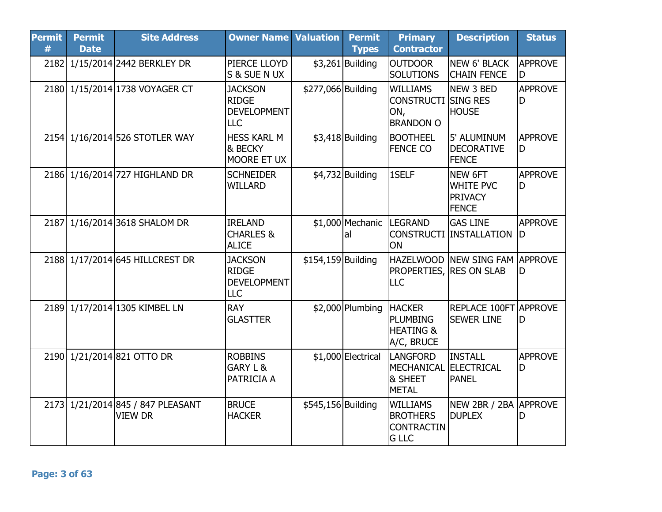| <b>Permit</b><br># | <b>Permit</b><br><b>Date</b> | <b>Site Address</b>                                 | <b>Owner Name Valuation</b>                                        |                    | <b>Permit</b><br><b>Types</b>  | <b>Primary</b><br><b>Contractor</b>                                      | <b>Description</b>                                            | <b>Status</b>        |
|--------------------|------------------------------|-----------------------------------------------------|--------------------------------------------------------------------|--------------------|--------------------------------|--------------------------------------------------------------------------|---------------------------------------------------------------|----------------------|
|                    |                              | 2182 1/15/2014 2442 BERKLEY DR                      | PIERCE LLOYD<br>S & SUE N UX                                       |                    | $$3,261$ Building              | <b>OUTDOOR</b><br><b>SOLUTIONS</b>                                       | <b>NEW 6' BLACK</b><br><b>CHAIN FENCE</b>                     | <b>APPROVE</b><br>ID |
|                    |                              | 2180 1/15/2014 1738 VOYAGER CT                      | <b>JACKSON</b><br><b>RIDGE</b><br><b>DEVELOPMENT</b><br><b>LLC</b> | \$277,066 Building |                                | <b>WILLIAMS</b><br><b>CONSTRUCTI SING RES</b><br>ON,<br><b>BRANDON O</b> | NEW 3 BED<br><b>HOUSE</b>                                     | <b>APPROVE</b><br>D  |
|                    |                              | 2154 1/16/2014 526 STOTLER WAY                      | <b>HESS KARL M</b><br>& BECKY<br>MOORE ET UX                       |                    | $$3,418$ Building              | <b>BOOTHEEL</b><br><b>FENCE CO</b>                                       | 5' ALUMINUM<br>DECORATIVE<br><b>FENCE</b>                     | APPROVE<br>ID.       |
|                    |                              | 2186 1/16/2014 727 HIGHLAND DR                      | <b>SCHNEIDER</b><br><b>WILLARD</b>                                 |                    | $$4,732$ Building              | 1SELF                                                                    | NEW 6FT<br><b>WHITE PVC</b><br><b>PRIVACY</b><br><b>FENCE</b> | <b>APPROVE</b><br>ID |
|                    |                              | 2187 1/16/2014 3618 SHALOM DR                       | <b>IRELAND</b><br><b>CHARLES &amp;</b><br><b>ALICE</b>             |                    | \$1,000 Mechanic LEGRAND<br>al | ON                                                                       | <b>GAS LINE</b><br>CONSTRUCTI INSTALLATION  D                 | <b>APPROVE</b>       |
|                    |                              | 2188 1/17/2014 645 HILLCREST DR                     | <b>JACKSON</b><br><b>RIDGE</b><br><b>DEVELOPMENT</b><br><b>LLC</b> | \$154,159 Building |                                | <b>PROPERTIES, RES ON SLAB</b><br>LLC                                    | <b>HAZELWOOD INEW SING FAM APPROVE</b>                        | ID.                  |
|                    |                              | 2189 1/17/2014 1305 KIMBEL LN                       | <b>RAY</b><br><b>GLASTTER</b>                                      |                    | $$2,000$ Plumbing              | <b>HACKER</b><br><b>PLUMBING</b><br><b>HEATING &amp;</b><br>A/C, BRUCE   | REPLACE 100FT APPROVE<br><b>SEWER LINE</b>                    | ID                   |
|                    |                              | 2190 1/21/2014 821 OTTO DR                          | <b>ROBBINS</b><br><b>GARY L &amp;</b><br>PATRICIA A                |                    | \$1,000 Electrical             | <b>LANGFORD</b><br>MECHANICAL ELECTRICAL<br>& SHEET<br><b>METAL</b>      | <b>INSTALL</b><br><b>PANEL</b>                                | <b>APPROVE</b><br>ID |
|                    |                              | 2173 1/21/2014 845 / 847 PLEASANT<br><b>VIEW DR</b> | <b>BRUCE</b><br><b>HACKER</b>                                      | \$545,156 Building |                                | <b>WILLIAMS</b><br><b>BROTHERS</b><br><b>CONTRACTIN</b><br><b>G LLC</b>  | NEW 2BR / 2BA APPROVE<br><b>DUPLEX</b>                        | lD                   |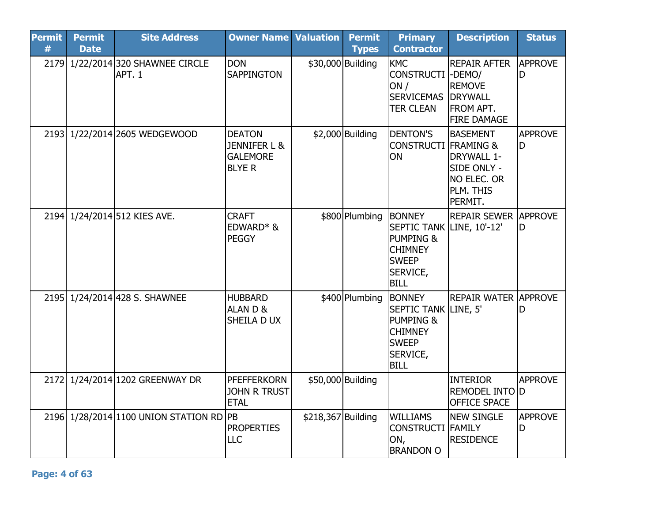| <b>Permit</b><br># | <b>Permit</b><br><b>Date</b> | <b>Site Address</b>                     | <b>Owner Name</b>                                                            | <b>Valuation</b>   | <b>Permit</b><br><b>Types</b> | <b>Primary</b><br><b>Contractor</b>                                                                                               | <b>Description</b>                                                                                                 | <b>Status</b>        |
|--------------------|------------------------------|-----------------------------------------|------------------------------------------------------------------------------|--------------------|-------------------------------|-----------------------------------------------------------------------------------------------------------------------------------|--------------------------------------------------------------------------------------------------------------------|----------------------|
| 2179               |                              | 1/22/2014 320 SHAWNEE CIRCLE<br>APT. 1  | <b>DON</b><br><b>SAPPINGTON</b>                                              | \$30,000 Building  |                               | <b>KMC</b><br><b>CONSTRUCTI</b><br>ON/<br><b>SERVICEMAS</b><br><b>TER CLEAN</b>                                                   | <b>REPAIR AFTER</b><br>-DEMO/<br><b>REMOVE</b><br><b>DRYWALL</b><br><b>FROM APT.</b><br><b>FIRE DAMAGE</b>         | <b>APPROVE</b><br>ID |
| 2193               |                              | 1/22/2014 2605 WEDGEWOOD                | <b>DEATON</b><br><b>JENNIFER L &amp;</b><br><b>GALEMORE</b><br><b>BLYE R</b> |                    | $$2,000$ Building             | <b>DENTON'S</b><br><b>CONSTRUCTI</b><br>ON                                                                                        | <b>BASEMENT</b><br><b>FRAMING &amp;</b><br><b>DRYWALL 1-</b><br>SIDE ONLY -<br>NO ELEC. OR<br>PLM. THIS<br>PERMIT. | <b>APPROVE</b><br>D  |
|                    |                              | 2194 1/24/2014 512 KIES AVE.            | <b>CRAFT</b><br>EDWARD* &<br>PEGGY                                           |                    | \$800 Plumbing                | <b>BONNEY</b><br>SEPTIC TANK LINE, 10'-12'<br><b>PUMPING &amp;</b><br><b>CHIMNEY</b><br><b>SWEEP</b><br>SERVICE,<br><b>BILL</b>   | <b>REPAIR SEWER APPROVE</b>                                                                                        | ID                   |
|                    |                              | 2195 1/24/2014 428 S. SHAWNEE           | <b>HUBBARD</b><br><b>ALAND&amp;</b><br>SHEILA D UX                           |                    | \$400 Plumbing                | <b>BONNEY</b><br><b>SEPTIC TANK LINE, 5'</b><br><b>PUMPING &amp;</b><br><b>CHIMNEY</b><br><b>SWEEP</b><br>SERVICE,<br><b>BILL</b> | REPAIR WATER APPROVE                                                                                               | D                    |
|                    |                              | 2172 1/24/2014 1202 GREENWAY DR         | <b>PFEFFERKORN</b><br><b>JOHN R TRUST</b><br><b>ETAL</b>                     | \$50,000 Building  |                               |                                                                                                                                   | <b>INTERIOR</b><br><b>REMODEL INTO D</b><br><b>OFFICE SPACE</b>                                                    | <b>APPROVE</b>       |
|                    |                              | 2196 1/28/2014 1100 UNION STATION RD PB | <b>PROPERTIES</b><br><b>LLC</b>                                              | \$218,367 Building |                               | <b>WILLIAMS</b><br><b>CONSTRUCTI FAMILY</b><br>ON,<br><b>BRANDON O</b>                                                            | NEW SINGLE<br><b>RESIDENCE</b>                                                                                     | <b>APPROVE</b><br>lD |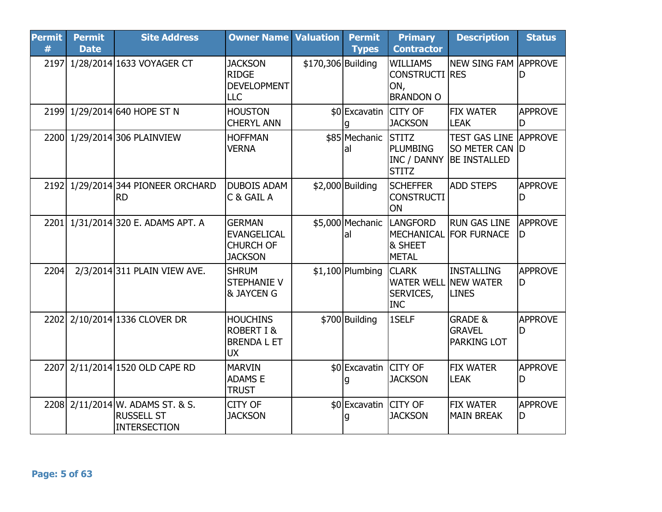| <b>Permit</b><br># | <b>Permit</b><br><b>Date</b> | <b>Site Address</b>                                                   | <b>Owner Name Valuation</b>                                                 |                    | <b>Permit</b><br><b>Types</b> | <b>Primary</b><br><b>Contractor</b>                                    | <b>Description</b>                                                    | <b>Status</b>        |
|--------------------|------------------------------|-----------------------------------------------------------------------|-----------------------------------------------------------------------------|--------------------|-------------------------------|------------------------------------------------------------------------|-----------------------------------------------------------------------|----------------------|
|                    |                              | 2197 1/28/2014 1633 VOYAGER CT                                        | <b>JACKSON</b><br><b>RIDGE</b><br><b>DEVELOPMENT</b><br><b>LLC</b>          | \$170,306 Building |                               | <b>WILLIAMS</b><br><b>CONSTRUCTI RES</b><br>ON,<br><b>BRANDON O</b>    | <b>NEW SING FAM APPROVE</b>                                           | D                    |
|                    |                              | 2199 1/29/2014 640 HOPE ST N                                          | <b>HOUSTON</b><br><b>CHERYL ANN</b>                                         |                    | \$0 Excavatin CITY OF         | <b>JACKSON</b>                                                         | <b>FIX WATER</b><br><b>LEAK</b>                                       | <b>APPROVE</b><br>D  |
|                    |                              | 2200 1/29/2014 306 PLAINVIEW                                          | <b>HOFFMAN</b><br><b>VERNA</b>                                              |                    | \$85 Mechanic<br>lal          | <b>STITZ</b><br><b>PLUMBING</b><br>INC / DANNY<br><b>STITZ</b>         | <b>TEST GAS LINE APPROVE</b><br>SO METER CAN D<br><b>BE INSTALLED</b> |                      |
|                    |                              | 2192 1/29/2014 344 PIONEER ORCHARD<br>IRD                             | <b>DUBOIS ADAM</b><br>C & GAIL A                                            |                    | $$2,000$ Building             | <b>SCHEFFER</b><br><b>CONSTRUCTI</b><br>ON                             | <b>ADD STEPS</b>                                                      | <b>APPROVE</b><br>D  |
|                    |                              | 2201 1/31/2014 320 E. ADAMS APT. A                                    | <b>GERMAN</b><br><b>EVANGELICAL</b><br><b>CHURCH OF</b><br><b>JACKSON</b>   |                    | \$5,000 Mechanic<br>lal       | <b>LANGFORD</b><br>& SHEET<br><b>METAL</b>                             | <b>RUN GAS LINE</b><br>MECHANICAL FOR FURNACE                         | <b>APPROVE</b><br>ID |
| 2204               |                              | 2/3/2014 311 PLAIN VIEW AVE.                                          | <b>SHRUM</b><br><b>STEPHANIE V</b><br><b>&amp; JAYCEN G</b>                 |                    | $$1,100$ Plumbing             | <b>CLARK</b><br><b>WATER WELL NEW WATER</b><br>SERVICES,<br><b>INC</b> | INSTALLING<br><b>LINES</b>                                            | APPROVE<br>ID        |
|                    |                              | 2202 2/10/2014 1336 CLOVER DR                                         | <b>HOUCHINS</b><br><b>ROBERT I &amp;</b><br><b>BRENDA L ET</b><br><b>UX</b> |                    | \$700 Building                | 1SELF                                                                  | <b>GRADE &amp;</b><br><b>GRAVEL</b><br>PARKING LOT                    | <b>APPROVE</b><br>ID |
| 2207               |                              | 2/11/2014 1520 OLD CAPE RD                                            | <b>MARVIN</b><br>ADAMS E<br><b>TRUST</b>                                    |                    | \$0 Excavatin CITY OF         | <b>JACKSON</b>                                                         | <b>FIX WATER</b><br><b>LEAK</b>                                       | <b>APPROVE</b><br>ID |
|                    |                              | 2208 2/11/2014 W. ADAMS ST. & S.<br><b>RUSSELL ST</b><br>INTERSECTION | CITY OF<br><b>JACKSON</b>                                                   |                    | \$0 Excavatin CITY OF         | <b>JACKSON</b>                                                         | <b>FIX WATER</b><br><b>MAIN BREAK</b>                                 | <b>APPROVE</b><br>D  |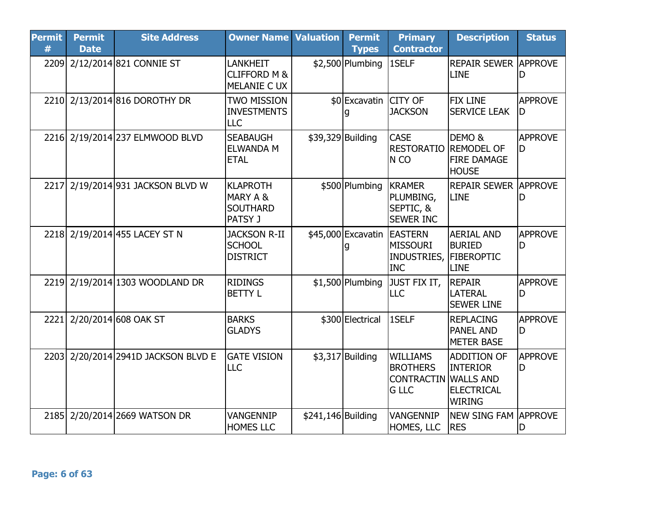| <b>Permit</b><br># | <b>Permit</b><br><b>Date</b> | <b>Site Address</b>                 | <b>Owner Name Valuation</b>                               |                    | <b>Permit</b><br><b>Types</b> | <b>Primary</b><br><b>Contractor</b>                                               | <b>Description</b>                                                          | <b>Status</b>        |
|--------------------|------------------------------|-------------------------------------|-----------------------------------------------------------|--------------------|-------------------------------|-----------------------------------------------------------------------------------|-----------------------------------------------------------------------------|----------------------|
|                    |                              | 2209 2/12/2014 821 CONNIE ST        | <b>LANKHEIT</b><br><b>CLIFFORD M &amp;</b><br>MELANIE CUX |                    | $$2,500$ Plumbing             | 1SELF                                                                             | <b>REPAIR SEWER APPROVE</b><br><b>LINE</b>                                  | D                    |
|                    |                              | 2210 2/13/2014 816 DOROTHY DR       | <b>TWO MISSION</b><br><b>INVESTMENTS</b><br><b>LLC</b>    |                    | \$0 Excavatin CITY OF         | <b>JACKSON</b>                                                                    | <b>FIX LINE</b><br><b>SERVICE LEAK</b>                                      | <b>APPROVE</b><br>ID |
|                    |                              | 2216 2/19/2014 237 ELMWOOD BLVD     | <b>SEABAUGH</b><br><b>ELWANDA M</b><br><b>ETAL</b>        |                    | \$39,329 Building             | <b>CASE</b><br><b>RESTORATIO REMODEL OF</b><br>N CO                               | DEMO <sub>&amp;</sub><br><b>FIRE DAMAGE</b><br><b>HOUSE</b>                 | APPROVE<br>D         |
| 2217               |                              | 2/19/2014 931 JACKSON BLVD W        | KLAPROTH<br>MARY A &<br><b>SOUTHARD</b><br><b>PATSY J</b> |                    | \$500 Plumbing                | <b>KRAMER</b><br>PLUMBING,<br>SEPTIC, &<br><b>SEWER INC</b>                       | <b>REPAIR SEWER APPROVE</b><br><b>LINE</b>                                  | D                    |
|                    |                              | 2218 2/19/2014 455 LACEY ST N       | <b>JACKSON R-II</b><br><b>SCHOOL</b><br><b>DISTRICT</b>   |                    | \$45,000 Excavatin EASTERN    | <b>MISSOURI</b><br>INDUSTRIES,<br><b>INC</b>                                      | <b>AERIAL AND</b><br><b>BURIED</b><br><b>FIBEROPTIC</b><br><b>LINE</b>      | <b>APPROVE</b><br>D  |
|                    |                              | 2219 2/19/2014 1303 WOODLAND DR     | <b>RIDINGS</b><br><b>BETTY L</b>                          |                    | $$1,500$ Plumbing             | JUST FIX IT,<br>LLC                                                               | <b>REPAIR</b><br><b>LATERAL</b><br><b>SEWER LINE</b>                        | <b>APPROVE</b><br>D  |
| 2221               |                              | 2/20/2014 608 OAK ST                | <b>BARKS</b><br><b>GLADYS</b>                             |                    | \$300 Electrical              | 1SELF                                                                             | <b>REPLACING</b><br>PANEL AND<br><b>METER BASE</b>                          | <b>APPROVE</b><br>D  |
|                    |                              | 2203 2/20/2014 2941D JACKSON BLVD E | <b>GATE VISION</b><br>LLC                                 |                    | $$3,317$ Building             | <b>WILLIAMS</b><br><b>BROTHERS</b><br><b>CONTRACTIN WALLS AND</b><br><b>G LLC</b> | <b>ADDITION OF</b><br><b>INTERIOR</b><br><b>ELECTRICAL</b><br><b>WIRING</b> | <b>APPROVE</b><br>ID |
|                    |                              | 2185 2/20/2014 2669 WATSON DR       | VANGENNIP<br><b>HOMES LLC</b>                             | \$241,146 Building |                               | <b>VANGENNIP</b><br>HOMES, LLC                                                    | <b>NEW SING FAM APPROVE</b><br><b>RES</b>                                   | D                    |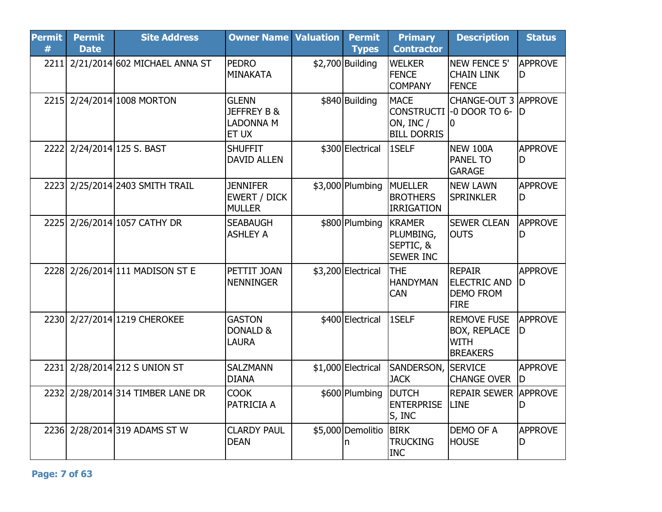| <b>Permit</b><br># | <b>Permit</b><br><b>Date</b> | <b>Site Address</b>                | <b>Owner Name Valuation</b>                                  | <b>Permit</b><br><b>Types</b> | <b>Primary</b><br><b>Contractor</b>                                 | <b>Description</b>                                                          | <b>Status</b>        |
|--------------------|------------------------------|------------------------------------|--------------------------------------------------------------|-------------------------------|---------------------------------------------------------------------|-----------------------------------------------------------------------------|----------------------|
|                    |                              | 2211 2/21/2014 602 MICHAEL ANNA ST | <b>PEDRO</b><br><b>MINAKATA</b>                              | $$2,700$ Building             | <b>WELKER</b><br><b>FENCE</b><br><b>COMPANY</b>                     | <b>NEW FENCE 5'</b><br><b>CHAIN LINK</b><br><b>FENCE</b>                    | <b>APPROVE</b><br>D  |
|                    |                              | 2215 2/24/2014 1008 MORTON         | <b>GLENN</b><br><b>JEFFREY B &amp;</b><br>LADONNA M<br>ET UX | \$840 Building                | <b>MACE</b><br><b>CONSTRUCTI</b><br>ON, INC /<br><b>BILL DORRIS</b> | <b>CHANGE-OUT 3 APPROVE</b><br>-0 DOOR TO 6- D<br>IO                        |                      |
|                    |                              | 2222 2/24/2014 125 S. BAST         | <b>SHUFFIT</b><br><b>DAVID ALLEN</b>                         | \$300 Electrical              | 1SELF                                                               | <b>NEW 100A</b><br><b>PANEL TO</b><br><b>GARAGE</b>                         | <b>APPROVE</b><br>D  |
|                    |                              | 2223 2/25/2014 2403 SMITH TRAIL    | <b>JENNIFER</b><br><b>EWERT / DICK</b><br><b>MULLER</b>      | $$3,000$ Plumbing             | MUELLER<br><b>BROTHERS</b><br><b>IRRIGATION</b>                     | <b>NEW LAWN</b><br><b>SPRINKLER</b>                                         | <b>APPROVE</b><br>D  |
|                    |                              | 2225 2/26/2014 1057 CATHY DR       | <b>SEABAUGH</b><br><b>ASHLEY A</b>                           | \$800 Plumbing                | <b>KRAMER</b><br>PLUMBING,<br>SEPTIC, &<br><b>SEWER INC</b>         | <b>SEWER CLEAN</b><br><b>OUTS</b>                                           | <b>APPROVE</b><br>D  |
|                    |                              | 2228 2/26/2014 111 MADISON ST E    | PETTIT JOAN<br><b>NENNINGER</b>                              | \$3,200 Electrical            | <b>THE</b><br><b>HANDYMAN</b><br>CAN                                | <b>REPAIR</b><br><b>ELECTRIC AND</b><br><b>DEMO FROM</b><br><b>FIRE</b>     | <b>APPROVE</b><br>D  |
|                    |                              | 2230 2/27/2014 1219 CHEROKEE       | <b>GASTON</b><br>DONALD &<br>LAURA                           | \$400 Electrical              | 1SELF                                                               | <b>REMOVE FUSE</b><br><b>BOX, REPLACE</b><br><b>WITH</b><br><b>BREAKERS</b> | <b>APPROVE</b><br>ID |
| 2231               |                              | 2/28/2014 212 S UNION ST           | <b>SALZMANN</b><br><b>DIANA</b>                              | \$1,000 Electrical            | SANDERSON,<br><b>JACK</b>                                           | <b>SERVICE</b><br><b>CHANGE OVER</b>                                        | <b>APPROVE</b><br>ID |
|                    |                              | 2232 2/28/2014 314 TIMBER LANE DR  | <b>COOK</b><br>PATRICIA A                                    | \$600 Plumbing                | <b>DUTCH</b><br><b>ENTERPRISE</b><br>S, INC                         | <b>REPAIR SEWER APPROVE</b><br><b>LINE</b>                                  | D                    |
|                    |                              | 2236 2/28/2014 319 ADAMS ST W      | <b>CLARDY PAUL</b><br><b>DEAN</b>                            | \$5,000 Demolitio<br>n        | <b>BIRK</b><br><b>TRUCKING</b><br><b>INC</b>                        | DEMO OF A<br><b>HOUSE</b>                                                   | <b>APPROVE</b><br>D  |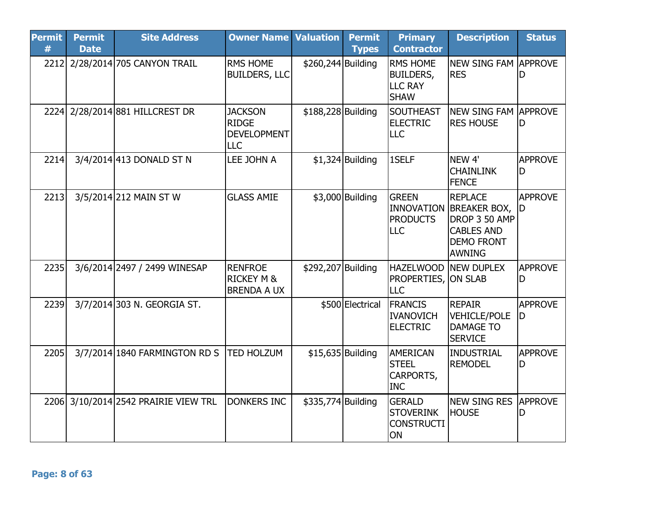| <b>Permit</b><br># | <b>Permit</b><br><b>Date</b> | <b>Site Address</b>                  | <b>Owner Name Valuation</b>                                        |                    | <b>Permit</b><br><b>Types</b> | <b>Primary</b><br><b>Contractor</b>                                  | <b>Description</b>                                                                                             | <b>Status</b>         |
|--------------------|------------------------------|--------------------------------------|--------------------------------------------------------------------|--------------------|-------------------------------|----------------------------------------------------------------------|----------------------------------------------------------------------------------------------------------------|-----------------------|
| 2212               |                              | 2/28/2014 705 CANYON TRAIL           | <b>RMS HOME</b><br><b>BUILDERS, LLC</b>                            | \$260,244 Building |                               | <b>RMS HOME</b><br><b>BUILDERS,</b><br><b>LLC RAY</b><br><b>SHAW</b> | <b>NEW SING FAM APPROVE</b><br><b>RES</b>                                                                      | D                     |
|                    |                              | 2224 2/28/2014 881 HILLCREST DR      | <b>JACKSON</b><br><b>RIDGE</b><br><b>DEVELOPMENT</b><br><b>LLC</b> | \$188,228 Building |                               | SOUTHEAST<br><b>ELECTRIC</b><br><b>LLC</b>                           | <b>NEW SING FAM APPROVE</b><br><b>RES HOUSE</b>                                                                | ID                    |
| 2214               |                              | 3/4/2014 413 DONALD ST N             | LEE JOHN A                                                         |                    | $$1,324$ Building             | 1SELF                                                                | NEW <sub>4'</sub><br><b>CHAINLINK</b><br><b>FENCE</b>                                                          | <b>APPROVE</b><br>D   |
| 2213               |                              | 3/5/2014 212 MAIN ST W               | <b>GLASS AMIE</b>                                                  |                    | \$3,000 Building              | <b>GREEN</b><br><b>PRODUCTS</b><br><b>LLC</b>                        | <b>REPLACE</b><br>INNOVATION BREAKER BOX,<br>DROP 3 50 AMP<br><b>CABLES AND</b><br><b>DEMO FRONT</b><br>AWNING | <b>APPROVE</b><br>ID  |
| 2235               |                              | 3/6/2014 2497 / 2499 WINESAP         | <b>RENFROE</b><br><b>RICKEY M &amp;</b><br><b>BRENDA A UX</b>      | \$292,207 Building |                               | <b>HAZELWOOD</b><br><b>PROPERTIES, ON SLAB</b><br><b>LLC</b>         | <b>INEW DUPLEX</b>                                                                                             | <b>APPROVE</b><br>D   |
| 2239               |                              | 3/7/2014 303 N. GEORGIA ST.          |                                                                    |                    | \$500 Electrical              | <b>FRANCIS</b><br><b>IVANOVICH</b><br><b>ELECTRIC</b>                | <b>REPAIR</b><br>VEHICLE/POLE<br><b>DAMAGE TO</b><br><b>SERVICE</b>                                            | <b>APPROVE</b><br>ID. |
| 2205               |                              | 3/7/2014 1840 FARMINGTON RD S        | <b>TED HOLZUM</b>                                                  | $$15,635$ Building |                               | <b>AMERICAN</b><br><b>STEEL</b><br>CARPORTS,<br><b>INC</b>           | INDUSTRIAL<br><b>REMODEL</b>                                                                                   | <b>APPROVE</b><br>D   |
|                    |                              | 2206 3/10/2014 2542 PRAIRIE VIEW TRL | <b>DONKERS INC</b>                                                 | \$335,774 Building |                               | <b>GERALD</b><br><b>STOVERINK</b><br><b>CONSTRUCTI</b><br>ON         | NEW SING RES<br><b>HOUSE</b>                                                                                   | <b>APPROVE</b><br>ID  |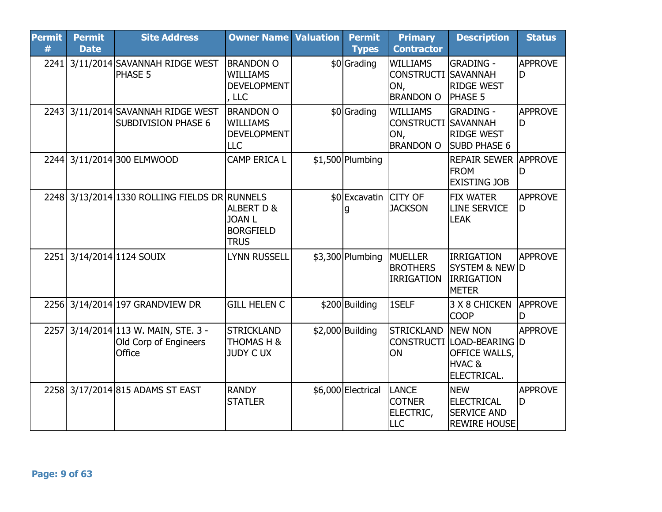| <b>Permit</b><br># | <b>Permit</b><br><b>Date</b> | <b>Site Address</b>                                                  | <b>Owner Name Valuation</b>                                               | <b>Permit</b><br><b>Types</b> | <b>Primary</b><br><b>Contractor</b>                                      | <b>Description</b>                                                                  | <b>Status</b>        |
|--------------------|------------------------------|----------------------------------------------------------------------|---------------------------------------------------------------------------|-------------------------------|--------------------------------------------------------------------------|-------------------------------------------------------------------------------------|----------------------|
| 2241               |                              | 3/11/2014 SAVANNAH RIDGE WEST<br>PHASE 5                             | <b>BRANDON O</b><br><b>WILLIAMS</b><br><b>DEVELOPMENT</b><br>, LLC        | \$0 Grading                   | <b>WILLIAMS</b><br><b>CONSTRUCTI SAVANNAH</b><br>ON,<br><b>BRANDON O</b> | <b>GRADING -</b><br><b>RIDGE WEST</b><br><b>PHASE 5</b>                             | <b>APPROVE</b><br>ID |
|                    |                              | 2243 3/11/2014 SAVANNAH RIDGE WEST<br><b>SUBDIVISION PHASE 6</b>     | <b>BRANDON O</b><br><b>WILLIAMS</b><br><b>DEVELOPMENT</b><br>LLC          | \$0 Grading                   | <b>WILLIAMS</b><br><b>CONSTRUCTI SAVANNAH</b><br>ON,<br><b>BRANDON O</b> | <b>GRADING -</b><br><b>RIDGE WEST</b><br><b>SUBD PHASE 6</b>                        | <b>APPROVE</b><br>ID |
|                    |                              | 2244 3/11/2014 300 ELMWOOD                                           | CAMP ERICA L                                                              | $$1,500$ Plumbing             |                                                                          | <b>REPAIR SEWER APPROVE</b><br><b>FROM</b><br><b>EXISTING JOB</b>                   | ID                   |
|                    |                              | 2248 3/13/2014 1330 ROLLING FIELDS DR RUNNELS                        | <b>ALBERT D &amp;</b><br><b>JOAN L</b><br><b>BORGFIELD</b><br><b>TRUS</b> | \$0 Excavatin CITY OF         | <b>JACKSON</b>                                                           | <b>FIX WATER</b><br><b>LINE SERVICE</b><br><b>LEAK</b>                              | <b>APPROVE</b><br>ID |
| 2251               |                              | 3/14/2014 1124 SOUIX                                                 | <b>LYNN RUSSELL</b>                                                       | $$3,300$ Plumbing             | <b>MUELLER</b><br><b>BROTHERS</b><br><b>IRRIGATION</b>                   | <b>IRRIGATION</b><br><b>SYSTEM &amp; NEW D</b><br><b>IRRIGATION</b><br><b>METER</b> | <b>APPROVE</b>       |
|                    |                              | 2256 3/14/2014 197 GRANDVIEW DR                                      | <b>GILL HELEN C</b>                                                       | \$200 Building                | 1SELF                                                                    | 3 X 8 CHICKEN<br><b>COOP</b>                                                        | <b>APPROVE</b><br>ID |
| 2257               |                              | $3/14/2014$ 113 W. MAIN, STE. 3 -<br>Old Corp of Engineers<br>Office | <b>STRICKLAND</b><br>THOMAS H &<br><b>JUDY CUX</b>                        | $$2,000$ Building             | <b>STRICKLAND</b><br><b>CONSTRUCTI</b><br>ON                             | <b>NEW NON</b><br>LOAD-BEARING D<br>OFFICE WALLS,<br>HVAC &<br>ELECTRICAL.          | <b>APPROVE</b>       |
| 2258               |                              | 3/17/2014 815 ADAMS ST EAST                                          | <b>RANDY</b><br><b>STATLER</b>                                            | \$6,000 Electrical            | <b>LANCE</b><br><b>COTNER</b><br>ELECTRIC,<br><b>LLC</b>                 | <b>NEW</b><br><b>ELECTRICAL</b><br><b>SERVICE AND</b><br><b>REWIRE HOUSE</b>        | <b>APPROVE</b><br>ID |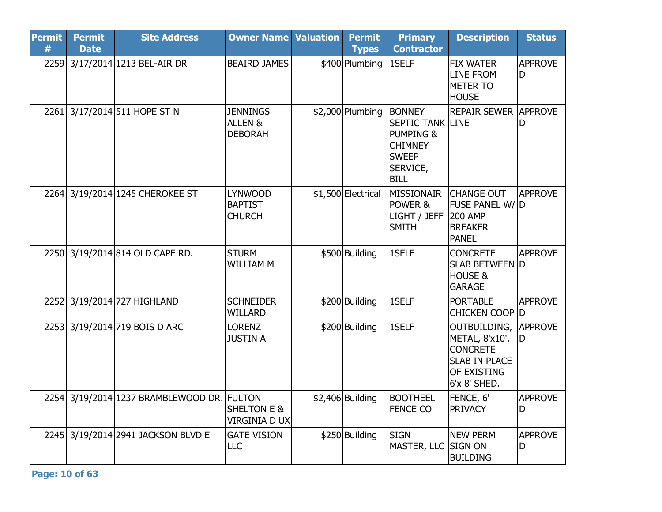| <b>Permit</b><br># | <b>Permit</b><br><b>Date</b> | <b>Site Address</b>                        | <b>Owner Name Valuation</b>                       | <b>Permit</b><br><b>Types</b> | <b>Primary</b><br><b>Contractor</b>                                                                                | <b>Description</b>                                                                                       | <b>Status</b>        |
|--------------------|------------------------------|--------------------------------------------|---------------------------------------------------|-------------------------------|--------------------------------------------------------------------------------------------------------------------|----------------------------------------------------------------------------------------------------------|----------------------|
|                    |                              | 2259 3/17/2014 1213 BEL-AIR DR             | <b>BEAIRD JAMES</b>                               | \$400 Plumbing                | 1SELF                                                                                                              | <b>FIX WATER</b><br><b>LINE FROM</b><br><b>METER TO</b><br><b>HOUSE</b>                                  | <b>APPROVE</b><br>D  |
| 2261               |                              | 3/17/2014 511 HOPE ST N                    | <b>JENNINGS</b><br>ALLEN &<br><b>DEBORAH</b>      | \$2,000 Plumbing              | <b>BONNEY</b><br><b>SEPTIC TANK LINE</b><br>PUMPING &<br><b>CHIMNEY</b><br><b>SWEEP</b><br>SERVICE,<br><b>BILL</b> | <b>REPAIR SEWER</b>                                                                                      | <b>APPROVE</b><br>D  |
|                    |                              | 2264 3/19/2014 1245 CHEROKEE ST            | <b>LYNWOOD</b><br><b>BAPTIST</b><br><b>CHURCH</b> | \$1,500 Electrical            | <b>MISSIONAIR</b><br>POWER &<br>LIGHT / JEFF<br><b>SMITH</b>                                                       | <b>CHANGE OUT</b><br>FUSE PANEL W/ D<br><b>200 AMP</b><br><b>BREAKER</b><br><b>PANEL</b>                 | <b>APPROVE</b>       |
|                    |                              | 2250 3/19/2014 814 OLD CAPE RD.            | <b>STURM</b><br><b>WILLIAM M</b>                  | \$500 Building                | 1SELF                                                                                                              | <b>CONCRETE</b><br><b>SLAB BETWEEN D</b><br><b>HOUSE &amp;</b><br><b>GARAGE</b>                          | <b>APPROVE</b>       |
|                    |                              | 2252 3/19/2014 727 HIGHLAND                | <b>SCHNEIDER</b><br><b>WILLARD</b>                | \$200 Building                | 1SELF                                                                                                              | <b>PORTABLE</b><br>CHICKEN COOP D                                                                        | <b>APPROVE</b>       |
|                    |                              | 2253 3/19/2014 719 BOIS D ARC              | <b>LORENZ</b><br><b>JUSTIN A</b>                  | \$200 Building                | 1SELF                                                                                                              | OUTBUILDING,<br>METAL, 8'x10',<br><b>CONCRETE</b><br><b>SLAB IN PLACE</b><br>OF EXISTING<br>6'x 8' SHED. | <b>APPROVE</b><br>ID |
|                    |                              | 2254 3/19/2014 1237 BRAMBLEWOOD DR. FULTON | <b>SHELTON E &amp;</b><br><b>VIRGINIA D UX</b>    | \$2,406 Building              | <b>BOOTHEEL</b><br><b>FENCE CO</b>                                                                                 | FENCE, 6'<br><b>PRIVACY</b>                                                                              | <b>APPROVE</b><br>D  |
|                    |                              | 2245 3/19/2014 2941 JACKSON BLVD E         | <b>GATE VISION</b><br>LLC                         | \$250 Building                | <b>SIGN</b><br>MASTER, LLC SIGN ON                                                                                 | <b>NEW PERM</b><br><b>BUILDING</b>                                                                       | <b>APPROVE</b><br>D  |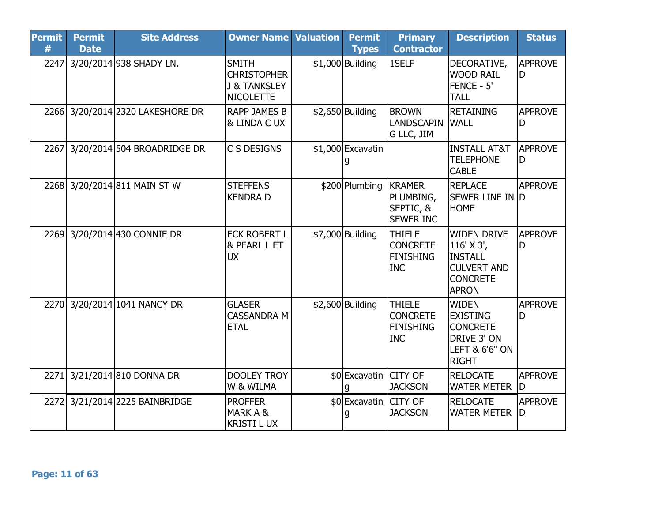| <b>Permit</b><br># | <b>Permit</b><br><b>Date</b> | <b>Site Address</b>              | <b>Owner Name Valuation</b>                                                       | <b>Permit</b><br><b>Types</b> | <b>Primary</b><br><b>Contractor</b>                                | <b>Description</b>                                                                                             | <b>Status</b>        |
|--------------------|------------------------------|----------------------------------|-----------------------------------------------------------------------------------|-------------------------------|--------------------------------------------------------------------|----------------------------------------------------------------------------------------------------------------|----------------------|
| 2247               |                              | 3/20/2014 938 SHADY LN.          | <b>SMITH</b><br><b>CHRISTOPHER</b><br><b>J &amp; TANKSLEY</b><br><b>NICOLETTE</b> | $$1,000$ Building             | 1SELF                                                              | DECORATIVE,<br><b>WOOD RAIL</b><br>FENCE - 5'<br><b>TALL</b>                                                   | <b>APPROVE</b><br>ID |
|                    |                              | 2266 3/20/2014 2320 LAKESHORE DR | <b>RAPP JAMES B</b><br><b>&amp; LINDA C UX</b>                                    | $$2,650$ Building             | <b>BROWN</b><br><b>LANDSCAPIN</b><br>G LLC, JIM                    | <b>RETAINING</b><br><b>WALL</b>                                                                                | <b>APPROVE</b><br>D  |
| 2267               |                              | 3/20/2014 504 BROADRIDGE DR      | C S DESIGNS                                                                       | \$1,000 Excavatin             |                                                                    | <b>INSTALL AT&amp;T</b><br><b>TELEPHONE</b><br><b>CABLE</b>                                                    | <b>APPROVE</b><br>D  |
|                    |                              | 2268 3/20/2014 811 MAIN ST W     | <b>STEFFENS</b><br><b>KENDRA D</b>                                                | \$200 Plumbing                | <b>KRAMER</b><br>PLUMBING,<br>SEPTIC, &<br><b>SEWER INC</b>        | <b>REPLACE</b><br><b>SEWER LINE IN D</b><br><b>HOME</b>                                                        | <b>APPROVE</b>       |
|                    |                              | 2269 3/20/2014 430 CONNIE DR     | <b>ECK ROBERT L</b><br>& PEARL L ET<br><b>UX</b>                                  | \$7,000 Building              | <b>THIELE</b><br><b>CONCRETE</b><br><b>FINISHING</b><br><b>INC</b> | <b>WIDEN DRIVE</b><br>116' X 3',<br><b>INSTALL</b><br><b>CULVERT AND</b><br><b>CONCRETE</b><br><b>APRON</b>    | <b>APPROVE</b><br>D  |
| <b>2270</b>        |                              | 3/20/2014 1041 NANCY DR          | <b>GLASER</b><br><b>CASSANDRA M</b><br><b>ETAL</b>                                | $$2,600$ Building             | <b>THIELE</b><br><b>CONCRETE</b><br><b>FINISHING</b><br><b>INC</b> | <b>WIDEN</b><br><b>EXISTING</b><br><b>CONCRETE</b><br>DRIVE 3' ON<br><b>LEFT &amp; 6'6" ON</b><br><b>RIGHT</b> | <b>APPROVE</b><br>D  |
| 2271               |                              | 3/21/2014 810 DONNA DR           | <b>DOOLEY TROY</b><br>W & WILMA                                                   | \$0 Excavatin CITY OF         | <b>JACKSON</b>                                                     | <b>RELOCATE</b><br><b>WATER METER</b>                                                                          | <b>APPROVE</b><br>ID |
| 2272               |                              | 3/21/2014 2225 BAINBRIDGE        | <b>PROFFER</b><br>MARK A &<br><b>KRISTI LUX</b>                                   | \$0 Excavatin CITY OF<br>g    | <b>JACKSON</b>                                                     | <b>RELOCATE</b><br><b>WATER METER</b>                                                                          | <b>APPROVE</b><br>ID |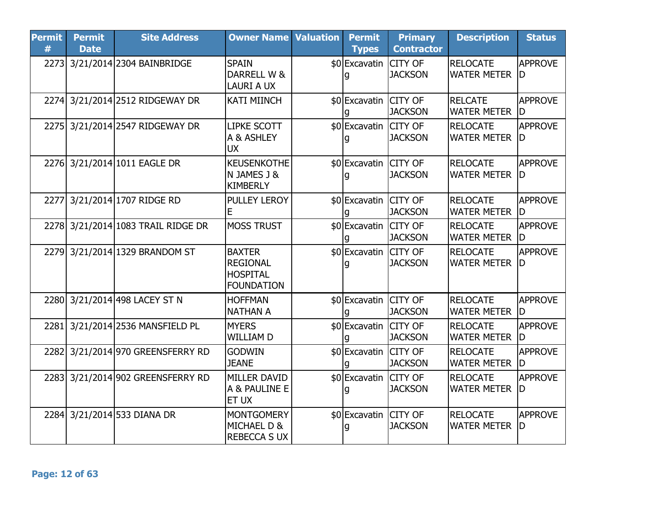| <b>Permit</b><br># | <b>Permit</b><br><b>Date</b> | <b>Site Address</b>                | <b>Owner Name Valuation</b>                                              | <b>Permit</b><br><b>Types</b> | <b>Primary</b><br><b>Contractor</b> | <b>Description</b>                    | <b>Status</b>         |
|--------------------|------------------------------|------------------------------------|--------------------------------------------------------------------------|-------------------------------|-------------------------------------|---------------------------------------|-----------------------|
|                    |                              | 2273 3/21/2014 2304 BAINBRIDGE     | <b>SPAIN</b><br>DARRELL W &<br><b>LAURI A UX</b>                         | \$0 Excavatin                 | <b>CITY OF</b><br><b>JACKSON</b>    | <b>RELOCATE</b><br><b>WATER METER</b> | <b>APPROVE</b><br>ID  |
|                    |                              | 2274 3/21/2014 2512 RIDGEWAY DR    | <b>KATI MIINCH</b>                                                       | \$0 Excavatin CITY OF         | <b>JACKSON</b>                      | <b>RELCATE</b><br><b>WATER METER</b>  | <b>APPROVE</b><br>ID  |
|                    |                              | 2275 3/21/2014 2547 RIDGEWAY DR    | <b>LIPKE SCOTT</b><br>A & ASHLEY<br><b>UX</b>                            | \$0 Excavatin CITY OF         | <b>JACKSON</b>                      | <b>RELOCATE</b><br><b>WATER METER</b> | <b>APPROVE</b><br>ID. |
|                    |                              | 2276 3/21/2014 1011 EAGLE DR       | <b>KEUSENKOTHE</b><br>N JAMES J &<br>KIMBERLY                            | \$0 Excavatin CITY OF         | <b>JACKSON</b>                      | <b>RELOCATE</b><br><b>WATER METER</b> | <b>APPROVE</b><br>ID  |
| 2277               |                              | 3/21/2014 1707 RIDGE RD            | <b>PULLEY LEROY</b><br>Ε                                                 | \$0 Excavatin CITY OF         | <b>JACKSON</b>                      | <b>RELOCATE</b><br><b>WATER METER</b> | APPROVE<br>ID         |
|                    |                              | 2278 3/21/2014 1083 TRAIL RIDGE DR | <b>MOSS TRUST</b>                                                        | \$0 Excavatin CITY OF         | <b>JACKSON</b>                      | <b>RELOCATE</b><br><b>WATER METER</b> | <b>APPROVE</b><br>ID. |
|                    |                              | 2279 3/21/2014 1329 BRANDOM ST     | <b>BAXTER</b><br><b>REGIONAL</b><br><b>HOSPITAL</b><br><b>FOUNDATION</b> | \$0 Excavatin CITY OF         | <b>JACKSON</b>                      | <b>RELOCATE</b><br><b>WATER METER</b> | <b>APPROVE</b><br>ID  |
|                    |                              | 2280 3/21/2014 498 LACEY ST N      | <b>HOFFMAN</b><br>NATHAN A                                               | \$0 Excavatin CITY OF         | <b>JACKSON</b>                      | <b>RELOCATE</b><br><b>WATER METER</b> | <b>APPROVE</b><br>ID  |
|                    |                              | 2281 3/21/2014 2536 MANSFIELD PL   | <b>MYERS</b><br><b>WILLIAM D</b>                                         | \$0 Excavatin CITY OF         | <b>JACKSON</b>                      | <b>RELOCATE</b><br><b>WATER METER</b> | <b>APPROVE</b><br>ID. |
|                    |                              | 2282 3/21/2014 970 GREENSFERRY RD  | <b>GODWIN</b><br><b>JEANE</b>                                            | \$0 Excavatin<br>a            | <b>CITY OF</b><br><b>JACKSON</b>    | <b>RELOCATE</b><br><b>WATER METER</b> | <b>APPROVE</b><br>ID  |
|                    |                              | 2283 3/21/2014 902 GREENSFERRY RD  | MILLER DAVID<br>A & PAULINE E<br><b>ET UX</b>                            | \$0 Excavatin CITY OF         | <b>JACKSON</b>                      | <b>RELOCATE</b><br><b>WATER METER</b> | <b>APPROVE</b><br>ID. |
|                    |                              | 2284 3/21/2014 533 DIANA DR        | MONTGOMERY<br><b>MICHAEL D &amp;</b><br><b>REBECCA S UX</b>              | \$0 Excavatin CITY OF         | <b>JACKSON</b>                      | <b>RELOCATE</b><br><b>WATER METER</b> | <b>APPROVE</b><br>ID  |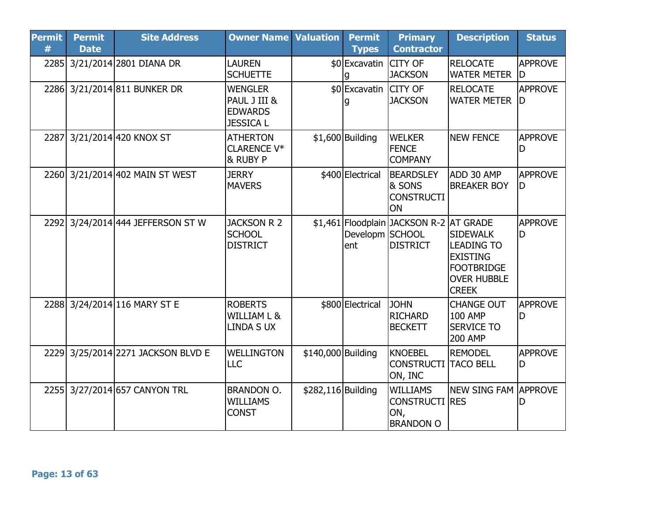| <b>Permit</b><br># | <b>Permit</b><br><b>Date</b> | <b>Site Address</b>                | <b>Owner Name Valuation</b>                                          |                    | <b>Permit</b><br><b>Types</b> | <b>Primary</b><br><b>Contractor</b>                                 | <b>Description</b>                                                                                                 | <b>Status</b>        |
|--------------------|------------------------------|------------------------------------|----------------------------------------------------------------------|--------------------|-------------------------------|---------------------------------------------------------------------|--------------------------------------------------------------------------------------------------------------------|----------------------|
|                    |                              | 2285 3/21/2014 2801 DIANA DR       | <b>LAUREN</b><br><b>SCHUETTE</b>                                     |                    | \$0 Excavatin                 | <b>CITY OF</b><br><b>JACKSON</b>                                    | <b>RELOCATE</b><br><b>WATER METER</b>                                                                              | <b>APPROVE</b><br>ID |
|                    |                              | 2286 3/21/2014 811 BUNKER DR       | <b>WENGLER</b><br>PAUL J III &<br><b>EDWARDS</b><br><b>JESSICA L</b> |                    | \$0 Excavatin CITY OF         | <b>JACKSON</b>                                                      | <b>RELOCATE</b><br><b>WATER METER</b>                                                                              | <b>APPROVE</b><br>ID |
| 2287               |                              | 3/21/2014 420 KNOX ST              | <b>ATHERTON</b><br><b>CLARENCE V*</b><br>8 RUBY P                    |                    | $$1,600$ Building             | <b>WELKER</b><br><b>FENCE</b><br><b>COMPANY</b>                     | <b>NEW FENCE</b>                                                                                                   | <b>APPROVE</b><br>D  |
|                    |                              | 2260 3/21/2014 402 MAIN ST WEST    | <b>JERRY</b><br><b>MAVERS</b>                                        |                    | \$400 Electrical              | <b>BEARDSLEY</b><br>& SONS<br><b>CONSTRUCTI</b><br>ON               | ADD 30 AMP<br><b>BREAKER BOY</b>                                                                                   | <b>APPROVE</b><br>D  |
| 2292               |                              | 3/24/2014 444 JEFFERSON ST W       | <b>JACKSON R 2</b><br><b>SCHOOL</b><br><b>DISTRICT</b>               |                    | Developm SCHOOL<br>ent        | \$1,461 Floodplain JACKSON R-2 AT GRADE<br><b>DISTRICT</b>          | <b>SIDEWALK</b><br><b>LEADING TO</b><br><b>EXISTING</b><br><b>FOOTBRIDGE</b><br><b>OVER HUBBLE</b><br><b>CREEK</b> | <b>APPROVE</b><br>ID |
|                    |                              | 2288 3/24/2014 116 MARY ST E       | <b>ROBERTS</b><br><b>WILLIAM L &amp;</b><br><b>LINDA S UX</b>        |                    | \$800 Electrical              | <b>JOHN</b><br><b>RICHARD</b><br><b>BECKETT</b>                     | <b>CHANGE OUT</b><br><b>100 AMP</b><br><b>SERVICE TO</b><br><b>200 AMP</b>                                         | <b>APPROVE</b><br>ID |
|                    |                              | 2229 3/25/2014 2271 JACKSON BLVD E | <b>WELLINGTON</b><br><b>LLC</b>                                      | \$140,000 Building |                               | <b>KNOEBEL</b><br><b>CONSTRUCTI</b><br>ON, INC                      | <b>REMODEL</b><br><b>TACO BELL</b>                                                                                 | <b>APPROVE</b><br>ID |
|                    |                              | 2255 3/27/2014 657 CANYON TRL      | <b>BRANDON O.</b><br><b>WILLIAMS</b><br><b>CONST</b>                 | \$282,116 Building |                               | <b>WILLIAMS</b><br><b>CONSTRUCTI RES</b><br>ON,<br><b>BRANDON O</b> | <b>NEW SING FAM APPROVE</b>                                                                                        | D                    |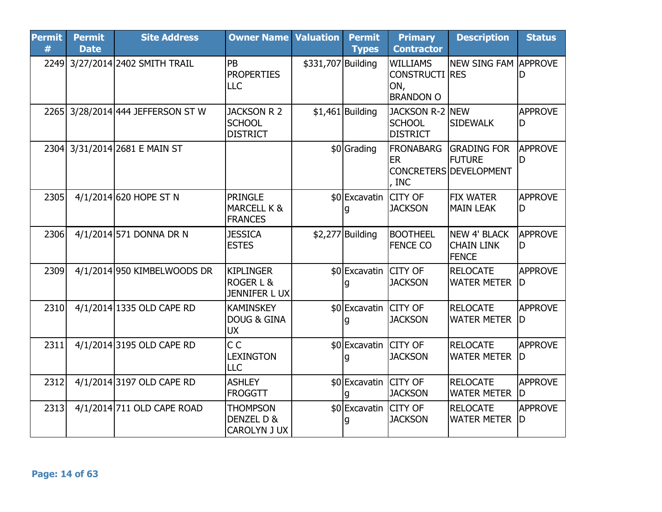| <b>Permit</b><br># | <b>Permit</b><br><b>Date</b> | <b>Site Address</b>               | <b>Owner Name Valuation</b>                                     |                    | <b>Permit</b><br><b>Types</b> | <b>Primary</b><br><b>Contractor</b>                                 | <b>Description</b>                                            | <b>Status</b>        |
|--------------------|------------------------------|-----------------------------------|-----------------------------------------------------------------|--------------------|-------------------------------|---------------------------------------------------------------------|---------------------------------------------------------------|----------------------|
|                    |                              | 2249 3/27/2014 2402 SMITH TRAIL   | PB<br><b>PROPERTIES</b><br><b>LLC</b>                           | \$331,707 Building |                               | <b>WILLIAMS</b><br><b>CONSTRUCTI RES</b><br>ON,<br><b>BRANDON O</b> | <b>NEW SING FAM APPROVE</b>                                   | D                    |
|                    |                              | 2265 3/28/2014 444 JEFFERSON ST W | <b>JACKSON R 2</b><br><b>SCHOOL</b><br><b>DISTRICT</b>          |                    | $$1,461$ Building             | JACKSON R-2 NEW<br><b>SCHOOL</b><br><b>DISTRICT</b>                 | <b>SIDEWALK</b>                                               | <b>APPROVE</b><br>D  |
|                    |                              | 2304 3/31/2014 2681 E MAIN ST     |                                                                 |                    | \$0 Grading                   | <b>FRONABARG</b><br><b>ER</b><br>, INC                              | <b>GRADING FOR</b><br><b>FUTURE</b><br>CONCRETERS DEVELOPMENT | <b>APPROVE</b><br>ID |
| 2305               |                              | 4/1/2014 620 HOPE ST N            | <b>PRINGLE</b><br><b>MARCELL K &amp;</b><br><b>FRANCES</b>      |                    | \$0 Excavatin CITY OF         | <b>JACKSON</b>                                                      | <b>FIX WATER</b><br><b>MAIN LEAK</b>                          | <b>APPROVE</b><br>D  |
| 2306               |                              | 4/1/2014 571 DONNA DR N           | <b>JESSICA</b><br><b>ESTES</b>                                  |                    | $$2,277$ Building             | <b>BOOTHEEL</b><br><b>FENCE CO</b>                                  | NEW 4' BLACK<br><b>CHAIN LINK</b><br><b>FENCE</b>             | <b>APPROVE</b><br>ID |
| 2309               |                              | 4/1/2014 950 KIMBELWOODS DR       | <b>KIPLINGER</b><br><b>ROGER L &amp;</b><br><b>JENNIFER LUX</b> |                    | \$0 Excavatin CITY OF         | <b>JACKSON</b>                                                      | <b>RELOCATE</b><br><b>WATER METER</b>                         | <b>APPROVE</b><br>ID |
| 2310               |                              | 4/1/2014 1335 OLD CAPE RD         | <b>KAMINSKEY</b><br><b>DOUG &amp; GINA</b><br><b>UX</b>         |                    | \$0 Excavatin CITY OF         | <b>JACKSON</b>                                                      | <b>RELOCATE</b><br><b>WATER METER</b>                         | <b>APPROVE</b><br>ID |
| 2311               |                              | 4/1/2014 3195 OLD CAPE RD         | C <sub>C</sub><br><b>LEXINGTON</b><br><b>LLC</b>                |                    | \$0 Excavatin CITY OF<br>q    | <b>JACKSON</b>                                                      | <b>RELOCATE</b><br><b>WATER METER</b>                         | <b>APPROVE</b><br>ID |
| 2312               |                              | 4/1/2014 3197 OLD CAPE RD         | <b>ASHLEY</b><br><b>FROGGTT</b>                                 |                    | \$0 Excavatin CITY OF         | <b>JACKSON</b>                                                      | <b>RELOCATE</b><br><b>WATER METER</b>                         | <b>APPROVE</b><br>ID |
| 2313               |                              | 4/1/2014 711 OLD CAPE ROAD        | <b>THOMPSON</b><br>DENZEL D &<br><b>CAROLYN J UX</b>            |                    | \$0 Excavatin CITY OF<br>g    | <b>JACKSON</b>                                                      | <b>RELOCATE</b><br><b>WATER METER</b>                         | <b>APPROVE</b><br>ID |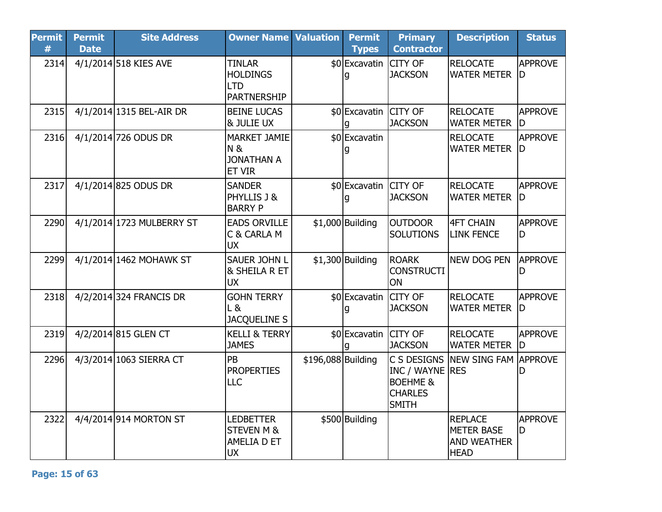| <b>Permit</b><br># | <b>Permit</b><br><b>Date</b> | <b>Site Address</b>       | <b>Owner Name Valuation</b>                                                  |                    | <b>Permit</b><br><b>Types</b> | <b>Primary</b><br><b>Contractor</b>                                                     | <b>Description</b>                                                       | <b>Status</b>        |
|--------------------|------------------------------|---------------------------|------------------------------------------------------------------------------|--------------------|-------------------------------|-----------------------------------------------------------------------------------------|--------------------------------------------------------------------------|----------------------|
| 2314               |                              | 4/1/2014 518 KIES AVE     | <b>TINLAR</b><br><b>HOLDINGS</b><br><b>LTD</b><br><b>PARTNERSHIP</b>         |                    | \$0 Excavatin                 | <b>CITY OF</b><br><b>JACKSON</b>                                                        | <b>RELOCATE</b><br><b>WATER METER</b>                                    | <b>APPROVE</b><br>ID |
| 2315               |                              | 4/1/2014 1315 BEL-AIR DR  | <b>BEINE LUCAS</b><br><b>&amp; JULIE UX</b>                                  |                    | \$0 Excavatin CITY OF         | <b>JACKSON</b>                                                                          | <b>RELOCATE</b><br><b>WATER METER</b>                                    | <b>APPROVE</b><br>ID |
| 2316               |                              | 4/1/2014 726 ODUS DR      | <b>MARKET JAMIE</b><br>N &<br><b>JONATHAN A</b><br>ET VIR                    |                    | \$0 Excavatin                 |                                                                                         | <b>RELOCATE</b><br><b>WATER METER</b>                                    | <b>APPROVE</b><br>ID |
| 2317               |                              | 4/1/2014 825 ODUS DR      | <b>SANDER</b><br>PHYLLIS J &<br><b>BARRY P</b>                               |                    | \$0 Excavatin CITY OF         | <b>JACKSON</b>                                                                          | <b>RELOCATE</b><br><b>WATER METER</b>                                    | <b>APPROVE</b><br>ID |
| 2290               |                              | 4/1/2014 1723 MULBERRY ST | <b>EADS ORVILLE</b><br>C & CARLA M<br><b>UX</b>                              |                    | $$1,000$ Building             | <b>OUTDOOR</b><br><b>SOLUTIONS</b>                                                      | <b>4FT CHAIN</b><br><b>LINK FENCE</b>                                    | <b>APPROVE</b><br>D  |
| 2299               |                              | 4/1/2014 1462 MOHAWK ST   | <b>SAUER JOHN L</b><br><b>&amp; SHEILA R ET</b><br><b>UX</b>                 |                    | $$1,300$ Building             | <b>ROARK</b><br><b>CONSTRUCTI</b><br>ON                                                 | <b>NEW DOG PEN</b>                                                       | APPROVE<br>D         |
| 2318               |                              | 4/2/2014 324 FRANCIS DR   | <b>GOHN TERRY</b><br>L &<br><b>JACQUELINE S</b>                              |                    | \$0 Excavatin                 | <b>CITY OF</b><br><b>JACKSON</b>                                                        | <b>RELOCATE</b><br><b>WATER METER</b>                                    | <b>APPROVE</b><br>ID |
| 2319               |                              | 4/2/2014 815 GLEN CT      | <b>KELLI &amp; TERRY</b><br><b>JAMES</b>                                     |                    | \$0 Excavatin CITY OF         | <b>JACKSON</b>                                                                          | <b>RELOCATE</b><br><b>WATER METER</b>                                    | <b>APPROVE</b><br>ID |
| 2296               |                              | 4/3/2014 1063 SIERRA CT   | PB<br><b>PROPERTIES</b><br><b>LLC</b>                                        | \$196,088 Building |                               | C S DESIGNS<br>INC / WAYNE RES<br><b>BOEHME &amp;</b><br><b>CHARLES</b><br><b>SMITH</b> | <b>NEW SING FAM</b>                                                      | <b>APPROVE</b><br>D  |
| 2322               |                              | 4/4/2014 914 MORTON ST    | <b>LEDBETTER</b><br><b>STEVEN M &amp;</b><br><b>AMELIA D ET</b><br><b>UX</b> |                    | \$500 Building                |                                                                                         | <b>REPLACE</b><br><b>METER BASE</b><br><b>AND WEATHER</b><br><b>HEAD</b> | <b>APPROVE</b><br>D  |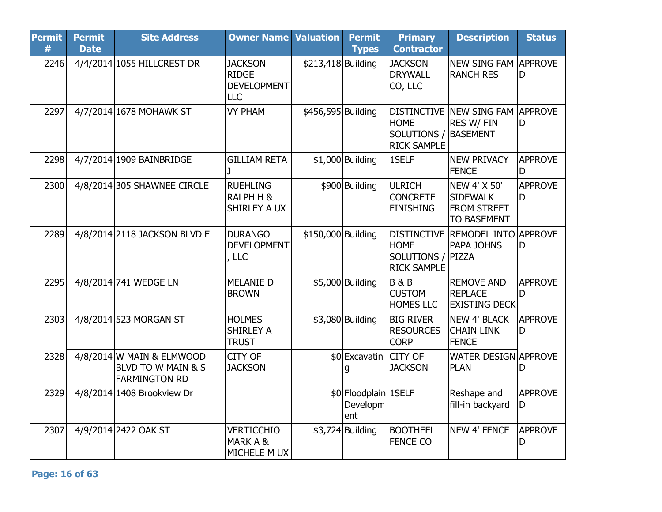| <b>Permit</b><br># | <b>Permit</b><br><b>Date</b> | <b>Site Address</b>                                                       | <b>Owner Name</b>                                                  | <b>Valuation</b>   | <b>Permit</b><br><b>Types</b>           | <b>Primary</b><br><b>Contractor</b>                                          | <b>Description</b>                                                          | <b>Status</b>        |
|--------------------|------------------------------|---------------------------------------------------------------------------|--------------------------------------------------------------------|--------------------|-----------------------------------------|------------------------------------------------------------------------------|-----------------------------------------------------------------------------|----------------------|
| 2246               |                              | 4/4/2014 1055 HILLCREST DR                                                | <b>JACKSON</b><br><b>RIDGE</b><br><b>DEVELOPMENT</b><br><b>LLC</b> | \$213,418 Building |                                         | <b>JACKSON</b><br><b>DRYWALL</b><br>CO, LLC                                  | <b>NEW SING FAM APPROVE</b><br><b>RANCH RES</b>                             | D                    |
| 2297               |                              | 4/7/2014 1678 MOHAWK ST                                                   | <b>VY PHAM</b>                                                     | \$456,595 Building |                                         | <b>HOME</b><br>SOLUTIONS /<br><b>RICK SAMPLE</b>                             | DISTINCTIVE NEW SING FAM APPROVE<br><b>RES W/ FIN</b><br>BASEMENT           | D                    |
| 2298               |                              | 4/7/2014 1909 BAINBRIDGE                                                  | <b>GILLIAM RETA</b><br>1                                           |                    | $$1,000$ Building                       | 1SELF                                                                        | <b>NEW PRIVACY</b><br><b>FENCE</b>                                          | <b>APPROVE</b><br>ID |
| 2300               |                              | 4/8/2014 305 SHAWNEE CIRCLE                                               | <b>RUEHLING</b><br><b>RALPH H &amp;</b><br><b>SHIRLEY A UX</b>     |                    | \$900 Building                          | <b>ULRICH</b><br><b>CONCRETE</b><br><b>FINISHING</b>                         | NEW 4' X 50'<br><b>SIDEWALK</b><br><b>FROM STREET</b><br><b>TO BASEMENT</b> | <b>APPROVE</b><br>D  |
| 2289               |                              | 4/8/2014 2118 JACKSON BLVD E                                              | <b>DURANGO</b><br><b>DEVELOPMENT</b><br>, LLC                      | \$150,000 Building |                                         | <b>DISTINCTIVE</b><br><b>HOME</b><br>SOLUTIONS / PIZZA<br><b>RICK SAMPLE</b> | <b>REMODEL INTO APPROVE</b><br><b>PAPA JOHNS</b>                            | ID                   |
| 2295               |                              | 4/8/2014 741 WEDGE LN                                                     | <b>MELANIE D</b><br><b>BROWN</b>                                   |                    | \$5,000 Building                        | <b>B&amp;B</b><br><b>CUSTOM</b><br><b>HOMES LLC</b>                          | <b>REMOVE AND</b><br><b>REPLACE</b><br><b>EXISTING DECK</b>                 | <b>APPROVE</b><br>D  |
| 2303               |                              | 4/8/2014 523 MORGAN ST                                                    | <b>HOLMES</b><br><b>SHIRLEY A</b><br><b>TRUST</b>                  |                    | \$3,080 Building                        | <b>BIG RIVER</b><br><b>RESOURCES</b><br><b>CORP</b>                          | <b>NEW 4' BLACK</b><br><b>CHAIN LINK</b><br><b>FENCE</b>                    | <b>APPROVE</b><br>D  |
| 2328               |                              | $4/8/2014$ W MAIN & ELMWOOD<br>BLVD TO W MAIN & S<br><b>FARMINGTON RD</b> | <b>CITY OF</b><br><b>JACKSON</b>                                   |                    | \$0 Excavatin                           | <b>CITY OF</b><br><b>JACKSON</b>                                             | <b>WATER DESIGN APPROVE</b><br><b>PLAN</b>                                  | D                    |
| 2329               |                              | 4/8/2014 1408 Brookview Dr                                                |                                                                    |                    | \$0 Floodplain 1SELF<br>Developm<br>ent |                                                                              | Reshape and<br>fill-in backyard                                             | <b>APPROVE</b><br>D  |
| 2307               |                              | 4/9/2014 2422 OAK ST                                                      | <b>VERTICCHIO</b><br>MARK A &<br>MICHELE M UX                      |                    | $$3,724$ Building                       | <b>BOOTHEEL</b><br><b>FENCE CO</b>                                           | NEW 4' FENCE                                                                | <b>APPROVE</b><br>D  |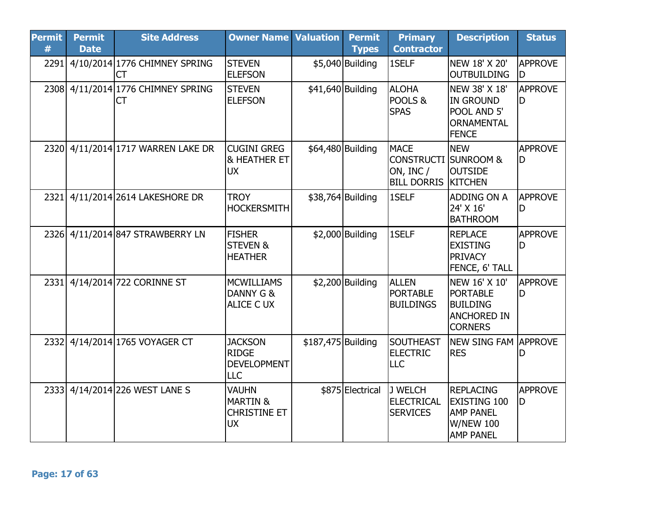| <b>Permit</b><br># | <b>Permit</b><br><b>Date</b> | <b>Site Address</b>                      | <b>Owner Name Valuation</b>                                             |                    | <b>Permit</b><br><b>Types</b> | <b>Primary</b><br><b>Contractor</b>                                                 | <b>Description</b>                                                                                  | <b>Status</b>        |
|--------------------|------------------------------|------------------------------------------|-------------------------------------------------------------------------|--------------------|-------------------------------|-------------------------------------------------------------------------------------|-----------------------------------------------------------------------------------------------------|----------------------|
| 2291               |                              | 4/10/2014 1776 CHIMNEY SPRING<br>CT      | <b>STEVEN</b><br><b>ELEFSON</b>                                         |                    | \$5,040 Building              | 1SELF                                                                               | NEW 18' X 20'<br><b>OUTBUILDING</b>                                                                 | APPROVE<br>D         |
|                    |                              | 2308 4/11/2014 1776 CHIMNEY SPRING<br>CT | <b>STEVEN</b><br><b>ELEFSON</b>                                         |                    | \$41,640 Building             | <b>ALOHA</b><br>POOLS &<br><b>SPAS</b>                                              | NEW 38' X 18'<br><b>IN GROUND</b><br>POOL AND 5'<br><b>ORNAMENTAL</b><br><b>FENCE</b>               | <b>APPROVE</b><br>ID |
| 2320               |                              | 4/11/2014 1717 WARREN LAKE DR            | <b>CUGINI GREG</b><br><b>&amp; HEATHER ET</b><br><b>UX</b>              | \$64,480 Building  |                               | <b>MACE</b><br><b>CONSTRUCTI SUNROOM &amp;</b><br>ON, INC $/$<br><b>BILL DORRIS</b> | <b>NEW</b><br><b>OUTSIDE</b><br><b>KITCHEN</b>                                                      | APPROVE<br>D         |
| 2321               |                              | 4/11/2014 2614 LAKESHORE DR              | <b>TROY</b><br><b>HOCKERSMITH</b>                                       | \$38,764 Building  |                               | 1SELF                                                                               | ADDING ON A<br>24' X 16'<br><b>BATHROOM</b>                                                         | <b>APPROVE</b><br>ID |
| 2326               |                              | 4/11/2014 847 STRAWBERRY LN              | <b>FISHER</b><br><b>STEVEN &amp;</b><br><b>HEATHER</b>                  |                    | $$2,000$ Building             | 1SELF                                                                               | <b>REPLACE</b><br><b>EXISTING</b><br><b>PRIVACY</b><br>FENCE, 6' TALL                               | <b>APPROVE</b><br>ID |
| 2331               |                              | 4/14/2014 722 CORINNE ST                 | <b>MCWILLIAMS</b><br>DANNY G &<br><b>ALICE C UX</b>                     |                    | $$2,200$ Building             | <b>ALLEN</b><br><b>PORTABLE</b><br><b>BUILDINGS</b>                                 | NEW 16' X 10'<br><b>PORTABLE</b><br><b>BUILDING</b><br><b>ANCHORED IN</b><br><b>CORNERS</b>         | APPROVE<br>ID        |
| 2332               |                              | 4/14/2014 1765 VOYAGER CT                | <b>JACKSON</b><br><b>RIDGE</b><br><b>DEVELOPMENT</b><br><b>LLC</b>      | \$187,475 Building |                               | <b>SOUTHEAST</b><br><b>ELECTRIC</b><br><b>LLC</b>                                   | NEW SING FAM APPROVE<br><b>RES</b>                                                                  |                      |
| 2333               |                              | 4/14/2014 226 WEST LANE S                | <b>VAUHN</b><br><b>MARTIN &amp;</b><br><b>CHRISTINE ET</b><br><b>UX</b> |                    | \$875 Electrical              | J WELCH<br><b>ELECTRICAL</b><br><b>SERVICES</b>                                     | <b>REPLACING</b><br><b>EXISTING 100</b><br><b>AMP PANEL</b><br><b>W/NEW 100</b><br><b>AMP PANEL</b> | <b>APPROVE</b><br>ID |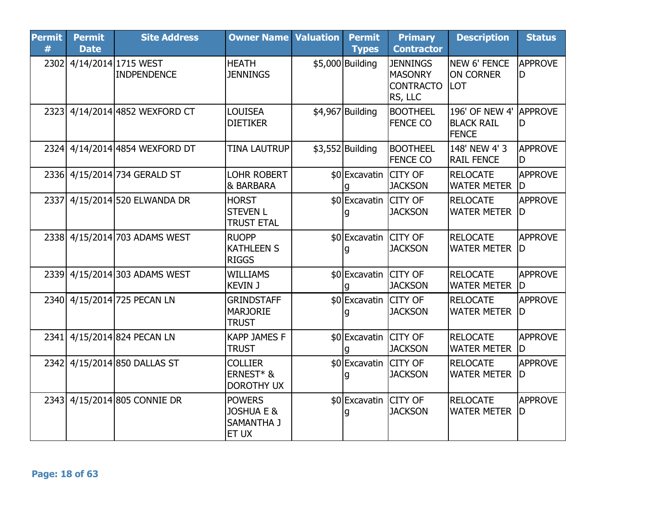| <b>Permit</b><br># | <b>Permit</b><br><b>Date</b> | <b>Site Address</b>                       | <b>Owner Name Valuation</b>                                   | <b>Permit</b><br><b>Types</b> | <b>Primary</b><br><b>Contractor</b>                              | <b>Description</b>                                          | <b>Status</b>         |
|--------------------|------------------------------|-------------------------------------------|---------------------------------------------------------------|-------------------------------|------------------------------------------------------------------|-------------------------------------------------------------|-----------------------|
| 2302               |                              | 4/14/2014 1715 WEST<br><b>INDPENDENCE</b> | <b>HEATH</b><br><b>JENNINGS</b>                               | \$5,000 Building              | <b>JENNINGS</b><br><b>MASONRY</b><br><b>CONTRACTO</b><br>RS, LLC | <b>NEW 6' FENCE</b><br><b>ON CORNER</b><br><b>LOT</b>       | <b>APPROVE</b><br>D   |
|                    |                              | 2323 4/14/2014 4852 WEXFORD CT            | <b>LOUISEA</b><br><b>DIETIKER</b>                             | $$4,967$ Building             | <b>BOOTHEEL</b><br><b>FENCE CO</b>                               | 196' OF NEW 4' APPROVE<br><b>BLACK RAIL</b><br><b>FENCE</b> | ID.                   |
|                    |                              | 2324 4/14/2014 4854 WEXFORD DT            | <b>TINA LAUTRUP</b>                                           | $$3,552$ Building             | <b>BOOTHEEL</b><br><b>FENCE CO</b>                               | 148' NEW 4' 3<br><b>RAIL FENCE</b>                          | <b>APPROVE</b><br>D   |
|                    |                              | 2336 4/15/2014 734 GERALD ST              | <b>LOHR ROBERT</b><br>& BARBARA                               | \$0 Excavatin                 | <b>CITY OF</b><br><b>JACKSON</b>                                 | <b>RELOCATE</b><br><b>WATER METER</b>                       | <b>APPROVE</b><br>ID. |
|                    |                              | 2337 4/15/2014 520 ELWANDA DR             | <b>HORST</b><br><b>STEVEN L</b><br><b>TRUST ETAL</b>          | \$0 Excavatin CITY OF         | <b>JACKSON</b>                                                   | <b>RELOCATE</b><br><b>WATER METER</b>                       | <b>APPROVE</b><br>ID  |
|                    |                              | 2338 4/15/2014 703 ADAMS WEST             | <b>RUOPP</b><br><b>KATHLEEN S</b><br><b>RIGGS</b>             | \$0 Excavatin CITY OF         | <b>JACKSON</b>                                                   | <b>RELOCATE</b><br><b>WATER METER</b>                       | <b>APPROVE</b><br>ID  |
|                    |                              | 2339 4/15/2014 303 ADAMS WEST             | <b>WILLIAMS</b><br><b>KEVIN J</b>                             | \$0 Excavatin CITY OF         | <b>JACKSON</b>                                                   | <b>RELOCATE</b><br><b>WATER METER</b>                       | <b>APPROVE</b><br>ID  |
|                    |                              | 2340 4/15/2014 725 PECAN LN               | <b>GRINDSTAFF</b><br><b>MARJORIE</b><br><b>TRUST</b>          | \$0 Excavatin CITY OF         | <b>JACKSON</b>                                                   | <b>RELOCATE</b><br><b>WATER METER</b>                       | <b>APPROVE</b><br>ID. |
|                    |                              | 2341 4/15/2014 824 PECAN LN               | <b>KAPP JAMES F</b><br><b>TRUST</b>                           | \$0 Excavatin CITY OF         | <b>JACKSON</b>                                                   | <b>RELOCATE</b><br><b>WATER METER</b>                       | <b>APPROVE</b><br>ID  |
|                    |                              | 2342 4/15/2014 850 DALLAS ST              | <b>COLLIER</b><br>ERNEST* &<br><b>DOROTHY UX</b>              | \$0 Excavatin CITY OF         | <b>JACKSON</b>                                                   | <b>RELOCATE</b><br><b>WATER METER</b>                       | <b>APPROVE</b><br>ID  |
|                    |                              | 2343 4/15/2014 805 CONNIE DR              | <b>POWERS</b><br><b>JOSHUA E &amp;</b><br>SAMANTHA J<br>ET UX | \$0 Excavatin CITY OF         | <b>JACKSON</b>                                                   | <b>RELOCATE</b><br><b>WATER METER</b>                       | <b>APPROVE</b><br>ID. |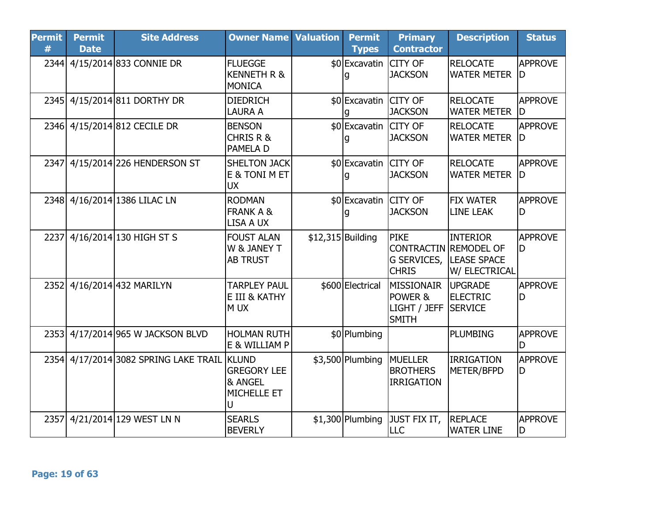| <b>Permit</b><br># | <b>Permit</b><br><b>Date</b> | <b>Site Address</b>                   | <b>Owner Name Valuation</b>                                                  | <b>Permit</b><br><b>Types</b> | <b>Primary</b><br><b>Contractor</b>                                        | <b>Description</b>                                     | <b>Status</b>        |
|--------------------|------------------------------|---------------------------------------|------------------------------------------------------------------------------|-------------------------------|----------------------------------------------------------------------------|--------------------------------------------------------|----------------------|
|                    |                              | 2344 4/15/2014 833 CONNIE DR          | <b>FLUEGGE</b><br><b>KENNETH R &amp;</b><br>MONICA                           | \$0 Excavatin                 | <b>CITY OF</b><br><b>JACKSON</b>                                           | <b>RELOCATE</b><br><b>WATER METER</b>                  | <b>APPROVE</b><br>ID |
|                    |                              | 2345 4/15/2014 811 DORTHY DR          | <b>DIEDRICH</b><br><b>LAURA A</b>                                            | \$0 Excavatin CITY OF         | <b>JACKSON</b>                                                             | <b>RELOCATE</b><br><b>WATER METER</b>                  | <b>APPROVE</b><br>ID |
|                    |                              | 2346 4/15/2014 812 CECILE DR          | <b>BENSON</b><br><b>CHRIS R &amp;</b><br><b>PAMELA D</b>                     | \$0 Excavatin CITY OF         | <b>JACKSON</b>                                                             | <b>RELOCATE</b><br><b>WATER METER</b>                  | <b>APPROVE</b><br>ID |
| 2347               |                              | 4/15/2014 226 HENDERSON ST            | <b>SHELTON JACK</b><br>E & TONI M ET<br><b>UX</b>                            | \$0 Excavatin CITY OF         | <b>JACKSON</b>                                                             | <b>RELOCATE</b><br><b>WATER METER</b>                  | <b>APPROVE</b><br>ID |
|                    |                              | 2348 4/16/2014 1386 LILAC LN          | <b>RODMAN</b><br><b>FRANK A &amp;</b><br>LISA A UX                           | \$0 Excavatin CITY OF         | <b>JACKSON</b>                                                             | <b>FIX WATER</b><br><b>LINE LEAK</b>                   | <b>APPROVE</b><br>ID |
| 2237               |                              | 4/16/2014 130 HIGH ST S               | <b>FOUST ALAN</b><br>W & JANEY T<br><b>AB TRUST</b>                          | $$12,315$ Building            | <b>PIKE</b><br><b>CONTRACTIN REMODEL OF</b><br>G SERVICES,<br><b>CHRIS</b> | <b>INTERIOR</b><br><b>LEASE SPACE</b><br>W/ ELECTRICAL | <b>APPROVE</b><br>D  |
|                    |                              | 2352 4/16/2014 432 MARILYN            | <b>TARPLEY PAUL</b><br>E III & KATHY<br>M UX                                 | \$600 Electrical              | MISSIONAIR<br>POWER &<br>LIGHT / JEFF<br><b>SMITH</b>                      | <b>UPGRADE</b><br><b>ELECTRIC</b><br><b>SERVICE</b>    | <b>APPROVE</b><br>D  |
|                    |                              | 2353 4/17/2014 965 W JACKSON BLVD     | <b>HOLMAN RUTH</b><br>E & WILLIAM P                                          | \$0 Plumbing                  |                                                                            | <b>PLUMBING</b>                                        | <b>APPROVE</b><br>ID |
|                    |                              | 2354 4/17/2014 3082 SPRING LAKE TRAIL | <b>KLUND</b><br><b>GREGORY LEE</b><br><b>&amp; ANGEL</b><br>MICHELLE ET<br>U | \$3,500 Plumbing              | <b>MUELLER</b><br><b>BROTHERS</b><br><b>IRRIGATION</b>                     | <b>IRRIGATION</b><br>METER/BFPD                        | <b>APPROVE</b><br>D  |
| 2357               |                              | 4/21/2014 129 WEST LN N               | <b>SEARLS</b><br><b>BEVERLY</b>                                              | $$1,300$ Plumbing             | JUST FIX IT,<br><b>LLC</b>                                                 | <b>REPLACE</b><br><b>WATER LINE</b>                    | <b>APPROVE</b><br>D  |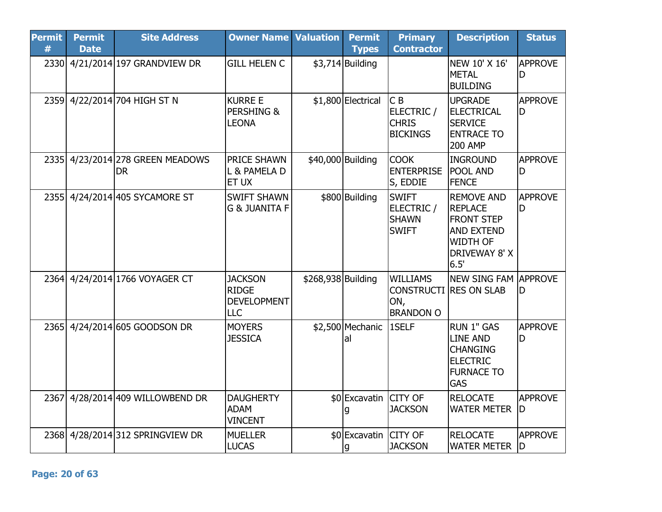| <b>Permit</b><br># | <b>Permit</b><br><b>Date</b> | <b>Site Address</b>                           | <b>Owner Name Valuation</b>                                        |                    | <b>Permit</b><br><b>Types</b> | <b>Primary</b><br><b>Contractor</b>                             | <b>Description</b>                                                                                                               | <b>Status</b>        |
|--------------------|------------------------------|-----------------------------------------------|--------------------------------------------------------------------|--------------------|-------------------------------|-----------------------------------------------------------------|----------------------------------------------------------------------------------------------------------------------------------|----------------------|
|                    |                              | 2330 4/21/2014 197 GRANDVIEW DR               | <b>GILL HELEN C</b>                                                |                    | $$3,714$ Building             |                                                                 | NEW 10' X 16'<br><b>METAL</b><br><b>BUILDING</b>                                                                                 | <b>APPROVE</b><br>ID |
| 2359               |                              | 4/22/2014 704 HIGH ST N                       | <b>KURRE E</b><br>PERSHING &<br><b>LEONA</b>                       |                    | \$1,800 Electrical            | CB<br>ELECTRIC /<br><b>CHRIS</b><br><b>BICKINGS</b>             | <b>UPGRADE</b><br><b>ELECTRICAL</b><br><b>SERVICE</b><br><b>ENTRACE TO</b><br><b>200 AMP</b>                                     | <b>APPROVE</b><br>ID |
|                    |                              | 2335 4/23/2014 278 GREEN MEADOWS<br><b>DR</b> | <b>PRICE SHAWN</b><br>L & PAMELA D<br>ET UX                        | \$40,000 Building  |                               | <b>COOK</b><br><b>ENTERPRISE</b><br>S, EDDIE                    | <b>INGROUND</b><br><b>POOL AND</b><br><b>FENCE</b>                                                                               | <b>APPROVE</b><br>ID |
| 2355               |                              | 4/24/2014 405 SYCAMORE ST                     | <b>SWIFT SHAWN</b><br><b>G &amp; JUANITA F</b>                     |                    | \$800 Building                | <b>SWIFT</b><br>ELECTRIC /<br><b>SHAWN</b><br><b>SWIFT</b>      | <b>REMOVE AND</b><br><b>REPLACE</b><br><b>FRONT STEP</b><br><b>AND EXTEND</b><br><b>WIDTH OF</b><br><b>DRIVEWAY 8' X</b><br>6.5' | <b>APPROVE</b><br>lD |
| 2364               |                              | 4/24/2014 1766 VOYAGER CT                     | <b>JACKSON</b><br><b>RIDGE</b><br><b>DEVELOPMENT</b><br><b>LLC</b> | \$268,938 Building |                               | <b>WILLIAMS</b><br><b>CONSTRUCTI</b><br>ON,<br><b>BRANDON O</b> | NEW SING FAM APPROVE<br><b>RES ON SLAB</b>                                                                                       | ID                   |
| 2365               |                              | 4/24/2014 605 GOODSON DR                      | <b>MOYERS</b><br><b>JESSICA</b>                                    |                    | \$2,500 Mechanic<br>al        | 1SELF                                                           | <b>RUN 1" GAS</b><br><b>LINE AND</b><br><b>CHANGING</b><br><b>ELECTRIC</b><br><b>FURNACE TO</b><br><b>GAS</b>                    | <b>APPROVE</b><br>ID |
| 2367               |                              | 4/28/2014 409 WILLOWBEND DR                   | <b>DAUGHERTY</b><br><b>ADAM</b><br><b>VINCENT</b>                  |                    | \$0 Excavatin CITY OF         | <b>JACKSON</b>                                                  | <b>RELOCATE</b><br><b>WATER METER</b>                                                                                            | <b>APPROVE</b><br>ID |
| 2368               |                              | 4/28/2014 312 SPRINGVIEW DR                   | <b>MUELLER</b><br><b>LUCAS</b>                                     |                    | \$0 Excavatin CITY OF<br>g    | <b>JACKSON</b>                                                  | <b>RELOCATE</b><br><b>WATER METER</b>                                                                                            | APPROVE<br>ID        |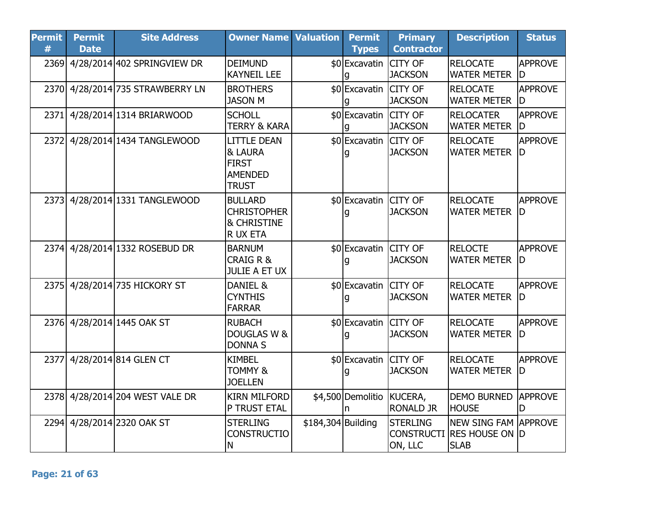| <b>Permit</b><br># | <b>Permit</b><br><b>Date</b> | <b>Site Address</b>              | <b>Owner Name Valuation</b>                                                     |                    | <b>Permit</b><br><b>Types</b> | <b>Primary</b><br><b>Contractor</b>             | <b>Description</b>                                           | <b>Status</b>        |
|--------------------|------------------------------|----------------------------------|---------------------------------------------------------------------------------|--------------------|-------------------------------|-------------------------------------------------|--------------------------------------------------------------|----------------------|
|                    |                              | 2369 4/28/2014 402 SPRINGVIEW DR | <b>DEIMUND</b><br><b>KAYNEIL LEE</b>                                            |                    | \$0 Excavatin                 | <b>CITY OF</b><br><b>JACKSON</b>                | <b>RELOCATE</b><br><b>WATER METER</b>                        | <b>APPROVE</b><br>ID |
|                    |                              | 2370 4/28/2014 735 STRAWBERRY LN | <b>BROTHERS</b><br><b>JASON M</b>                                               |                    | \$0 Excavatin                 | <b>CITY OF</b><br><b>JACKSON</b>                | <b>RELOCATE</b><br><b>WATER METER</b>                        | <b>APPROVE</b><br>ID |
|                    |                              | 2371 4/28/2014 1314 BRIARWOOD    | <b>SCHOLL</b><br><b>TERRY &amp; KARA</b>                                        |                    | \$0 Excavatin CITY OF         | <b>JACKSON</b>                                  | <b>RELOCATER</b><br><b>WATER METER</b>                       | <b>APPROVE</b><br>ID |
|                    |                              | 2372 4/28/2014 1434 TANGLEWOOD   | <b>LITTLE DEAN</b><br>& LAURA<br><b>FIRST</b><br><b>AMENDED</b><br><b>TRUST</b> |                    | \$0 Excavatin CITY OF         | <b>JACKSON</b>                                  | <b>RELOCATE</b><br><b>WATER METER</b>                        | <b>APPROVE</b><br>ID |
| 2373               |                              | 4/28/2014 1331 TANGLEWOOD        | <b>BULLARD</b><br><b>CHRISTOPHER</b><br><b>&amp; CHRISTINE</b><br>R UX ETA      |                    | \$0 Excavatin                 | <b>CITY OF</b><br><b>JACKSON</b>                | <b>RELOCATE</b><br><b>WATER METER D</b>                      | <b>APPROVE</b>       |
|                    |                              | 2374 4/28/2014 1332 ROSEBUD DR   | <b>BARNUM</b><br><b>CRAIG R &amp;</b><br><b>JULIE A ET UX</b>                   |                    | \$0 Excavatin CITY OF         | <b>JACKSON</b>                                  | <b>RELOCTE</b><br><b>WATER METER</b>                         | <b>APPROVE</b><br>ID |
|                    |                              | 2375 4/28/2014 735 HICKORY ST    | DANIEL &<br><b>CYNTHIS</b><br><b>FARRAR</b>                                     |                    | \$0 Excavatin CITY OF         | <b>JACKSON</b>                                  | <b>RELOCATE</b><br><b>WATER METER</b>                        | <b>APPROVE</b><br>ID |
|                    |                              | 2376 4/28/2014 1445 OAK ST       | <b>RUBACH</b><br>DOUGLAS W &<br><b>DONNA S</b>                                  |                    | \$0 Excavatin CITY OF         | <b>JACKSON</b>                                  | <b>RELOCATE</b><br><b>WATER METER</b>                        | <b>APPROVE</b><br>ID |
| 2377               |                              | 4/28/2014 814 GLEN CT            | <b>KIMBEL</b><br><b>TOMMY &amp;</b><br><b>JOELLEN</b>                           |                    | \$0 Excavatin CITY OF         | <b>JACKSON</b>                                  | <b>RELOCATE</b><br><b>WATER METER</b>                        | <b>APPROVE</b><br>ID |
|                    |                              | 2378 4/28/2014 204 WEST VALE DR  | <b>KIRN MILFORD</b><br>P TRUST ETAL                                             |                    | \$4,500 Demolitio             | KUCERA,<br><b>RONALD JR</b>                     | <b>DEMO BURNED</b><br><b>HOUSE</b>                           | <b>APPROVE</b><br>D  |
|                    |                              | 2294 4/28/2014 2320 OAK ST       | <b>STERLING</b><br><b>CONSTRUCTIO</b><br>N                                      | \$184,304 Building |                               | <b>STERLING</b><br><b>CONSTRUCTI</b><br>ON, LLC | NEW SING FAM APPROVE<br><b>RES HOUSE ON D</b><br><b>SLAB</b> |                      |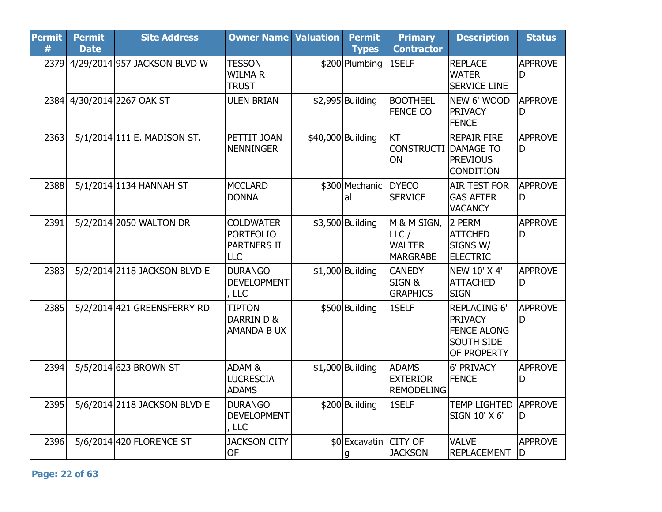| <b>Permit</b><br># | <b>Permit</b><br><b>Date</b> | <b>Site Address</b>               | <b>Owner Name</b>                                                        | <b>Valuation</b> | <b>Permit</b><br><b>Types</b> | <b>Primary</b><br><b>Contractor</b>                     | <b>Description</b>                                                                              | <b>Status</b>         |
|--------------------|------------------------------|-----------------------------------|--------------------------------------------------------------------------|------------------|-------------------------------|---------------------------------------------------------|-------------------------------------------------------------------------------------------------|-----------------------|
|                    |                              | 2379 4/29/2014 957 JACKSON BLVD W | <b>TESSON</b><br><b>WILMAR</b><br><b>TRUST</b>                           |                  | \$200 Plumbing                | 1SELF                                                   | <b>REPLACE</b><br><b>WATER</b><br><b>SERVICE LINE</b>                                           | <b>APPROVE</b><br>D   |
|                    |                              | 2384 4/30/2014 2267 OAK ST        | <b>ULEN BRIAN</b>                                                        |                  | $$2,995$ Building             | <b>BOOTHEEL</b><br><b>FENCE CO</b>                      | NEW 6' WOOD<br><b>PRIVACY</b><br><b>FENCE</b>                                                   | <b>APPROVE</b><br>D   |
| 2363               |                              | 5/1/2014 111 E. MADISON ST.       | PETTIT JOAN<br><b>NENNINGER</b>                                          |                  | \$40,000 Building             | KT<br><b>CONSTRUCTI</b><br>ON                           | <b>REPAIR FIRE</b><br><b>DAMAGE TO</b><br><b>PREVIOUS</b><br><b>CONDITION</b>                   | <b>APPROVE</b><br>D   |
| 2388               |                              | 5/1/2014 1134 HANNAH ST           | <b>MCCLARD</b><br><b>DONNA</b>                                           |                  | \$300 Mechanic<br>al          | <b>DYECO</b><br><b>SERVICE</b>                          | <b>AIR TEST FOR</b><br><b>GAS AFTER</b><br><b>VACANCY</b>                                       | <b>APPROVE</b><br>D   |
| 2391               |                              | 5/2/2014 2050 WALTON DR           | <b>COLDWATER</b><br><b>PORTFOLIO</b><br><b>PARTNERS II</b><br><b>LLC</b> |                  | \$3,500 Building              | M & M SIGN,<br>LLC/<br><b>WALTER</b><br><b>MARGRABE</b> | 2 PERM<br><b>ATTCHED</b><br>SIGNS W/<br><b>ELECTRIC</b>                                         | <b>APPROVE</b><br>ID  |
| 2383               |                              | 5/2/2014 2118 JACKSON BLVD E      | <b>DURANGO</b><br><b>DEVELOPMENT</b><br>, LLC                            |                  | $$1,000$ Building             | <b>CANEDY</b><br>SIGN&<br><b>GRAPHICS</b>               | <b>NEW 10' X 4'</b><br><b>ATTACHED</b><br><b>SIGN</b>                                           | <b>APPROVE</b><br>D   |
| 2385               |                              | 5/2/2014 421 GREENSFERRY RD       | <b>TIPTON</b><br>DARRIN D &<br>AMANDA B UX                               |                  | \$500 Building                | 1SELF                                                   | <b>REPLACING 6'</b><br><b>PRIVACY</b><br><b>FENCE ALONG</b><br><b>SOUTH SIDE</b><br>OF PROPERTY | <b>APPROVE</b><br>D   |
| 2394               |                              | 5/5/2014 623 BROWN ST             | ADAM <sub>&amp;</sub><br><b>LUCRESCIA</b><br><b>ADAMS</b>                |                  | $$1,000$ Building             | <b>ADAMS</b><br><b>EXTERIOR</b><br><b>REMODELING</b>    | 6' PRIVACY<br><b>FENCE</b>                                                                      | <b>APPROVE</b><br>D   |
| 2395               |                              | 5/6/2014 2118 JACKSON BLVD E      | <b>DURANGO</b><br><b>DEVELOPMENT</b><br>, LLC                            |                  | \$200 Building                | 1SELF                                                   | <b>TEMP LIGHTED</b><br>SIGN 10' X 6'                                                            | <b>APPROVE</b><br>D   |
| 2396               |                              | 5/6/2014 420 FLORENCE ST          | <b>JACKSON CITY</b><br>OF                                                |                  | \$0 Excavatin CITY OF<br>g    | <b>JACKSON</b>                                          | <b>VALVE</b><br><b>REPLACEMENT</b>                                                              | <b>APPROVE</b><br>ID. |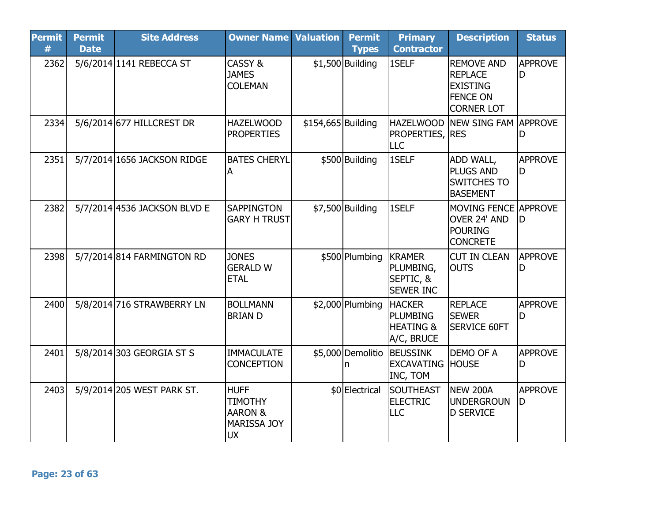| <b>Permit</b><br># | <b>Permit</b><br><b>Date</b> | <b>Site Address</b>          | <b>Owner Name</b>                                                                      | <b>Valuation</b>   | <b>Permit</b><br><b>Types</b> | <b>Primary</b><br><b>Contractor</b>                                    | <b>Description</b>                                                                             | <b>Status</b>        |
|--------------------|------------------------------|------------------------------|----------------------------------------------------------------------------------------|--------------------|-------------------------------|------------------------------------------------------------------------|------------------------------------------------------------------------------------------------|----------------------|
| 2362               |                              | 5/6/2014 1141 REBECCA ST     | CASSY &<br><b>JAMES</b><br><b>COLEMAN</b>                                              |                    | $$1,500$ Building             | 1SELF                                                                  | <b>REMOVE AND</b><br><b>REPLACE</b><br><b>EXISTING</b><br><b>FENCE ON</b><br><b>CORNER LOT</b> | <b>APPROVE</b><br>D  |
| 2334               |                              | 5/6/2014 677 HILLCREST DR    | <b>HAZELWOOD</b><br><b>PROPERTIES</b>                                                  | \$154,665 Building |                               | <b>PROPERTIES, RES</b><br>LLC                                          | HAZELWOOD NEW SING FAM APPROVE                                                                 | D                    |
| 2351               |                              | 5/7/2014 1656 JACKSON RIDGE  | <b>BATES CHERYL</b><br>A                                                               |                    | \$500 Building                | 1SELF                                                                  | <b>ADD WALL,</b><br><b>PLUGS AND</b><br><b>SWITCHES TO</b><br><b>BASEMENT</b>                  | <b>APPROVE</b><br>ID |
| 2382               |                              | 5/7/2014 4536 JACKSON BLVD E | <b>SAPPINGTON</b><br><b>GARY H TRUST</b>                                               |                    | \$7,500 Building              | 1SELF                                                                  | MOVING FENCE APPROVE<br>OVER 24' AND<br><b>POURING</b><br><b>CONCRETE</b>                      | ID                   |
| 2398               |                              | 5/7/2014 814 FARMINGTON RD   | <b>JONES</b><br><b>GERALD W</b><br><b>ETAL</b>                                         |                    | \$500 Plumbing                | <b>KRAMER</b><br>PLUMBING,<br>SEPTIC, &<br><b>SEWER INC</b>            | <b>CUT IN CLEAN</b><br><b>OUTS</b>                                                             | <b>APPROVE</b><br>D  |
| 2400               |                              | 5/8/2014 716 STRAWBERRY LN   | <b>BOLLMANN</b><br><b>BRIAN D</b>                                                      |                    | \$2,000 Plumbing              | <b>HACKER</b><br><b>PLUMBING</b><br><b>HEATING &amp;</b><br>A/C, BRUCE | <b>REPLACE</b><br><b>SEWER</b><br><b>SERVICE 60FT</b>                                          | <b>APPROVE</b><br>ID |
| 2401               |                              | 5/8/2014 303 GEORGIA ST S    | <b>IMMACULATE</b><br><b>CONCEPTION</b>                                                 |                    | n                             | \$5,000 Demolitio BEUSSINK<br><b>EXCAVATING</b><br>INC, TOM            | <b>DEMO OF A</b><br><b>HOUSE</b>                                                               | <b>APPROVE</b><br>ID |
| 2403               |                              | 5/9/2014 205 WEST PARK ST.   | <b>HUFF</b><br><b>TIMOTHY</b><br><b>AARON &amp;</b><br><b>MARISSA JOY</b><br><b>UX</b> |                    | \$0 Electrical                | SOUTHEAST<br><b>ELECTRIC</b><br><b>LLC</b>                             | <b>NEW 200A</b><br><b>UNDERGROUN</b><br><b>D SERVICE</b>                                       | <b>APPROVE</b><br>ID |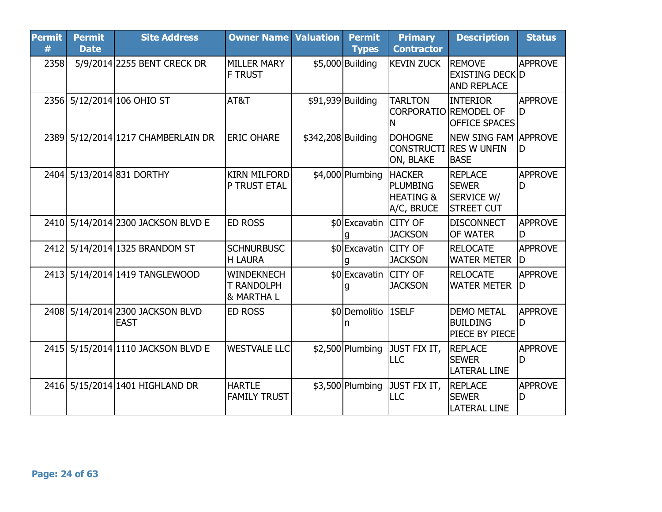| <b>Permit</b><br># | <b>Permit</b><br><b>Date</b> | <b>Site Address</b>                             | <b>Owner Name Valuation</b>                           |                    | <b>Permit</b><br><b>Types</b> | <b>Primary</b><br><b>Contractor</b>                             | <b>Description</b>                                                     | <b>Status</b>        |
|--------------------|------------------------------|-------------------------------------------------|-------------------------------------------------------|--------------------|-------------------------------|-----------------------------------------------------------------|------------------------------------------------------------------------|----------------------|
| 2358               |                              | 5/9/2014 2255 BENT CRECK DR                     | <b>MILLER MARY</b><br><b>F TRUST</b>                  |                    | \$5,000 Building              | <b>KEVIN ZUCK</b>                                               | <b>REMOVE</b><br><b>EXISTING DECK D</b><br><b>AND REPLACE</b>          | <b>APPROVE</b>       |
|                    |                              | 2356 5/12/2014 106 OHIO ST                      | AT&T                                                  |                    | \$91,939 Building             | <b>TARLTON</b><br>CORPORATIO REMODEL OF<br>ΙN                   | <b>INTERIOR</b><br><b>OFFICE SPACES</b>                                | APPROVE<br>ID.       |
|                    |                              | 2389 5/12/2014 1217 CHAMBERLAIN DR              | <b>ERIC OHARE</b>                                     | \$342,208 Building |                               | <b>DOHOGNE</b><br>ON, BLAKE                                     | <b>NEW SING FAM APPROVE</b><br> CONSTRUCTI  RES W UNFIN<br><b>BASE</b> | ID                   |
|                    |                              | 2404 5/13/2014 831 DORTHY                       | <b>KIRN MILFORD</b><br>P TRUST ETAL                   |                    | \$4,000 Plumbing              | <b>HACKER</b><br>PLUMBING<br><b>HEATING &amp;</b><br>A/C, BRUCE | REPLACE<br><b>SEWER</b><br><b>SERVICE W/</b><br><b>STREET CUT</b>      | <b>APPROVE</b><br>lD |
|                    |                              | 2410 5/14/2014 2300 JACKSON BLVD E              | <b>ED ROSS</b>                                        |                    | \$0 Excavatin CITY OF         | <b>JACKSON</b>                                                  | <b>DISCONNECT</b><br><b>OF WATER</b>                                   | <b>APPROVE</b><br>ID |
|                    |                              | 2412 5/14/2014 1325 BRANDOM ST                  | <b>SCHNURBUSC</b><br><b>H LAURA</b>                   |                    | \$0 Excavatin CITY OF         | <b>JACKSON</b>                                                  | <b>RELOCATE</b><br><b>WATER METER</b>                                  | APPROVE<br>ID.       |
|                    |                              | 2413 5/14/2014 1419 TANGLEWOOD                  | <b>WINDEKNECH</b><br><b>T RANDOLPH</b><br>8. MARTHA L |                    | \$0 Excavatin CITY OF         | <b>JACKSON</b>                                                  | <b>RELOCATE</b><br><b>WATER METER</b>                                  | <b>APPROVE</b><br>ID |
|                    |                              | 2408 5/14/2014 2300 JACKSON BLVD<br><b>EAST</b> | <b>ED ROSS</b>                                        |                    | \$0 Demolitio   1SELF         |                                                                 | <b>DEMO METAL</b><br><b>BUILDING</b><br><b>PIECE BY PIECE</b>          | <b>APPROVE</b><br>D  |
|                    |                              | 2415 5/15/2014 1110 JACKSON BLVD E              | <b>WESTVALE LLC</b>                                   |                    | $$2,500$ Plumbing             | JUST FIX IT,<br><b>ILLC</b>                                     | <b>REPLACE</b><br><b>SEWER</b><br><b>LATERAL LINE</b>                  | <b>APPROVE</b><br>ID |
|                    |                              | 2416 5/15/2014 1401 HIGHLAND DR                 | <b>HARTLE</b><br><b>FAMILY TRUST</b>                  |                    | $$3,500$ Plumbing             | JUST FIX IT,<br>LLC                                             | <b>REPLACE</b><br><b>SEWER</b><br><b>LATERAL LINE</b>                  | <b>APPROVE</b><br>ID |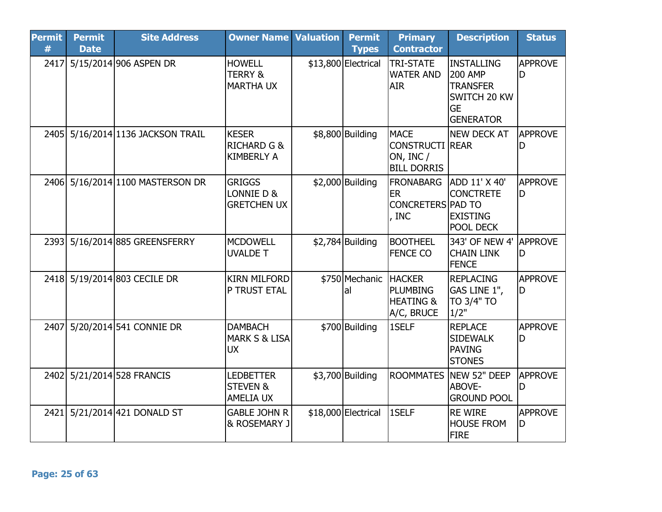| <b>Permit</b><br># | <b>Permit</b><br><b>Date</b> | <b>Site Address</b>               | <b>Owner Name Valuation</b>                                 | <b>Permit</b><br><b>Types</b> | <b>Primary</b><br><b>Contractor</b>                                      | <b>Description</b>                                                                                      | <b>Status</b>         |
|--------------------|------------------------------|-----------------------------------|-------------------------------------------------------------|-------------------------------|--------------------------------------------------------------------------|---------------------------------------------------------------------------------------------------------|-----------------------|
| 2417               |                              | 5/15/2014 906 ASPEN DR            | <b>HOWELL</b><br><b>TERRY &amp;</b><br><b>MARTHA UX</b>     | \$13,800 Electrical           | TRI-STATE<br><b>WATER AND</b><br><b>AIR</b>                              | <b>INSTALLING</b><br><b>200 AMP</b><br><b>TRANSFER</b><br>SWITCH 20 KW<br><b>GE</b><br><b>GENERATOR</b> | <b>APPROVE</b><br>D   |
|                    |                              | 2405 5/16/2014 1136 JACKSON TRAIL | <b>KESER</b><br><b>RICHARD G &amp;</b><br><b>KIMBERLY A</b> | \$8,800 Building              | <b>MACE</b><br><b>CONSTRUCTI REAR</b><br>ON, INC /<br><b>BILL DORRIS</b> | <b>NEW DECK AT</b>                                                                                      | <b>APPROVE</b><br>D   |
|                    |                              | 2406 5/16/2014 1100 MASTERSON DR  | <b>GRIGGS</b><br>LONNIE D &<br><b>GRETCHEN UX</b>           | $$2,000$ Building             | <b>FRONABARG</b><br><b>ER</b><br><b>CONCRETERS PAD TO</b><br>INC         | ADD 11' X 40'<br><b>CONCTRETE</b><br><b>EXISTING</b><br><b>POOL DECK</b>                                | APPROVE<br>ID         |
|                    |                              | 2393 5/16/2014 885 GREENSFERRY    | <b>MCDOWELL</b><br><b>UVALDE T</b>                          | $$2,784$ Building             | <b>BOOTHEEL</b><br><b>FENCE CO</b>                                       | 343' OF NEW 4'<br><b>CHAIN LINK</b><br><b>FENCE</b>                                                     | <b>APPROVE</b><br>ID  |
|                    |                              | 2418 5/19/2014 803 CECILE DR      | <b>KIRN MILFORD</b><br>P TRUST ETAL                         | \$750 Mechanic HACKER<br>lal  | <b>PLUMBING</b><br><b>HEATING &amp;</b><br>A/C, BRUCE                    | <b>REPLACING</b><br>GAS LINE 1",<br>TO 3/4" TO<br>1/2"                                                  | <b>APPROVE</b><br>ID  |
| 2407               |                              | 5/20/2014 541 CONNIE DR           | <b>DAMBACH</b><br><b>MARK S &amp; LISA</b><br><b>UX</b>     | \$700 Building                | 1SELF                                                                    | <b>REPLACE</b><br><b>SIDEWALK</b><br><b>PAVING</b><br><b>STONES</b>                                     | <b>APPROVE</b><br>ID  |
|                    |                              | 2402 5/21/2014 528 FRANCIS        | <b>LEDBETTER</b><br><b>STEVEN &amp;</b><br><b>AMELIA UX</b> | $$3,700$ Building             | <b>ROOMMATES</b>                                                         | NEW 52" DEEP<br>ABOVE-<br><b>GROUND POOL</b>                                                            | <b>APPROVE</b><br>D   |
| 2421               |                              | 5/21/2014 421 DONALD ST           | <b>GABLE JOHN R</b><br>& ROSEMARY J                         | \$18,000 Electrical           | 1SELF                                                                    | <b>RE WIRE</b><br><b>HOUSE FROM</b><br><b>FIRE</b>                                                      | <b>APPROVE</b><br>ID. |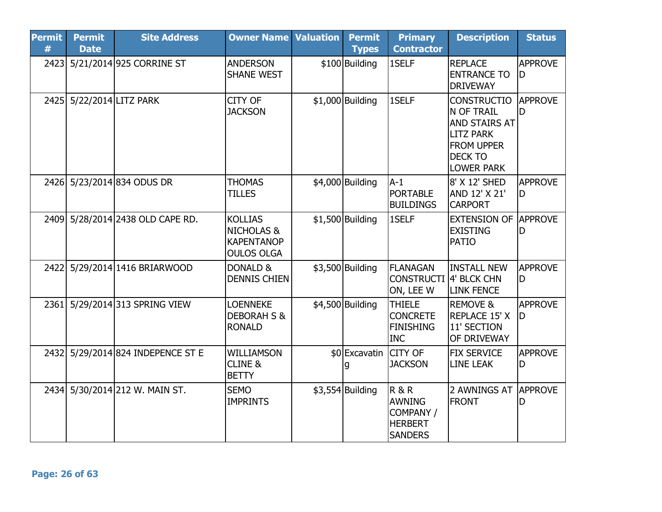| <b>Permit</b><br># | <b>Permit</b><br><b>Date</b> | <b>Site Address</b>               | <b>Owner Name Valuation</b>                                                       | <b>Permit</b><br><b>Types</b> | <b>Primary</b><br><b>Contractor</b>                                              | <b>Description</b>                                                                                                                | <b>Status</b>        |
|--------------------|------------------------------|-----------------------------------|-----------------------------------------------------------------------------------|-------------------------------|----------------------------------------------------------------------------------|-----------------------------------------------------------------------------------------------------------------------------------|----------------------|
| 2423               |                              | 5/21/2014 925 CORRINE ST          | <b>ANDERSON</b><br><b>SHANE WEST</b>                                              | \$100 Building                | 1SELF                                                                            | <b>REPLACE</b><br><b>ENTRANCE TO</b><br><b>DRIVEWAY</b>                                                                           | <b>APPROVE</b><br>D  |
|                    | 2425 5/22/2014 LITZ PARK     |                                   | CITY OF<br><b>JACKSON</b>                                                         | $$1,000$ Building             | 1SELF                                                                            | <b>CONSTRUCTIO</b><br>N OF TRAIL<br>AND STAIRS AT<br><b>LITZ PARK</b><br><b>FROM UPPER</b><br><b>DECK TO</b><br><b>LOWER PARK</b> | <b>APPROVE</b><br>D  |
|                    |                              | 2426 5/23/2014 834 ODUS DR        | <b>THOMAS</b><br><b>TILLES</b>                                                    | \$4,000 Building              | $A-1$<br><b>PORTABLE</b><br><b>BUILDINGS</b>                                     | 8' X 12' SHED<br>AND 12' X 21'<br><b>CARPORT</b>                                                                                  | <b>APPROVE</b><br>D  |
|                    |                              | 2409 5/28/2014 2438 OLD CAPE RD.  | <b>KOLLIAS</b><br><b>NICHOLAS &amp;</b><br><b>KAPENTANOP</b><br><b>OULOS OLGA</b> | $$1,500$ Building             | 1SELF                                                                            | <b>EXTENSION OF</b><br><b>EXISTING</b><br><b>PATIO</b>                                                                            | <b>APPROVE</b><br>lD |
|                    |                              | 2422 5/29/2014 1416 BRIARWOOD     | DONALD &<br><b>DENNIS CHIEN</b>                                                   | $$3,500$ Building             | <b>FLANAGAN</b><br><b>CONSTRUCTI</b><br>ON, LEE W                                | <b>INSTALL NEW</b><br>4' BLCK CHN<br><b>LINK FENCE</b>                                                                            | <b>APPROVE</b><br>ID |
|                    |                              | 2361 5/29/2014 313 SPRING VIEW    | <b>LOENNEKE</b><br><b>DEBORAH S &amp;</b><br><b>RONALD</b>                        | \$4,500 Building              | <b>THIELE</b><br><b>CONCRETE</b><br><b>FINISHING</b><br><b>INC</b>               | <b>REMOVE &amp;</b><br>REPLACE 15' X<br>11' SECTION<br>OF DRIVEWAY                                                                | <b>APPROVE</b><br>ID |
|                    |                              | 2432 5/29/2014 824 INDEPENCE ST E | <b>WILLIAMSON</b><br><b>CLINE &amp;</b><br><b>BETTY</b>                           | \$0 Excavatin CITY OF         | <b>JACKSON</b>                                                                   | <b>FIX SERVICE</b><br><b>LINE LEAK</b>                                                                                            | <b>APPROVE</b><br>D  |
|                    |                              | 2434 5/30/2014 212 W. MAIN ST.    | <b>SEMO</b><br><b>IMPRINTS</b>                                                    | $$3,554$ Building             | <b>R&amp;R</b><br><b>AWNING</b><br>COMPANY /<br><b>HERBERT</b><br><b>SANDERS</b> | 2 AWNINGS AT<br><b>FRONT</b>                                                                                                      | <b>APPROVE</b><br>D  |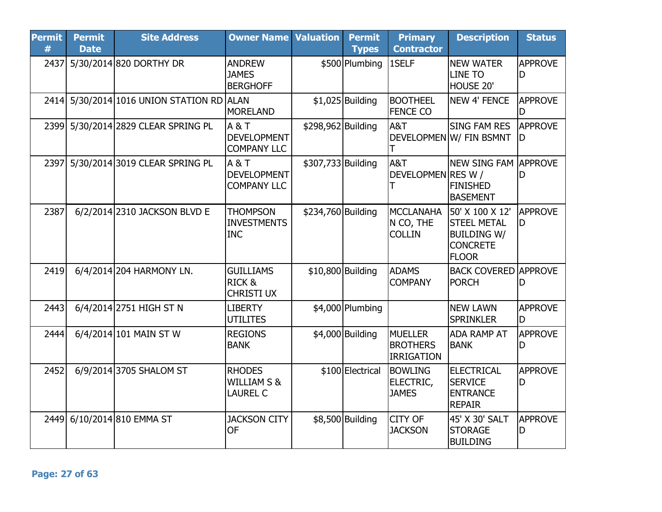| <b>Permit</b><br># | <b>Permit</b><br><b>Date</b> | <b>Site Address</b>                  | <b>Owner Name Valuation</b>                                |                    | <b>Permit</b><br><b>Types</b> | <b>Primary</b><br><b>Contractor</b>                    | <b>Description</b>                                                                             | <b>Status</b>         |
|--------------------|------------------------------|--------------------------------------|------------------------------------------------------------|--------------------|-------------------------------|--------------------------------------------------------|------------------------------------------------------------------------------------------------|-----------------------|
| 2437               |                              | 5/30/2014 820 DORTHY DR              | <b>ANDREW</b><br><b>JAMES</b><br><b>BERGHOFF</b>           |                    | \$500 Plumbing                | 1SELF                                                  | <b>NEW WATER</b><br><b>LINE TO</b><br>HOUSE 20'                                                | <b>APPROVE</b><br>D   |
| 2414               |                              | 5/30/2014 1016 UNION STATION RD ALAN | <b>MORELAND</b>                                            |                    | $$1,025$ Building             | <b>BOOTHEEL</b><br><b>FENCE CO</b>                     | <b>NEW 4' FENCE</b>                                                                            | APPROVE               |
|                    |                              | 2399 5/30/2014 2829 CLEAR SPRING PL  | A & T<br><b>DEVELOPMENT</b><br><b>COMPANY LLC</b>          | \$298,962 Building |                               | A&T                                                    | <b>SING FAM RES</b><br>DEVELOPMEN W/ FIN BSMNT                                                 | <b>APPROVE</b><br>ID  |
|                    |                              | 2397 5/30/2014 3019 CLEAR SPRING PL  | $A$ &T<br><b>DEVELOPMENT</b><br><b>COMPANY LLC</b>         | \$307,733 Building |                               | A&T<br>DEVELOPMEN RES W /<br>T                         | <b>NEW SING FAM LAPPROVE</b><br><b>FINISHED</b><br><b>BASEMENT</b>                             | D                     |
| 2387               |                              | 6/2/2014 2310 JACKSON BLVD E         | <b>THOMPSON</b><br><b>INVESTMENTS</b><br><b>INC</b>        | \$234,760 Building |                               | <b>MCCLANAHA</b><br>N CO, THE<br><b>COLLIN</b>         | 50' X 100 X 12'<br><b>STEEL METAL</b><br><b>BUILDING W/</b><br><b>CONCRETE</b><br><b>FLOOR</b> | <b>APPROVE</b><br>ID. |
| 2419               |                              | 6/4/2014 204 HARMONY LN.             | <b>GUILLIAMS</b><br>RICK&<br><b>CHRISTI UX</b>             |                    | \$10,800 Building             | <b>ADAMS</b><br><b>COMPANY</b>                         | <b>BACK COVERED APPROVE</b><br><b>PORCH</b>                                                    | D                     |
| 2443               |                              | 6/4/2014 2751 HIGH ST N              | <b>LIBERTY</b><br><b>UTILITES</b>                          |                    | \$4,000 Plumbing              |                                                        | <b>NEW LAWN</b><br><b>SPRINKLER</b>                                                            | <b>APPROVE</b><br>D   |
| 2444               |                              | 6/4/2014 101 MAIN ST W               | <b>REGIONS</b><br><b>BANK</b>                              |                    | \$4,000 Building              | <b>MUELLER</b><br><b>BROTHERS</b><br><b>IRRIGATION</b> | <b>ADA RAMP AT</b><br><b>BANK</b>                                                              | <b>APPROVE</b><br>D   |
| 2452               |                              | 6/9/2014 3705 SHALOM ST              | <b>RHODES</b><br><b>WILLIAM S &amp;</b><br><b>LAUREL C</b> |                    | \$100 Electrical              | <b>BOWLING</b><br>ELECTRIC,<br><b>JAMES</b>            | <b>ELECTRICAL</b><br><b>SERVICE</b><br><b>ENTRANCE</b><br><b>REPAIR</b>                        | <b>APPROVE</b><br>D   |
|                    |                              | 2449 6/10/2014 810 EMMA ST           | <b>JACKSON CITY</b><br><b>OF</b>                           |                    | \$8,500 Building              | <b>CITY OF</b><br><b>JACKSON</b>                       | 45' X 30' SALT<br><b>STORAGE</b><br><b>BUILDING</b>                                            | <b>APPROVE</b><br>ID  |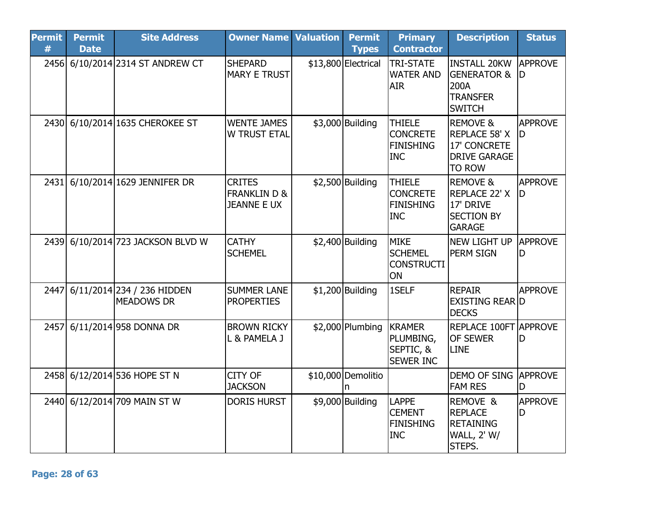| <b>Permit</b><br># | <b>Permit</b><br><b>Date</b> | <b>Site Address</b>                             | <b>Owner Name</b>                                              | <b>Valuation</b> | <b>Permit</b><br><b>Types</b> | <b>Primary</b><br><b>Contractor</b>                                | <b>Description</b>                                                                                  | <b>Status</b>        |
|--------------------|------------------------------|-------------------------------------------------|----------------------------------------------------------------|------------------|-------------------------------|--------------------------------------------------------------------|-----------------------------------------------------------------------------------------------------|----------------------|
|                    |                              | 2456 6/10/2014 2314 ST ANDREW CT                | <b>SHEPARD</b><br><b>MARY E TRUST</b>                          |                  | \$13,800 Electrical           | <b>TRI-STATE</b><br><b>WATER AND</b><br><b>AIR</b>                 | <b>INSTALL 20KW</b><br><b>GENERATOR &amp;</b><br>200A<br><b>TRANSFER</b><br><b>SWITCH</b>           | <b>APPROVE</b><br>ID |
| 2430               |                              | 6/10/2014 1635 CHEROKEE ST                      | <b>WENTE JAMES</b><br><b>W TRUST ETAL</b>                      |                  | \$3,000 Building              | <b>THIELE</b><br><b>CONCRETE</b><br><b>FINISHING</b><br><b>INC</b> | <b>REMOVE &amp;</b><br><b>REPLACE 58' X</b><br>17' CONCRETE<br><b>DRIVE GARAGE</b><br><b>TO ROW</b> | <b>APPROVE</b><br>ID |
| 2431               |                              | 6/10/2014 1629 JENNIFER DR                      | <b>CRITES</b><br><b>FRANKLIN D &amp;</b><br><b>JEANNE E UX</b> |                  | $$2,500$ Building             | <b>THIELE</b><br><b>CONCRETE</b><br><b>FINISHING</b><br><b>INC</b> | <b>REMOVE &amp;</b><br><b>REPLACE 22' X</b><br>17' DRIVE<br><b>SECTION BY</b><br><b>GARAGE</b>      | <b>APPROVE</b><br>ID |
| 2439               |                              | 6/10/2014 723 JACKSON BLVD W                    | <b>CATHY</b><br><b>SCHEMEL</b>                                 |                  | $$2,400$ Building             | <b>MIKE</b><br><b>SCHEMEL</b><br><b>CONSTRUCTI</b><br>ON           | <b>NEW LIGHT UP</b><br>PERM SIGN                                                                    | APPROVE<br>ID        |
| 2447               |                              | 6/11/2014 234 / 236 HIDDEN<br><b>MEADOWS DR</b> | <b>SUMMER LANE</b><br><b>PROPERTIES</b>                        |                  | $$1,200$ Building             | 1SELF                                                              | <b>REPAIR</b><br>EXISTING REAR D<br><b>DECKS</b>                                                    | <b>APPROVE</b>       |
| 2457               |                              | 6/11/2014 958 DONNA DR                          | <b>BROWN RICKY</b><br>L & PAMELA J                             |                  | $$2,000$ Plumbing             | <b>KRAMER</b><br>PLUMBING,<br>SEPTIC, &<br><b>SEWER INC</b>        | <b>REPLACE 100FT APPROVE</b><br><b>OF SEWER</b><br>LINE                                             | D                    |
|                    |                              | 2458 6/12/2014 536 HOPE ST N                    | CITY OF<br><b>JACKSON</b>                                      |                  | \$10,000 Demolitio            |                                                                    | DEMO OF SING APPROVE<br><b>FAM RES</b>                                                              | D                    |
|                    |                              | 2440 6/12/2014 709 MAIN ST W                    | <b>DORIS HURST</b>                                             |                  | \$9,000 Building              | <b>LAPPE</b><br><b>CEMENT</b><br><b>FINISHING</b><br><b>INC</b>    | REMOVE &<br><b>REPLACE</b><br><b>RETAINING</b><br><b>WALL, 2' W/</b><br>STEPS.                      | <b>APPROVE</b><br>ID |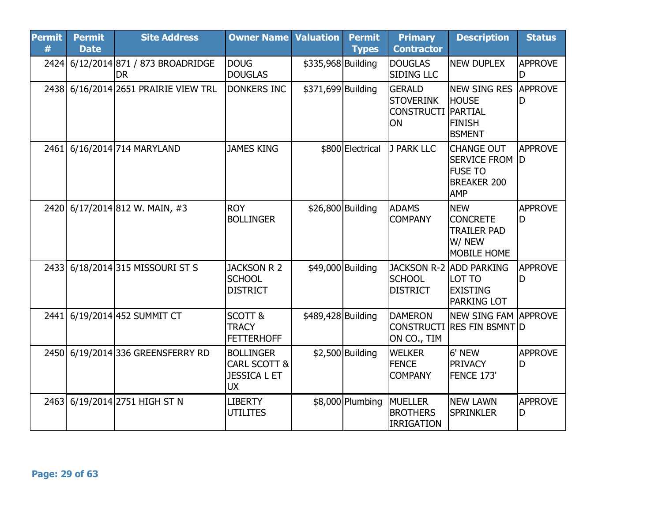| <b>Permit</b><br># | <b>Permit</b><br><b>Date</b> | <b>Site Address</b>                              | <b>Owner Name Valuation</b>                                                     |                    | <b>Permit</b><br><b>Types</b> | <b>Primary</b><br><b>Contractor</b>                          | <b>Description</b>                                                                             | <b>Status</b>        |
|--------------------|------------------------------|--------------------------------------------------|---------------------------------------------------------------------------------|--------------------|-------------------------------|--------------------------------------------------------------|------------------------------------------------------------------------------------------------|----------------------|
|                    |                              | 2424 6/12/2014 871 / 873 BROADRIDGE<br><b>DR</b> | <b>DOUG</b><br><b>DOUGLAS</b>                                                   | \$335,968 Building |                               | <b>DOUGLAS</b><br><b>SIDING LLC</b>                          | <b>NEW DUPLEX</b>                                                                              | <b>APPROVE</b><br>D  |
|                    |                              | 2438 6/16/2014 2651 PRAIRIE VIEW TRL             | <b>DONKERS INC</b>                                                              | \$371,699 Building |                               | <b>GERALD</b><br><b>STOVERINK</b><br><b>CONSTRUCTI</b><br>ON | <b>NEW SING RES</b><br><b>HOUSE</b><br><b>PARTIAL</b><br><b>FINISH</b><br><b>BSMENT</b>        | <b>APPROVE</b>       |
| 2461               |                              | 6/16/2014 714 MARYLAND                           | <b>JAMES KING</b>                                                               |                    | \$800 Electrical              | J PARK LLC                                                   | <b>CHANGE OUT</b><br><b>SERVICE FROM</b><br><b>FUSE TO</b><br><b>BREAKER 200</b><br><b>AMP</b> | <b>APPROVE</b><br>ID |
|                    |                              | 2420 6/17/2014 812 W. MAIN, #3                   | <b>ROY</b><br><b>BOLLINGER</b>                                                  |                    | \$26,800 Building             | <b>ADAMS</b><br><b>COMPANY</b>                               | <b>NEW</b><br><b>CONCRETE</b><br><b>TRAILER PAD</b><br>W/ NEW<br>MOBILE HOME                   | <b>APPROVE</b><br>D  |
| 2433               |                              | 6/18/2014 315 MISSOURI ST S                      | <b>JACKSON R 2</b><br><b>SCHOOL</b><br><b>DISTRICT</b>                          |                    | \$49,000 Building             | <b>JACKSON R-2</b><br><b>SCHOOL</b><br><b>DISTRICT</b>       | <b>ADD PARKING</b><br>LOT TO<br><b>EXISTING</b><br><b>PARKING LOT</b>                          | <b>APPROVE</b><br>ID |
|                    |                              | 2441 6/19/2014 452 SUMMIT CT                     | SCOTT &<br><b>TRACY</b><br><b>FETTERHOFF</b>                                    | \$489,428 Building |                               | <b>DAMERON</b><br>ON CO., TIM                                | <b>NEW SING FAM APPROVE</b><br>CONSTRUCTI RES FIN BSMNT D                                      |                      |
|                    |                              | 2450 6/19/2014 336 GREENSFERRY RD                | <b>BOLLINGER</b><br><b>CARL SCOTT &amp;</b><br><b>JESSICA L ET</b><br><b>UX</b> |                    | $$2,500$ Building             | <b>WELKER</b><br><b>FENCE</b><br><b>COMPANY</b>              | 6' NEW<br><b>PRIVACY</b><br>FENCE 173'                                                         | <b>APPROVE</b><br>D  |
|                    |                              | 2463 6/19/2014 2751 HIGH ST N                    | <b>LIBERTY</b><br><b>UTILITES</b>                                               |                    | \$8,000 Plumbing              | <b>MUELLER</b><br><b>BROTHERS</b><br><b>IRRIGATION</b>       | <b>NEW LAWN</b><br><b>SPRINKLER</b>                                                            | <b>APPROVE</b><br>D  |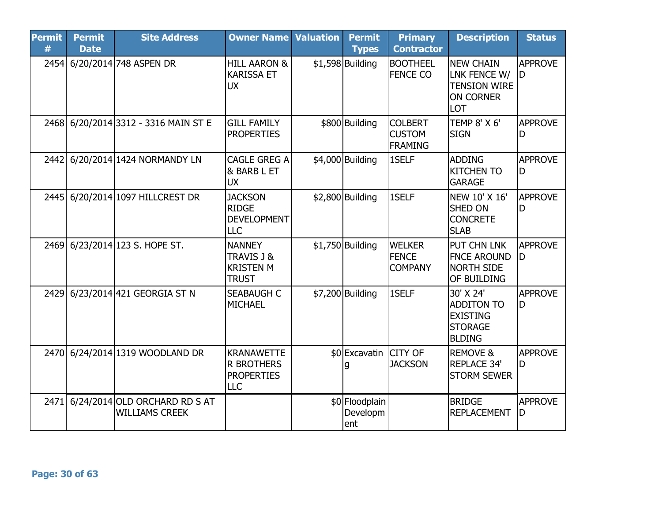| <b>Permit</b><br># | <b>Permit</b><br><b>Date</b> | <b>Site Address</b>                                    | <b>Owner Name</b>                                                         | <b>Valuation</b> | <b>Permit</b><br><b>Types</b>     | <b>Primary</b><br><b>Contractor</b>               | <b>Description</b>                                                                   | <b>Status</b>        |
|--------------------|------------------------------|--------------------------------------------------------|---------------------------------------------------------------------------|------------------|-----------------------------------|---------------------------------------------------|--------------------------------------------------------------------------------------|----------------------|
| 2454               |                              | 6/20/2014 748 ASPEN DR                                 | <b>HILL AARON &amp;</b><br><b>KARISSA ET</b><br><b>UX</b>                 |                  | $$1,598$ Building                 | <b>BOOTHEEL</b><br><b>FENCE CO</b>                | <b>INEW CHAIN</b><br>LNK FENCE W/<br><b>TENSION WIRE</b><br>ON CORNER<br>LOT         | <b>APPROVE</b><br>ID |
|                    |                              | 2468 6/20/2014 3312 - 3316 MAIN ST E                   | <b>GILL FAMILY</b><br><b>PROPERTIES</b>                                   |                  | \$800 Building                    | <b>COLBERT</b><br><b>CUSTOM</b><br><b>FRAMING</b> | <b>TEMP 8' X 6'</b><br><b>SIGN</b>                                                   | <b>APPROVE</b><br>D  |
| 2442               |                              | 6/20/2014 1424 NORMANDY LN                             | <b>CAGLE GREG A</b><br>& BARB L ET<br><b>UX</b>                           |                  | \$4,000 Building                  | 1SELF                                             | <b>ADDING</b><br><b>IKITCHEN TO</b><br><b>GARAGE</b>                                 | <b>APPROVE</b><br>ID |
| 2445               |                              | 6/20/2014 1097 HILLCREST DR                            | <b>JACKSON</b><br><b>RIDGE</b><br><b>DEVELOPMENT</b><br><b>LLC</b>        |                  | $$2,800$ Building                 | 1SELF                                             | NEW 10' X 16'<br><b>SHED ON</b><br><b>CONCRETE</b><br><b>SLAB</b>                    | <b>APPROVE</b><br>D  |
| 2469               |                              | 6/23/2014 123 S. HOPE ST.                              | <b>NANNEY</b><br>TRAVIS J &<br><b>KRISTEN M</b><br><b>TRUST</b>           |                  | $$1,750$ Building                 | <b>WELKER</b><br><b>FENCE</b><br><b>COMPANY</b>   | <b>PUT CHN LNK</b><br><b>FNCE AROUND</b><br><b>NORTH SIDE</b><br><b>OF BUILDING</b>  | <b>APPROVE</b><br>ID |
| 2429               |                              | 6/23/2014 421 GEORGIA ST N                             | <b>SEABAUGH C</b><br><b>MICHAEL</b>                                       |                  | \$7,200 Building                  | 1SELF                                             | 30' X 24'<br><b>ADDITON TO</b><br><b>EXISTING</b><br><b>STORAGE</b><br><b>BLDING</b> | <b>APPROVE</b><br>D  |
| <b>2470</b>        |                              | 6/24/2014 1319 WOODLAND DR                             | <b>KRANAWETTE</b><br><b>R BROTHERS</b><br><b>PROPERTIES</b><br><b>LLC</b> |                  | \$0 Excavatin CITY OF<br>a        | <b>JACKSON</b>                                    | <b>REMOVE &amp;</b><br><b>REPLACE 34'</b><br><b>STORM SEWER</b>                      | <b>APPROVE</b><br>ID |
| 2471               |                              | 6/24/2014 OLD ORCHARD RD S AT<br><b>WILLIAMS CREEK</b> |                                                                           |                  | \$0 Floodplain<br>Developm<br>ent |                                                   | <b>BRIDGE</b><br>REPLACEMENT                                                         | <b>APPROVE</b><br>ID |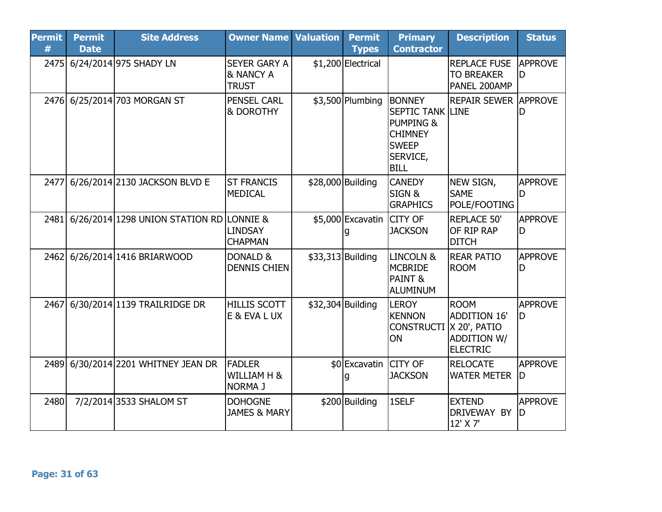| <b>Permit</b><br># | <b>Permit</b><br><b>Date</b> | <b>Site Address</b>                           | <b>Owner Name Valuation</b>                                 |                   | <b>Permit</b><br><b>Types</b>  | <b>Primary</b><br><b>Contractor</b>                                                                                           | <b>Description</b>                                                                          | <b>Status</b>         |
|--------------------|------------------------------|-----------------------------------------------|-------------------------------------------------------------|-------------------|--------------------------------|-------------------------------------------------------------------------------------------------------------------------------|---------------------------------------------------------------------------------------------|-----------------------|
| 2475               |                              | 6/24/2014 975 SHADY LN                        | <b>SEYER GARY A</b><br><b>&amp; NANCY A</b><br><b>TRUST</b> |                   | \$1,200 Electrical             |                                                                                                                               | <b>REPLACE FUSE</b><br><b>TO BREAKER</b><br>PANEL 200AMP                                    | <b>APPROVE</b><br>D   |
|                    |                              | 2476 6/25/2014 703 MORGAN ST                  | <b>PENSEL CARL</b><br><b>&amp; DOROTHY</b>                  |                   | $$3,500$ Plumbing              | <b>BONNEY</b><br><b>SEPTIC TANK LINE</b><br><b>PUMPING &amp;</b><br><b>CHIMNEY</b><br><b>SWEEP</b><br>SERVICE,<br><b>BILL</b> | <b>REPAIR SEWER APPROVE</b>                                                                 | D                     |
| 2477               |                              | 6/26/2014 2130 JACKSON BLVD E                 | <b>ST FRANCIS</b><br><b>MEDICAL</b>                         | \$28,000 Building |                                | <b>CANEDY</b><br>SIGN&<br><b>GRAPHICS</b>                                                                                     | NEW SIGN,<br><b>SAME</b><br>POLE/FOOTING                                                    | <b>APPROVE</b><br>ID  |
|                    |                              | 2481 6/26/2014 1298 UNION STATION RD LONNIE & | <b>LINDSAY</b><br><b>CHAPMAN</b>                            |                   | \$5,000 Excavatin CITY OF<br>g | <b>JACKSON</b>                                                                                                                | <b>REPLACE 50'</b><br>OF RIP RAP<br><b>DITCH</b>                                            | <b>APPROVE</b><br>ID. |
| 2462               |                              | 6/26/2014 1416 BRIARWOOD                      | DONALD &<br><b>DENNIS CHIEN</b>                             |                   | \$33,313 Building              | LINCOLN &<br><b>MCBRIDE</b><br>PAINT &<br><b>ALUMINUM</b>                                                                     | <b>REAR PATIO</b><br><b>ROOM</b>                                                            | <b>APPROVE</b><br>D   |
| 2467               |                              | 6/30/2014 1139 TRAILRIDGE DR                  | <b>HILLIS SCOTT</b><br>E & EVA L UX                         |                   | \$32,304 Building              | <b>LEROY</b><br><b>KENNON</b><br><b>CONSTRUCTI</b><br>ON                                                                      | <b>ROOM</b><br><b>ADDITION 16'</b><br>X 20', PATIO<br><b>ADDITION W/</b><br><b>ELECTRIC</b> | <b>APPROVE</b><br>ID  |
| 2489               |                              | 6/30/2014 2201 WHITNEY JEAN DR                | <b>FADLER</b><br>WILLIAM H &<br><b>NORMA J</b>              |                   | \$0 Excavatin CITY OF          | <b>JACKSON</b>                                                                                                                | <b>RELOCATE</b><br><b>WATER METER</b>                                                       | <b>APPROVE</b><br>ID  |
| 2480               |                              | 7/2/2014 3533 SHALOM ST                       | <b>DOHOGNE</b><br><b>JAMES &amp; MARY</b>                   |                   | \$200 Building                 | 1SELF                                                                                                                         | <b>EXTEND</b><br>DRIVEWAY BY<br>12' X 7'                                                    | <b>APPROVE</b><br>ID  |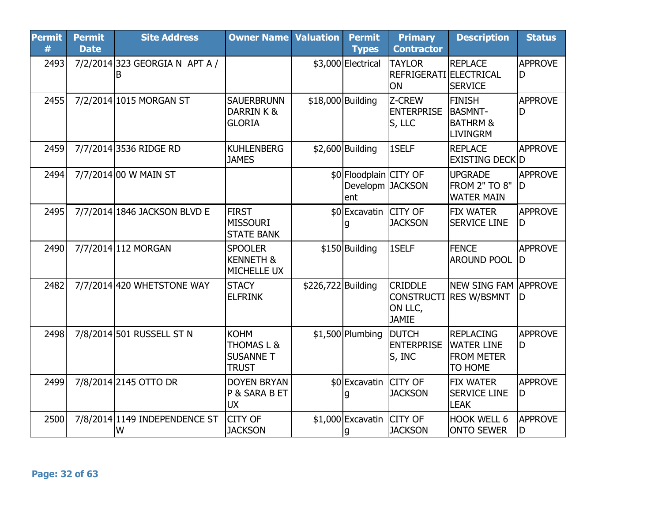| <b>Permit</b><br># | <b>Permit</b><br><b>Date</b> | <b>Site Address</b>                 | <b>Owner Name Valuation</b>                                              |                    | <b>Permit</b><br><b>Types</b>                      | <b>Primary</b><br><b>Contractor</b>                  | <b>Description</b>                                                        | <b>Status</b>        |
|--------------------|------------------------------|-------------------------------------|--------------------------------------------------------------------------|--------------------|----------------------------------------------------|------------------------------------------------------|---------------------------------------------------------------------------|----------------------|
| 2493               |                              | 7/2/2014 323 GEORGIA N APT A /<br>в |                                                                          |                    | \$3,000 Electrical                                 | <b>TAYLOR</b><br>REFRIGERATI ELECTRICAL<br><b>ON</b> | <b>REPLACE</b><br><b>SERVICE</b>                                          | <b>APPROVE</b><br>D  |
| 2455               |                              | 7/2/2014 1015 MORGAN ST             | <b>SAUERBRUNN</b><br>DARRINK&<br><b>GLORIA</b>                           |                    | \$18,000 Building                                  | Z-CREW<br><b>ENTERPRISE</b><br>S, LLC                | <b>FINISH</b><br><b>BASMNT-</b><br><b>BATHRM &amp;</b><br><b>LIVINGRM</b> | <b>APPROVE</b><br>D  |
| 2459               |                              | 7/7/2014 3536 RIDGE RD              | <b>KUHLENBERG</b><br><b>JAMES</b>                                        |                    | $$2,600$ Building                                  | 1SELF                                                | <b>REPLACE</b><br><b>EXISTING DECKID</b>                                  | <b>APPROVE</b>       |
| 2494               |                              | 7/7/2014 00 W MAIN ST               |                                                                          |                    | \$0 Floodplain CITY OF<br>Developm JACKSON<br>lent |                                                      | <b>UPGRADE</b><br><b>FROM 2" TO 8"</b><br><b>WATER MAIN</b>               | <b>APPROVE</b><br>ID |
| 2495               |                              | 7/7/2014 1846 JACKSON BLVD E        | <b>FIRST</b><br><b>MISSOURI</b><br><b>STATE BANK</b>                     |                    | \$0 Excavatin CITY OF                              | <b>JACKSON</b>                                       | <b>FIX WATER</b><br><b>SERVICE LINE</b>                                   | <b>APPROVE</b><br>ID |
| 2490               |                              | 7/7/2014 112 MORGAN                 | <b>SPOOLER</b><br><b>KENNETH &amp;</b><br>MICHELLE UX                    |                    | \$150 Building                                     | 1SELF                                                | <b>FENCE</b><br><b>AROUND POOL</b>                                        | <b>APPROVE</b><br>ID |
| 2482               |                              | 7/7/2014 420 WHETSTONE WAY          | <b>STACY</b><br><b>ELFRINK</b>                                           | \$226,722 Building |                                                    | <b>CRIDDLE</b><br>ON LLC,<br><b>JAMIE</b>            | <b>NEW SING FAM APPROVE</b><br><b>CONSTRUCTI RES W/BSMNT</b>              | ID                   |
| 2498               |                              | 7/8/2014 501 RUSSELL ST N           | <b>KOHM</b><br><b>THOMAS L &amp;</b><br><b>SUSANNE T</b><br><b>TRUST</b> |                    | $$1,500$ Plumbing                                  | <b>DUTCH</b><br><b>ENTERPRISE</b><br>S, INC          | <b>REPLACING</b><br><b>WATER LINE</b><br><b>FROM METER</b><br>TO HOME     | <b>APPROVE</b><br>D  |
| 2499               |                              | 7/8/2014 2145 OTTO DR               | <b>DOYEN BRYAN</b><br>P & SARA B ET<br><b>UX</b>                         |                    | \$0 Excavatin CITY OF                              | <b>JACKSON</b>                                       | <b>FIX WATER</b><br><b>SERVICE LINE</b><br><b>LEAK</b>                    | <b>APPROVE</b><br>ID |
| 2500               |                              | 7/8/2014 1149 INDEPENDENCE ST<br>lW | <b>CITY OF</b><br><b>JACKSON</b>                                         |                    | \$1,000 Excavatin CITY OF<br>g                     | <b>JACKSON</b>                                       | <b>HOOK WELL 6</b><br><b>ONTO SEWER</b>                                   | <b>APPROVE</b><br>D  |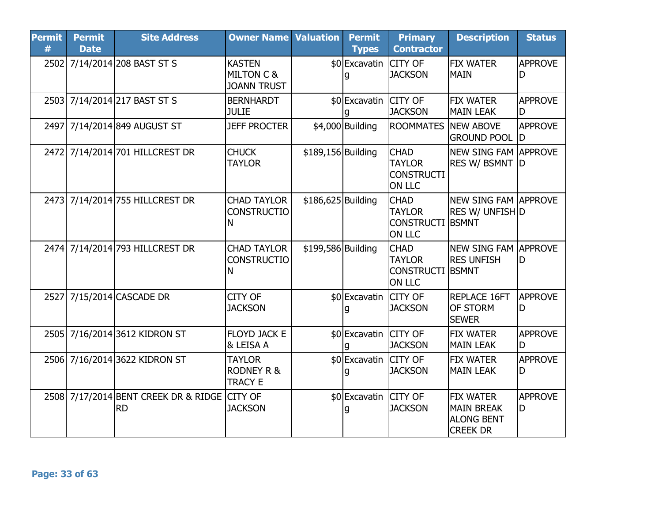| <b>Permit</b><br># | <b>Permit</b><br><b>Date</b> | <b>Site Address</b>                               | <b>Owner Name Valuation</b>                                  |                    | <b>Permit</b><br><b>Types</b> | <b>Primary</b><br><b>Contractor</b>                                | <b>Description</b>                                                            | <b>Status</b>         |
|--------------------|------------------------------|---------------------------------------------------|--------------------------------------------------------------|--------------------|-------------------------------|--------------------------------------------------------------------|-------------------------------------------------------------------------------|-----------------------|
|                    |                              | 2502 7/14/2014 208 BAST ST S                      | <b>KASTEN</b><br><b>MILTON C &amp;</b><br><b>JOANN TRUST</b> |                    | \$0 Excavatin                 | <b>CITY OF</b><br><b>JACKSON</b>                                   | <b>FIX WATER</b><br><b>MAIN</b>                                               | <b>APPROVE</b><br>D   |
|                    |                              | 2503 7/14/2014 217 BAST ST S                      | <b>BERNHARDT</b><br><b>JULIE</b>                             |                    | \$0 Excavatin CITY OF         | <b>JACKSON</b>                                                     | <b>FIX WATER</b><br><b>MAIN LEAK</b>                                          | <b>APPROVE</b><br>ID  |
|                    |                              | 2497 7/14/2014 849 AUGUST ST                      | <b>JEFF PROCTER</b>                                          |                    | \$4,000 Building              | <b>ROOMMATES</b>                                                   | <b>NEW ABOVE</b><br><b>GROUND POOL D</b>                                      | <b>APPROVE</b>        |
|                    |                              | 2472 7/14/2014 701 HILLCREST DR                   | <b>CHUCK</b><br><b>TAYLOR</b>                                | \$189,156 Building |                               | <b>CHAD</b><br><b>TAYLOR</b><br><b>CONSTRUCTI</b><br><b>ON LLC</b> | NEW SING FAM APPROVE<br><b>RES W/ BSMNT D</b>                                 |                       |
|                    |                              | 2473 7/14/2014 755 HILLCREST DR                   | <b>CHAD TAYLOR</b><br><b>CONSTRUCTIO</b><br>Ν                | \$186,625 Building |                               | <b>CHAD</b><br><b>TAYLOR</b><br>CONSTRUCTI BSMNT<br><b>ON LLC</b>  | <b>NEW SING FAM APPROVE</b><br><b>RES W/ UNFISH D</b>                         |                       |
|                    |                              | 2474 7/14/2014 793 HILLCREST DR                   | <b>CHAD TAYLOR</b><br><b>CONSTRUCTIO</b><br>Ν                | \$199,586 Building |                               | <b>CHAD</b><br><b>TAYLOR</b><br><b>CONSTRUCTI</b><br><b>ON LLC</b> | NEW SING FAM APPROVE<br><b>RES UNFISH</b><br><b>BSMNT</b>                     | ID                    |
|                    |                              | 2527 7/15/2014 CASCADE DR                         | CITY OF<br><b>JACKSON</b>                                    |                    | \$0 Excavatin CITY OF         | <b>JACKSON</b>                                                     | <b>REPLACE 16FT</b><br><b>OF STORM</b><br><b>SEWER</b>                        | <b>APPROVE</b><br>ID  |
|                    |                              | 2505 7/16/2014 3612 KIDRON ST                     | <b>FLOYD JACK E</b><br><b>&amp; LEISA A</b>                  |                    | \$0 Excavatin CITY OF         | <b>JACKSON</b>                                                     | <b>FIX WATER</b><br><b>MAIN LEAK</b>                                          | APPROVE<br>ID         |
|                    |                              | 2506 7/16/2014 3622 KIDRON ST                     | <b>TAYLOR</b><br><b>RODNEY R &amp;</b><br><b>TRACY E</b>     |                    | \$0 Excavatin CITY OF         | <b>JACKSON</b>                                                     | <b>FIX WATER</b><br><b>MAIN LEAK</b>                                          | <b>APPROVE</b><br>ID  |
|                    |                              | 2508 7/17/2014 BENT CREEK DR & RIDGE<br><b>RD</b> | <b>CITY OF</b><br><b>JACKSON</b>                             |                    | \$0 Excavatin CITY OF         | <b>JACKSON</b>                                                     | <b>FIX WATER</b><br><b>MAIN BREAK</b><br><b>ALONG BENT</b><br><b>CREEK DR</b> | <b>APPROVE</b><br>ID. |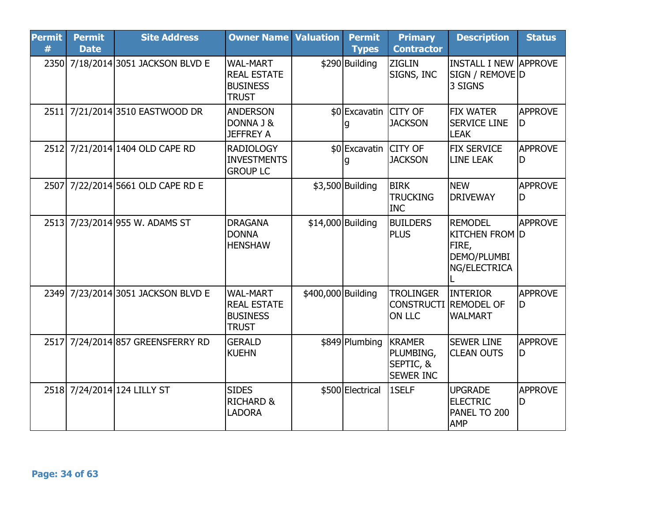| <b>Permit</b><br># | <b>Permit</b><br><b>Date</b> | <b>Site Address</b>                | <b>Owner Name Valuation</b>                                              |                    | <b>Permit</b><br><b>Types</b> | <b>Primary</b><br><b>Contractor</b>                         | <b>Description</b>                                                              | <b>Status</b>         |
|--------------------|------------------------------|------------------------------------|--------------------------------------------------------------------------|--------------------|-------------------------------|-------------------------------------------------------------|---------------------------------------------------------------------------------|-----------------------|
|                    |                              | 2350 7/18/2014 3051 JACKSON BLVD E | <b>WAL-MART</b><br><b>REAL ESTATE</b><br><b>BUSINESS</b><br><b>TRUST</b> |                    | \$290 Building                | <b>ZIGLIN</b><br>SIGNS, INC                                 | IINSTALL I NEW  APPROVE<br>SIGN / REMOVE D<br>3 SIGNS                           |                       |
|                    |                              | 2511 7/21/2014 3510 EASTWOOD DR    | <b>ANDERSON</b><br>DONNA J &<br><b>JEFFREY A</b>                         |                    | \$0 Excavatin CITY OF         | <b>JACKSON</b>                                              | <b>FIX WATER</b><br><b>SERVICE LINE</b><br><b>LEAK</b>                          | <b>APPROVE</b><br>ID. |
|                    |                              | 2512 7/21/2014 1404 OLD CAPE RD    | <b>RADIOLOGY</b><br><b>INVESTMENTS</b><br><b>GROUP LC</b>                |                    | \$0 Excavatin CITY OF         | <b>JACKSON</b>                                              | <b>FIX SERVICE</b><br><b>LINE LEAK</b>                                          | <b>APPROVE</b><br>ID  |
|                    |                              | 2507 7/22/2014 5661 OLD CAPE RD E  |                                                                          |                    | \$3,500 Building              | <b>BIRK</b><br><b>TRUCKING</b><br><b>INC</b>                | <b>NEW</b><br><b>DRIVEWAY</b>                                                   | <b>APPROVE</b><br>D   |
|                    |                              | 2513 7/23/2014 955 W. ADAMS ST     | <b>DRAGANA</b><br><b>DONNA</b><br><b>HENSHAW</b>                         | \$14,000 Building  |                               | <b>BUILDERS</b><br><b>PLUS</b>                              | <b>REMODEL</b><br><b>KITCHEN FROM D</b><br>FIRE,<br>DEMO/PLUMBI<br>NG/ELECTRICA | APPROVE               |
|                    |                              | 2349 7/23/2014 3051 JACKSON BLVD E | <b>WAL-MART</b><br><b>REAL ESTATE</b><br><b>BUSINESS</b><br><b>TRUST</b> | \$400,000 Building |                               | <b>TROLINGER</b><br><b>CONSTRUCTI</b><br><b>ON LLC</b>      | <b>INTERIOR</b><br><b>REMODEL OF</b><br><b>WALMART</b>                          | <b>APPROVE</b><br>D   |
| 2517               |                              | 7/24/2014 857 GREENSFERRY RD       | <b>GERALD</b><br><b>KUEHN</b>                                            |                    | \$849 Plumbing                | <b>KRAMER</b><br>PLUMBING,<br>SEPTIC, &<br><b>SEWER INC</b> | <b>SEWER LINE</b><br><b>CLEAN OUTS</b>                                          | <b>APPROVE</b><br>ID  |
|                    |                              | 2518 7/24/2014 124 LILLY ST        | <b>SIDES</b><br><b>RICHARD &amp;</b><br><b>LADORA</b>                    |                    | \$500 Electrical              | 1SELF                                                       | <b>UPGRADE</b><br><b>ELECTRIC</b><br>PANEL TO 200<br><b>AMP</b>                 | <b>APPROVE</b><br>ID  |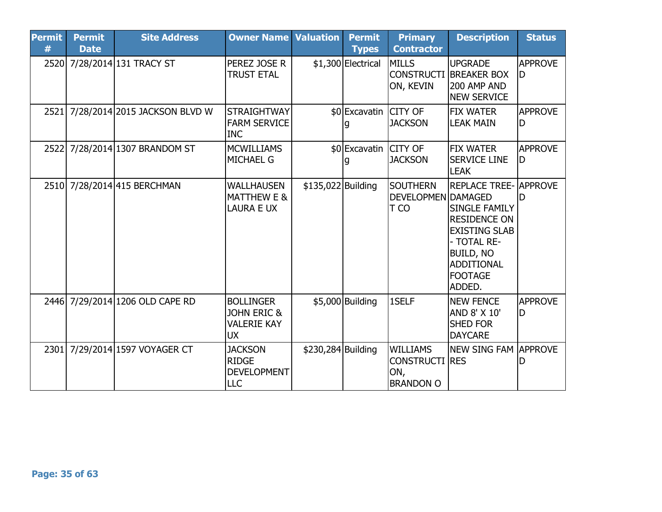| <b>Permit</b><br># | <b>Permit</b><br><b>Date</b> | <b>Site Address</b>             | <b>Owner Name Valuation</b>                                                   |                    | <b>Permit</b><br><b>Types</b> | <b>Primary</b><br><b>Contractor</b>                                 | <b>Description</b>                                                                                                                                                                      | <b>Status</b>        |
|--------------------|------------------------------|---------------------------------|-------------------------------------------------------------------------------|--------------------|-------------------------------|---------------------------------------------------------------------|-----------------------------------------------------------------------------------------------------------------------------------------------------------------------------------------|----------------------|
|                    |                              | 2520 7/28/2014 131 TRACY ST     | PEREZ JOSE R<br><b>TRUST ETAL</b>                                             |                    | \$1,300 Electrical            | <b>MILLS</b><br>ON, KEVIN                                           | <b>UPGRADE</b><br><b>CONSTRUCTI BREAKER BOX</b><br>200 AMP AND<br><b>NEW SERVICE</b>                                                                                                    | <b>APPROVE</b><br>ID |
| 2521               |                              | 7/28/2014 2015 JACKSON BLVD W   | <b>STRAIGHTWAY</b><br><b>FARM SERVICE</b><br><b>INC</b>                       |                    | \$0 Excavatin CITY OF         | <b>JACKSON</b>                                                      | <b>FIX WATER</b><br><b>LEAK MAIN</b>                                                                                                                                                    | <b>APPROVE</b><br>ID |
| 2522               |                              | 7/28/2014 1307 BRANDOM ST       | <b>MCWILLIAMS</b><br><b>MICHAEL G</b>                                         |                    | \$0 Excavatin CITY OF         | <b>JACKSON</b>                                                      | <b>FIX WATER</b><br><b>SERVICE LINE</b><br><b>LEAK</b>                                                                                                                                  | <b>APPROVE</b><br>ID |
|                    |                              | 2510 7/28/2014 415 BERCHMAN     | <b>WALLHAUSEN</b><br><b>MATTHEW E &amp;</b><br><b>LAURA E UX</b>              | \$135,022 Building |                               | <b>SOUTHERN</b><br>DEVELOPMEN DAMAGED<br><b>TCO</b>                 | <b>REPLACE TREE- APPROVE</b><br><b>SINGLE FAMILY</b><br><b>RESIDENCE ON</b><br><b>EXISTING SLAB</b><br>- TOTAL RE-<br><b>BUILD, NO</b><br><b>ADDITIONAL</b><br><b>FOOTAGE</b><br>ADDED. | ID.                  |
|                    |                              | 2446 7/29/2014 1206 OLD CAPE RD | <b>BOLLINGER</b><br><b>JOHN ERIC &amp;</b><br><b>VALERIE KAY</b><br><b>UX</b> |                    | $$5,000$ Building             | 1SELF                                                               | <b>NEW FENCE</b><br>AND 8' X 10'<br><b>SHED FOR</b><br><b>DAYCARE</b>                                                                                                                   | <b>APPROVE</b><br>ID |
| 2301               |                              | 7/29/2014 1597 VOYAGER CT       | <b>JACKSON</b><br><b>RIDGE</b><br><b>DEVELOPMENT</b><br>LLC                   | \$230,284 Building |                               | <b>WILLIAMS</b><br><b>CONSTRUCTI RES</b><br>ON,<br><b>BRANDON O</b> | <b>NEW SING FAM APPROVE</b>                                                                                                                                                             |                      |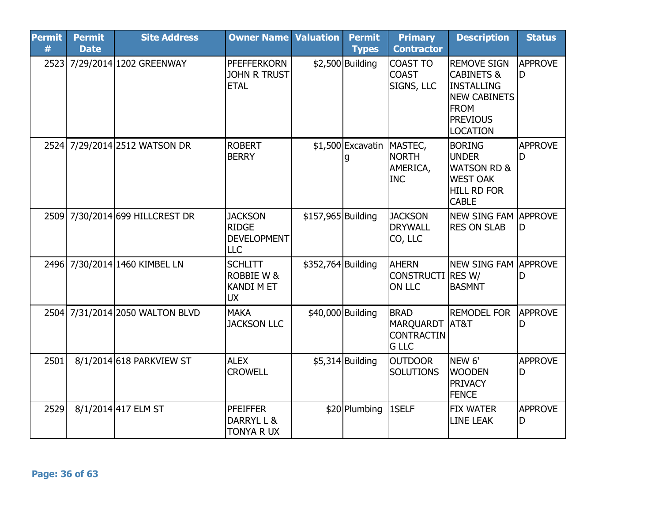| <b>Permit</b><br># | <b>Permit</b><br><b>Date</b> | <b>Site Address</b>             | <b>Owner Name Valuation</b>                                        |                    | <b>Permit</b><br><b>Types</b> | <b>Primary</b><br><b>Contractor</b>                                  | <b>Description</b>                                                                                                                    | <b>Status</b>        |
|--------------------|------------------------------|---------------------------------|--------------------------------------------------------------------|--------------------|-------------------------------|----------------------------------------------------------------------|---------------------------------------------------------------------------------------------------------------------------------------|----------------------|
|                    |                              | 2523 7/29/2014 1202 GREENWAY    | <b>PFEFFERKORN</b><br><b>JOHN R TRUST</b><br><b>ETAL</b>           |                    | $$2,500$ Building             | <b>COAST TO</b><br><b>COAST</b><br>SIGNS, LLC                        | <b>REMOVE SIGN</b><br><b>CABINETS &amp;</b><br>INSTALLING<br><b>NEW CABINETS</b><br><b>FROM</b><br><b>PREVIOUS</b><br><b>LOCATION</b> | <b>APPROVE</b><br>ID |
|                    |                              | 2524 7/29/2014 2512 WATSON DR   | <b>ROBERT</b><br><b>BERRY</b>                                      |                    | \$1,500 Excavatin MASTEC,     | <b>NORTH</b><br>AMERICA,<br><b>INC</b>                               | <b>BORING</b><br><b>UNDER</b><br><b>WATSON RD &amp;</b><br><b>WEST OAK</b><br><b>HILL RD FOR</b><br><b>CABLE</b>                      | <b>APPROVE</b><br>ID |
|                    |                              | 2509 7/30/2014 699 HILLCREST DR | <b>JACKSON</b><br><b>RIDGE</b><br><b>DEVELOPMENT</b><br><b>LLC</b> | \$157,965 Building |                               | <b>JACKSON</b><br><b>DRYWALL</b><br>CO, LLC                          | NEW SING FAM LAPPROVE<br><b>RES ON SLAB</b>                                                                                           | ID                   |
|                    |                              | 2496 7/30/2014 1460 KIMBEL LN   | <b>SCHLITT</b><br><b>ROBBIE W &amp;</b><br><b>KANDI M ET</b><br>UX | \$352,764 Building |                               | <b>AHERN</b><br><b>CONSTRUCTI RES W/</b><br><b>ON LLC</b>            | NEW SING FAM APPROVE<br><b>BASMNT</b>                                                                                                 | ID                   |
|                    |                              | 2504 7/31/2014 2050 WALTON BLVD | <b>MAKA</b><br><b>JACKSON LLC</b>                                  |                    | \$40,000 Building             | <b>BRAD</b><br><b>MARQUARDT</b><br><b>CONTRACTIN</b><br><b>G LLC</b> | <b>REMODEL FOR</b><br>AT&T                                                                                                            | <b>APPROVE</b><br>ID |
| 2501               |                              | 8/1/2014 618 PARKVIEW ST        | <b>ALEX</b><br><b>CROWELL</b>                                      |                    | $$5,314$ Building             | <b>OUTDOOR</b><br><b>SOLUTIONS</b>                                   | NEW <sub>6'</sub><br><b>WOODEN</b><br><b>PRIVACY</b><br><b>FENCE</b>                                                                  | <b>APPROVE</b><br>D  |
| 2529               |                              | 8/1/2014 417 ELM ST             | <b>PFEIFFER</b><br>DARRYL L &<br>TONYA R UX                        |                    | \$20 Plumbing                 | 1SELF                                                                | <b>FIX WATER</b><br><b>LINE LEAK</b>                                                                                                  | <b>APPROVE</b><br>ID |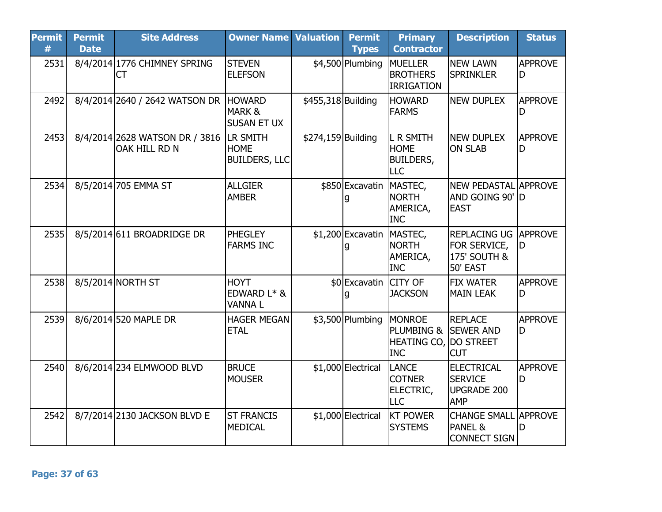| <b>Permit</b><br># | <b>Permit</b><br><b>Date</b> | <b>Site Address</b>                                      | <b>Owner Name Valuation</b>                 |                    | <b>Permit</b><br><b>Types</b> | <b>Primary</b><br><b>Contractor</b>                                       | <b>Description</b>                                                      | <b>Status</b>         |
|--------------------|------------------------------|----------------------------------------------------------|---------------------------------------------|--------------------|-------------------------------|---------------------------------------------------------------------------|-------------------------------------------------------------------------|-----------------------|
| 2531               |                              | 8/4/2014 1776 CHIMNEY SPRING<br><b>CT</b>                | <b>STEVEN</b><br><b>ELEFSON</b>             |                    | \$4,500 Plumbing              | <b>MUELLER</b><br><b>BROTHERS</b><br><b>IRRIGATION</b>                    | <b>NEW LAWN</b><br><b>SPRINKLER</b>                                     | <b>APPROVE</b><br>D   |
| 2492               |                              | 8/4/2014 2640 / 2642 WATSON DR HOWARD                    | <b>MARK&amp;</b><br><b>SUSAN ET UX</b>      | \$455,318 Building |                               | <b>HOWARD</b><br><b>FARMS</b>                                             | <b>NEW DUPLEX</b>                                                       | <b>APPROVE</b><br>D   |
| 2453               |                              | 8/4/2014 2628 WATSON DR / 3816 LR SMITH<br>OAK HILL RD N | <b>HOME</b><br><b>BUILDERS, LLC</b>         | \$274,159 Building |                               | <b>L R SMITH</b><br><b>HOME</b><br><b>BUILDERS,</b><br><b>LLC</b>         | <b>NEW DUPLEX</b><br><b>ON SLAB</b>                                     | <b>APPROVE</b><br>D   |
| 2534               |                              | 8/5/2014 705 EMMA ST                                     | <b>ALLGIER</b><br><b>AMBER</b>              |                    | \$850 Excavatin               | MASTEC,<br><b>NORTH</b><br>AMERICA,<br><b>INC</b>                         | NEW PEDASTAL APPROVE<br>AND GOING 90' D<br><b>EAST</b>                  |                       |
| 2535               |                              | 8/5/2014 611 BROADRIDGE DR                               | <b>PHEGLEY</b><br><b>FARMS INC</b>          |                    | \$1,200 Excavatin MASTEC,     | <b>NORTH</b><br>AMERICA,<br><b>INC</b>                                    | <b>REPLACING UG APPROVE</b><br>FOR SERVICE,<br>175' SOUTH &<br>50' EAST | ID                    |
| 2538               |                              | 8/5/2014 NORTH ST                                        | <b>HOYT</b><br>EDWARD L* &<br><b>VANNAL</b> |                    | \$0 Excavatin CITY OF         | <b>JACKSON</b>                                                            | <b>FIX WATER</b><br><b>MAIN LEAK</b>                                    | <b>APPROVE</b><br>ID. |
| 2539               |                              | 8/6/2014 520 MAPLE DR                                    | <b>HAGER MEGAN</b><br><b>ETAL</b>           |                    | \$3,500 Plumbing              | <b>MONROE</b><br>PLUMBING &<br><b>HEATING CO, DO STREET</b><br><b>INC</b> | <b>REPLACE</b><br><b>SEWER AND</b><br><b>CUT</b>                        | <b>APPROVE</b><br>D   |
| 2540               |                              | 8/6/2014 234 ELMWOOD BLVD                                | <b>BRUCE</b><br><b>MOUSER</b>               |                    | \$1,000 Electrical            | LANCE<br><b>COTNER</b><br>ELECTRIC,<br><b>LLC</b>                         | <b>ELECTRICAL</b><br><b>SERVICE</b><br><b>UPGRADE 200</b><br><b>AMP</b> | <b>APPROVE</b><br>D   |
| 2542               |                              | 8/7/2014 2130 JACKSON BLVD E                             | <b>ST FRANCIS</b><br><b>MEDICAL</b>         |                    | \$1,000 Electrical            | <b>KT POWER</b><br><b>SYSTEMS</b>                                         | <b>CHANGE SMALL APPROVE</b><br>PANEL &<br><b>CONNECT SIGN</b>           | ID                    |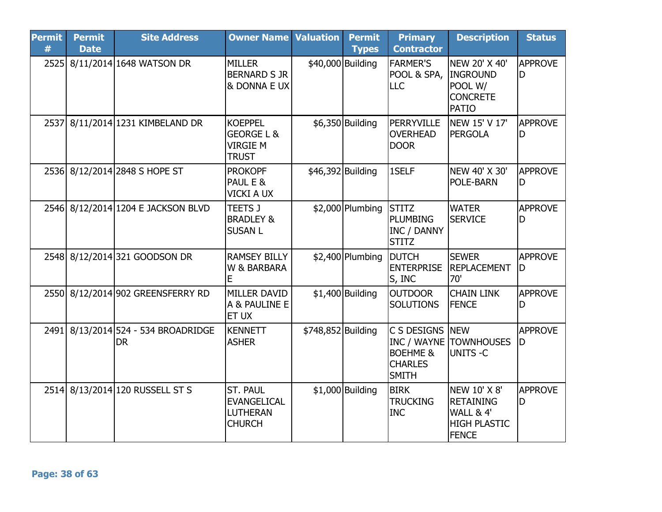| <b>Permit</b><br># | <b>Permit</b><br><b>Date</b> | <b>Site Address</b>                         | <b>Owner Name Valuation</b>                                                |                    | <b>Permit</b><br><b>Types</b> | <b>Primary</b><br><b>Contractor</b>                                  | <b>Description</b>                                                                   | <b>Status</b>        |
|--------------------|------------------------------|---------------------------------------------|----------------------------------------------------------------------------|--------------------|-------------------------------|----------------------------------------------------------------------|--------------------------------------------------------------------------------------|----------------------|
| 2525               |                              | 8/11/2014 1648 WATSON DR                    | <b>MILLER</b><br><b>BERNARD S JR</b><br>& DONNA E UX                       |                    | \$40,000 Building             | <b>FARMER'S</b><br>POOL & SPA,<br>LLC                                | NEW 20' X 40'<br>INGROUND<br>POOL W/<br><b>CONCRETE</b><br><b>PATIO</b>              | <b>APPROVE</b><br>D  |
| 2537               |                              | 8/11/2014 1231 KIMBELAND DR                 | <b>KOEPPEL</b><br><b>GEORGE L &amp;</b><br><b>VIRGIE M</b><br><b>TRUST</b> |                    | \$6,350 Building              | PERRYVILLE<br><b>OVERHEAD</b><br><b>DOOR</b>                         | NEW 15' V 17'<br><b>PERGOLA</b>                                                      | APPROVE<br>D         |
|                    |                              | 2536 8/12/2014 2848 S HOPE ST               | <b>PROKOPF</b><br>PAUL E &<br><b>VICKI A UX</b>                            |                    | \$46,392 Building             | 1SELF                                                                | NEW 40' X 30'<br>POLE-BARN                                                           | <b>APPROVE</b><br>D  |
| 2546               |                              | 8/12/2014 1204 E JACKSON BLVD               | <b>TEETS J</b><br><b>BRADLEY &amp;</b><br><b>SUSAN L</b>                   |                    | $$2,000$ Plumbing             | <b>STITZ</b><br>PLUMBING<br><b>INC / DANNY</b><br><b>STITZ</b>       | <b>WATER</b><br><b>SERVICE</b>                                                       | <b>APPROVE</b><br>ID |
|                    |                              | 2548 8/12/2014 321 GOODSON DR               | <b>RAMSEY BILLY</b><br>W & BARBARA<br>Е                                    |                    | $$2,400$ Plumbing             | <b>DUTCH</b><br><b>ENTERPRISE</b><br>S, INC                          | <b>SEWER</b><br>REPLACEMENT<br>70'                                                   | <b>APPROVE</b><br>D  |
|                    |                              | 2550 8/12/2014 902 GREENSFERRY RD           | <b>MILLER DAVID</b><br>A & PAULINE E<br>ET UX                              |                    | $$1,400$ Building             | <b>OUTDOOR</b><br><b>SOLUTIONS</b>                                   | <b>CHAIN LINK</b><br><b>FENCE</b>                                                    | <b>APPROVE</b><br>ID |
| 2491               |                              | 8/13/2014 524 - 534 BROADRIDGE<br><b>DR</b> | <b>KENNETT</b><br><b>ASHER</b>                                             | \$748,852 Building |                               | C S DESIGNS<br><b>BOEHME &amp;</b><br><b>CHARLES</b><br><b>SMITH</b> | <b>NEW</b><br><b>INC / WAYNE TOWNHOUSES</b><br>UNITS -C                              | <b>APPROVE</b><br>ID |
|                    |                              | 2514 8/13/2014 120 RUSSELL ST S             | ST. PAUL<br><b>EVANGELICAL</b><br><b>LUTHERAN</b><br><b>CHURCH</b>         |                    | $$1,000$ Building             | <b>BIRK</b><br><b>TRUCKING</b><br><b>INC</b>                         | NEW 10' X 8'<br><b>RETAINING</b><br>WALL & 4'<br><b>HIGH PLASTIC</b><br><b>FENCE</b> | <b>APPROVE</b><br>lD |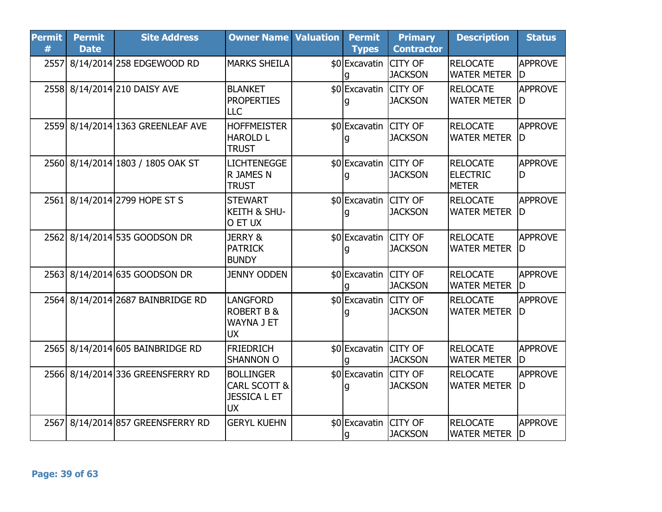| <b>Permit</b><br># | <b>Permit</b><br><b>Date</b> | <b>Site Address</b>               | <b>Owner Name Valuation</b>                                          | <b>Permit</b><br><b>Types</b> | <b>Primary</b><br><b>Contractor</b> | <b>Description</b>                                 | <b>Status</b>         |
|--------------------|------------------------------|-----------------------------------|----------------------------------------------------------------------|-------------------------------|-------------------------------------|----------------------------------------------------|-----------------------|
| 2557               |                              | 8/14/2014 258 EDGEWOOD RD         | <b>MARKS SHEILA</b>                                                  | \$0 Excavatin                 | <b>CITY OF</b><br><b>JACKSON</b>    | <b>RELOCATE</b><br><b>WATER METER</b>              | <b>APPROVE</b><br>ID  |
|                    |                              | 2558 8/14/2014 210 DAISY AVE      | <b>BLANKET</b><br><b>PROPERTIES</b><br>LLC                           | \$0 Excavatin CITY OF         | <b>JACKSON</b>                      | <b>RELOCATE</b><br><b>WATER METER</b>              | <b>APPROVE</b><br>ID. |
|                    |                              | 2559 8/14/2014 1363 GREENLEAF AVE | <b>HOFFMEISTER</b><br><b>HAROLD L</b><br><b>TRUST</b>                | \$0 Excavatin CITY OF<br>g    | <b>JACKSON</b>                      | <b>RELOCATE</b><br><b>WATER METER</b>              | <b>APPROVE</b><br>ID  |
|                    |                              | 2560 8/14/2014 1803 / 1805 OAK ST | <b>LICHTENEGGE</b><br>R JAMES N<br><b>TRUST</b>                      | \$0 Excavatin CITY OF         | <b>JACKSON</b>                      | <b>RELOCATE</b><br><b>ELECTRIC</b><br><b>METER</b> | <b>APPROVE</b><br>ID  |
|                    |                              | 2561 8/14/2014 2799 HOPE ST S     | <b>STEWART</b><br><b>KEITH &amp; SHU-</b><br>O ET UX                 | \$0 Excavatin CITY OF         | <b>JACKSON</b>                      | <b>RELOCATE</b><br><b>WATER METER</b>              | APPROVE<br>ID         |
|                    |                              | 2562 8/14/2014 535 GOODSON DR     | <b>JERRY &amp;</b><br><b>PATRICK</b><br><b>BUNDY</b>                 | \$0 Excavatin CITY OF         | <b>JACKSON</b>                      | <b>RELOCATE</b><br><b>WATER METER</b>              | <b>APPROVE</b><br>ID  |
|                    |                              | 2563 8/14/2014 635 GOODSON DR     | <b>JENNY ODDEN</b>                                                   | \$0 Excavatin CITY OF         | <b>JACKSON</b>                      | <b>RELOCATE</b><br><b>WATER METER</b>              | <b>APPROVE</b><br>ID. |
|                    |                              | 2564 8/14/2014 2687 BAINBRIDGE RD | LANGFORD<br><b>ROBERT B &amp;</b><br>WAYNA J ET<br><b>UX</b>         | \$0 Excavatin CITY OF         | <b>JACKSON</b>                      | <b>RELOCATE</b><br><b>WATER METER</b>              | <b>APPROVE</b><br>ID  |
|                    |                              | 2565 8/14/2014 605 BAINBRIDGE RD  | <b>FRIEDRICH</b><br><b>SHANNON O</b>                                 | \$0 Excavatin CITY OF<br>q    | <b>JACKSON</b>                      | <b>RELOCATE</b><br><b>WATER METER</b>              | <b>APPROVE</b><br>ID  |
|                    |                              | 2566 8/14/2014 336 GREENSFERRY RD | <b>BOLLINGER</b><br>CARL SCOTT &<br><b>JESSICA L ET</b><br><b>UX</b> | \$0 Excavatin                 | <b>CITY OF</b><br><b>JACKSON</b>    | <b>RELOCATE</b><br><b>WATER METER</b>              | <b>APPROVE</b><br>ID  |
| 2567               |                              | 8/14/2014 857 GREENSFERRY RD      | <b>GERYL KUEHN</b>                                                   | \$0 Excavatin CITY OF<br>g    | <b>JACKSON</b>                      | <b>RELOCATE</b><br><b>WATER METER</b>              | <b>APPROVE</b><br>ID. |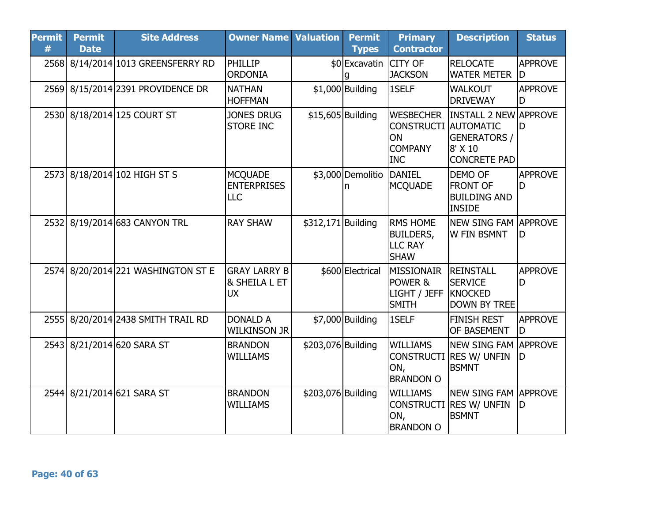| <b>Permit</b><br># | <b>Permit</b><br><b>Date</b> | <b>Site Address</b>                | <b>Owner Name Valuation</b>                                  |                    | <b>Permit</b><br><b>Types</b> | <b>Primary</b><br><b>Contractor</b>                                                   | <b>Description</b>                                                                    | <b>Status</b>        |
|--------------------|------------------------------|------------------------------------|--------------------------------------------------------------|--------------------|-------------------------------|---------------------------------------------------------------------------------------|---------------------------------------------------------------------------------------|----------------------|
|                    |                              | 2568 8/14/2014 1013 GREENSFERRY RD | <b>PHILLIP</b><br><b>ORDONIA</b>                             |                    | \$0 Excavatin                 | <b>CITY OF</b><br><b>JACKSON</b>                                                      | <b>RELOCATE</b><br><b>WATER METER</b>                                                 | <b>APPROVE</b><br>lD |
|                    |                              | 2569 8/15/2014 2391 PROVIDENCE DR  | <b>NATHAN</b><br><b>HOFFMAN</b>                              |                    | $$1,000$ Building             | 1SELF                                                                                 | <b>WALKOUT</b><br><b>DRIVEWAY</b>                                                     | APPROVE<br>D         |
|                    |                              | 2530 8/18/2014 125 COURT ST        | <b>JONES DRUG</b><br><b>STORE INC</b>                        |                    | \$15,605 Building             | <b>WESBECHER</b><br><b>CONSTRUCTI AUTOMATIC</b><br>ON<br><b>COMPANY</b><br><b>INC</b> | <b>INSTALL 2 NEW APPROVE</b><br><b>GENERATORS /</b><br>8' X 10<br><b>CONCRETE PAD</b> | ID                   |
|                    |                              | 2573 8/18/2014 102 HIGH ST S       | <b>MCQUADE</b><br><b>ENTERPRISES</b><br><b>LLC</b>           |                    | \$3,000 Demolitio DANIEL<br>n | <b>MCQUADE</b>                                                                        | <b>DEMO OF</b><br><b>FRONT OF</b><br><b>BUILDING AND</b><br><b>INSIDE</b>             | <b>APPROVE</b><br>ID |
|                    |                              | 2532 8/19/2014 683 CANYON TRL      | <b>RAY SHAW</b>                                              | \$312,171 Building |                               | <b>RMS HOME</b><br><b>BUILDERS,</b><br><b>LLC RAY</b><br><b>SHAW</b>                  | <b>NEW SING FAM LAPPROVE</b><br><b>W FIN BSMNT</b>                                    | D                    |
|                    |                              | 2574 8/20/2014 221 WASHINGTON ST E | <b>GRAY LARRY B</b><br><b>&amp; SHEILA L ET</b><br><b>UX</b> |                    | \$600 Electrical              | <b>MISSIONAIR</b><br>POWER &<br>LIGHT / JEFF<br><b>SMITH</b>                          | <b>REINSTALL</b><br><b>SERVICE</b><br>KNOCKED<br><b>DOWN BY TREE</b>                  | <b>APPROVE</b><br>ID |
|                    |                              | 2555 8/20/2014 2438 SMITH TRAIL RD | <b>DONALD A</b><br><b>WILKINSON JR</b>                       |                    | \$7,000 Building              | 1SELF                                                                                 | <b>FINISH REST</b><br><b>OF BASEMENT</b>                                              | <b>APPROVE</b><br>ID |
|                    |                              | 2543 8/21/2014 620 SARA ST         | <b>BRANDON</b><br><b>WILLIAMS</b>                            | \$203,076 Building |                               | <b>WILLIAMS</b><br>ON,<br><b>BRANDON O</b>                                            | <b>NEW SING FAM APPROVE</b><br>CONSTRUCTI RES W/ UNFIN<br><b>BSMNT</b>                | ID                   |
|                    |                              | 2544 8/21/2014 621 SARA ST         | <b>BRANDON</b><br><b>WILLIAMS</b>                            | \$203,076 Building |                               | <b>WILLIAMS</b><br>ON,<br><b>BRANDON O</b>                                            | <b>NEW SING FAM APPROVE</b><br>CONSTRUCTI RES W/ UNFIN<br><b>BSMNT</b>                | ID                   |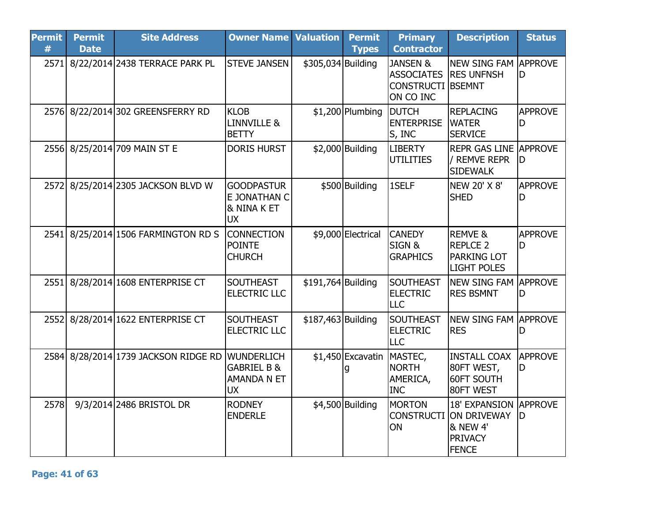| <b>Permit</b><br># | <b>Permit</b><br><b>Date</b> | <b>Site Address</b>                  | <b>Owner Name Valuation</b>                                             |                    | <b>Permit</b><br><b>Types</b> | <b>Primary</b><br><b>Contractor</b>                                               | <b>Description</b>                                                                                   | <b>Status</b>       |
|--------------------|------------------------------|--------------------------------------|-------------------------------------------------------------------------|--------------------|-------------------------------|-----------------------------------------------------------------------------------|------------------------------------------------------------------------------------------------------|---------------------|
| 2571               |                              | 8/22/2014 2438 TERRACE PARK PL       | <b>STEVE JANSEN</b>                                                     | \$305,034 Building |                               | <b>JANSEN &amp;</b><br><b>ASSOCIATES</b><br><b>CONSTRUCTI BSEMNT</b><br>ON CO INC | <b>NEW SING FAM APPROVE</b><br><b>IRES UNFNSH</b>                                                    | ID                  |
|                    |                              | 2576 8/22/2014 302 GREENSFERRY RD    | <b>KLOB</b><br>LINNVILLE &<br><b>BETTY</b>                              |                    | $$1,200$ Plumbing             | <b>DUTCH</b><br><b>ENTERPRISE</b><br>S, INC                                       | <b>REPLACING</b><br><b>WATER</b><br><b>SERVICE</b>                                                   | <b>APPROVE</b><br>D |
|                    |                              | 2556 8/25/2014 709 MAIN ST E         | <b>DORIS HURST</b>                                                      |                    | $$2,000$ Building             | <b>LIBERTY</b><br><b>UTILITIES</b>                                                | <b>REPR GAS LINE APPROVE</b><br>/ REMVE REPR<br><b>SIDEWALK</b>                                      | ID                  |
|                    |                              | 2572 8/25/2014 2305 JACKSON BLVD W   | <b>GOODPASTUR</b><br>E JONATHAN C<br>& NINA K ET<br><b>UX</b>           |                    | \$500 Building                | 1SELF                                                                             | <b>NEW 20' X 8'</b><br><b>SHED</b>                                                                   | <b>APPROVE</b><br>D |
|                    |                              | 2541 8/25/2014 1506 FARMINGTON RD S  | <b>CONNECTION</b><br><b>POINTE</b><br><b>CHURCH</b>                     |                    | \$9,000 Electrical            | <b>CANEDY</b><br>SIGN&<br><b>GRAPHICS</b>                                         | <b>REMVE &amp;</b><br><b>REPLCE 2</b><br><b>PARKING LOT</b><br><b>LIGHT POLES</b>                    | <b>APPROVE</b><br>D |
| 2551               |                              | 8/28/2014 1608 ENTERPRISE CT         | <b>SOUTHEAST</b><br><b>ELECTRIC LLC</b>                                 | \$191,764 Building |                               | <b>SOUTHEAST</b><br><b>ELECTRIC</b><br><b>LLC</b>                                 | NEW SING FAM APPROVE<br><b>RES BSMNT</b>                                                             | D                   |
|                    |                              | 2552 8/28/2014 1622 ENTERPRISE CT    | <b>SOUTHEAST</b><br><b>ELECTRIC LLC</b>                                 | \$187,463 Building |                               | SOUTHEAST<br><b>ELECTRIC</b><br><b>LLC</b>                                        | <b>NEW SING FAM APPROVE</b><br><b>RES</b>                                                            |                     |
|                    |                              | 2584 8/28/2014 1739 JACKSON RIDGE RD | WUNDERLICH<br><b>GABRIEL B &amp;</b><br><b>AMANDA N ET</b><br><b>UX</b> |                    | \$1,450 Excavatin             | MASTEC,<br><b>NORTH</b><br>AMERICA,<br><b>INC</b>                                 | <b>INSTALL COAX</b><br>80FT WEST,<br><b>60FT SOUTH</b><br>80FT WEST                                  | <b>APPROVE</b><br>D |
| 2578               |                              | 9/3/2014 2486 BRISTOL DR             | <b>RODNEY</b><br><b>ENDERLE</b>                                         |                    | \$4,500 Building              | <b>MORTON</b><br><b>CONSTRUCTI</b><br>ON                                          | <b>18' EXPANSION APPROVE</b><br>ON DRIVEWAY<br><b>&amp; NEW 4'</b><br><b>PRIVACY</b><br><b>FENCE</b> | ID                  |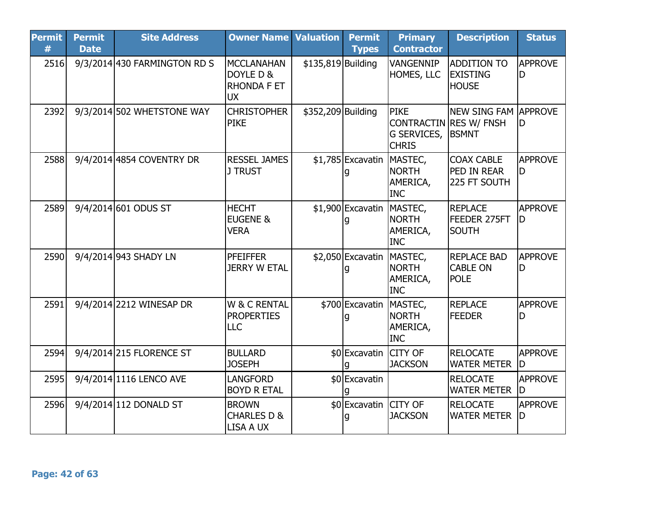| <b>Permit</b><br># | <b>Permit</b><br><b>Date</b> | <b>Site Address</b>          | <b>Owner Name Valuation</b>                                       |                    | <b>Permit</b><br><b>Types</b> | <b>Primary</b><br><b>Contractor</b>               | <b>Description</b>                                                           | <b>Status</b>        |
|--------------------|------------------------------|------------------------------|-------------------------------------------------------------------|--------------------|-------------------------------|---------------------------------------------------|------------------------------------------------------------------------------|----------------------|
| 2516               |                              | 9/3/2014 430 FARMINGTON RD S | <b>MCCLANAHAN</b><br>DOYLE D &<br><b>RHONDA F ET</b><br><b>UX</b> | \$135,819 Building |                               | VANGENNIP<br>HOMES, LLC                           | <b>ADDITION TO</b><br><b>EXISTING</b><br><b>HOUSE</b>                        | <b>APPROVE</b><br>D  |
| 2392               |                              | 9/3/2014 502 WHETSTONE WAY   | <b>CHRISTOPHER</b><br><b>PIKE</b>                                 | \$352,209 Building |                               | <b>PIKE</b><br>G SERVICES,<br><b>CHRIS</b>        | <b>NEW SING FAM APPROVE</b><br><b>CONTRACTIN RES W/ FNSH</b><br><b>BSMNT</b> | D                    |
| 2588               |                              | 9/4/2014 4854 COVENTRY DR    | <b>RESSEL JAMES</b><br><b>J TRUST</b>                             |                    | \$1,785 Excavatin             | MASTEC,<br><b>NORTH</b><br>AMERICA,<br><b>INC</b> | <b>COAX CABLE</b><br>PED IN REAR<br>225 FT SOUTH                             | <b>APPROVE</b><br>D  |
| 2589               |                              | 9/4/2014 601 ODUS ST         | <b>HECHT</b><br><b>EUGENE &amp;</b><br><b>VERA</b>                |                    | \$1,900 Excavatin MASTEC,     | <b>NORTH</b><br>AMERICA,<br><b>INC</b>            | <b>REPLACE</b><br>FEEDER 275FT<br><b>SOUTH</b>                               | <b>APPROVE</b><br>D  |
| 2590               |                              | 9/4/2014 943 SHADY LN        | <b>PFEIFFER</b><br><b>JERRY W ETAL</b>                            |                    | \$2,050 Excavatin MASTEC,     | <b>NORTH</b><br>AMERICA,<br><b>INC</b>            | <b>REPLACE BAD</b><br><b>CABLE ON</b><br><b>POLE</b>                         | <b>APPROVE</b><br>ID |
| 2591               |                              | 9/4/2014 2212 WINESAP DR     | W & C RENTAL<br><b>PROPERTIES</b><br><b>LLC</b>                   |                    | \$700 Excavatin               | MASTEC,<br><b>NORTH</b><br>AMERICA,<br><b>INC</b> | <b>REPLACE</b><br><b>FEEDER</b>                                              | <b>APPROVE</b><br>D  |
| 2594               |                              | 9/4/2014 215 FLORENCE ST     | <b>BULLARD</b><br><b>JOSEPH</b>                                   |                    | \$0 Excavatin CITY OF         | <b>JACKSON</b>                                    | <b>RELOCATE</b><br><b>WATER METER</b>                                        | <b>APPROVE</b><br>ID |
| 2595               |                              | 9/4/2014 1116 LENCO AVE      | LANGFORD<br><b>BOYD R ETAL</b>                                    |                    | \$0 Excavatin                 |                                                   | <b>RELOCATE</b><br><b>WATER METER</b>                                        | <b>APPROVE</b><br>ID |
| 2596               |                              | 9/4/2014 112 DONALD ST       | <b>BROWN</b><br><b>CHARLES D &amp;</b><br>LISA A UX               |                    | \$0 Excavatin CITY OF         | <b>JACKSON</b>                                    | <b>RELOCATE</b><br><b>WATER METER</b>                                        | <b>APPROVE</b><br>ID |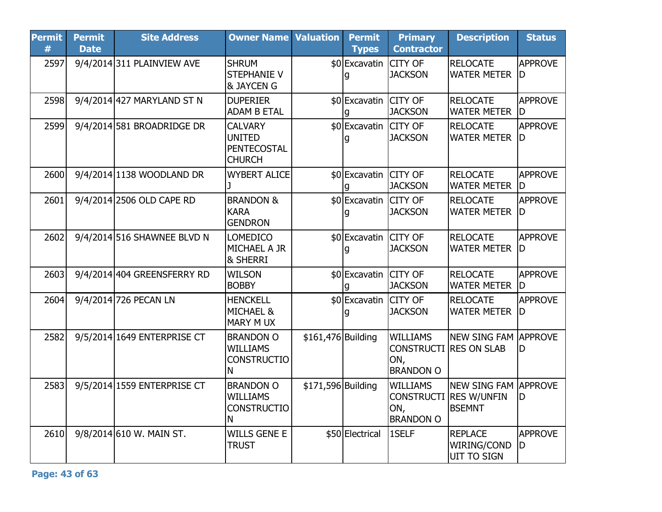| <b>Permit</b><br># | <b>Permit</b><br><b>Date</b> | <b>Site Address</b>         | <b>Owner Name Valuation</b>                                      |                    | <b>Permit</b><br><b>Types</b> | <b>Primary</b><br><b>Contractor</b>                             | <b>Description</b>                                              | <b>Status</b>         |
|--------------------|------------------------------|-----------------------------|------------------------------------------------------------------|--------------------|-------------------------------|-----------------------------------------------------------------|-----------------------------------------------------------------|-----------------------|
| 2597               |                              | 9/4/2014 311 PLAINVIEW AVE  | <b>SHRUM</b><br><b>STEPHANIE V</b><br><b>&amp; JAYCEN G</b>      |                    | \$0 Excavatin<br>q            | <b>CITY OF</b><br><b>JACKSON</b>                                | <b>RELOCATE</b><br><b>WATER METER</b>                           | <b>APPROVE</b><br>ID. |
| 2598               |                              | 9/4/2014 427 MARYLAND ST N  | <b>DUPERIER</b><br><b>ADAM B ETAL</b>                            |                    | \$0 Excavatin<br>q            | <b>CITY OF</b><br><b>JACKSON</b>                                | <b>RELOCATE</b><br><b>WATER METER</b>                           | APPROVE<br>ID         |
| 2599               |                              | 9/4/2014 581 BROADRIDGE DR  | <b>CALVARY</b><br><b>UNITED</b><br>PENTECOSTAL<br><b>CHURCH</b>  |                    | \$0 Excavatin CITY OF<br>g    | <b>JACKSON</b>                                                  | <b>RELOCATE</b><br>WATER METER  D                               | <b>APPROVE</b>        |
| 2600               |                              | 9/4/2014 1138 WOODLAND DR   | <b>WYBERT ALICE</b>                                              |                    | \$0 Excavatin CITY OF         | <b>JACKSON</b>                                                  | <b>RELOCATE</b><br><b>WATER METER</b>                           | <b>APPROVE</b><br>ID  |
| 2601               |                              | 9/4/2014 2506 OLD CAPE RD   | <b>BRANDON &amp;</b><br>KARA<br><b>GENDRON</b>                   |                    | \$0 Excavatin<br>g            | <b>CITY OF</b><br><b>JACKSON</b>                                | <b>RELOCATE</b><br><b>WATER METER</b>                           | <b>APPROVE</b><br>ID  |
| 2602               |                              | 9/4/2014 516 SHAWNEE BLVD N | <b>LOMEDICO</b><br>MICHAEL A JR<br><b>&amp; SHERRI</b>           |                    | \$0 Excavatin CITY OF<br>g    | <b>JACKSON</b>                                                  | <b>RELOCATE</b><br><b>WATER METER</b>                           | <b>APPROVE</b><br>ID  |
| 2603               |                              | 9/4/2014 404 GREENSFERRY RD | <b>WILSON</b><br><b>BOBBY</b>                                    |                    | \$0 Excavatin<br>q            | <b>CITY OF</b><br><b>JACKSON</b>                                | <b>RELOCATE</b><br><b>WATER METER</b>                           | <b>APPROVE</b><br>lD  |
| 2604               |                              | 9/4/2014 726 PECAN LN       | <b>HENCKELL</b><br><b>MICHAEL &amp;</b><br>MARY MUX              |                    | \$0 Excavatin                 | <b>CITY OF</b><br><b>JACKSON</b>                                | <b>RELOCATE</b><br><b>WATER METER</b>                           | <b>APPROVE</b><br>ID  |
| 2582               |                              | 9/5/2014 1649 ENTERPRISE CT | <b>BRANDON O</b><br><b>WILLIAMS</b><br><b>CONSTRUCTIO</b><br>IN. | \$161,476 Building |                               | <b>WILLIAMS</b><br><b>CONSTRUCTI</b><br>ON,<br><b>BRANDON O</b> | NEW SING FAM APPROVE<br><b>RES ON SLAB</b>                      | ID.                   |
| 2583               |                              | 9/5/2014 1559 ENTERPRISE CT | <b>BRANDON O</b><br><b>WILLIAMS</b><br><b>CONSTRUCTIO</b><br>ΙN  | \$171,596 Building |                               | <b>WILLIAMS</b><br>ON,<br><b>BRANDON O</b>                      | NEW SING FAM APPROVE<br>CONSTRUCTI RES W/UNFIN<br><b>BSEMNT</b> | ID.                   |
| 2610               |                              | 9/8/2014 610 W. MAIN ST.    | <b>WILLS GENE E</b><br><b>TRUST</b>                              |                    | \$50 Electrical               | <b>ISELF</b>                                                    | <b>REPLACE</b><br>WIRING/COND<br><b>UIT TO SIGN</b>             | <b>APPROVE</b><br>ID  |

Page: 43 of 63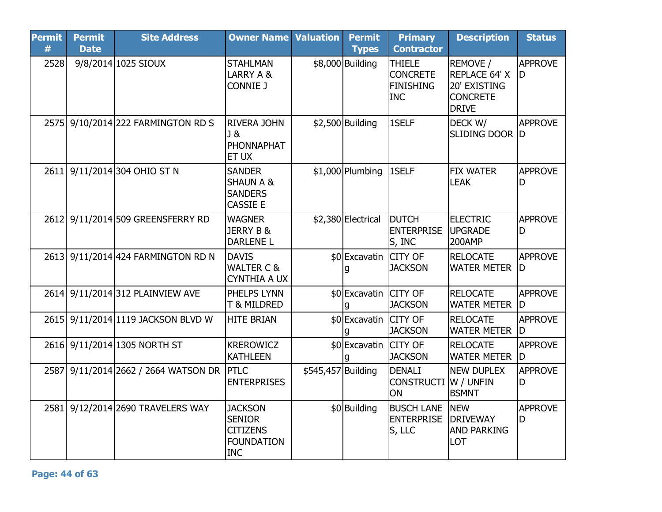| <b>Permit</b><br># | <b>Permit</b><br><b>Date</b> | <b>Site Address</b>                | <b>Owner Name Valuation</b>                                                           |                    | <b>Permit</b><br><b>Types</b> | <b>Primary</b><br><b>Contractor</b>                                | <b>Description</b>                                                           | <b>Status</b>         |
|--------------------|------------------------------|------------------------------------|---------------------------------------------------------------------------------------|--------------------|-------------------------------|--------------------------------------------------------------------|------------------------------------------------------------------------------|-----------------------|
| 2528               |                              | 9/8/2014 1025 SIOUX                | <b>STAHLMAN</b><br>LARRY A &<br>CONNIE J                                              |                    | \$8,000 Building              | <b>THIELE</b><br><b>CONCRETE</b><br><b>FINISHING</b><br><b>INC</b> | REMOVE /<br>REPLACE 64' X<br>20' EXISTING<br><b>CONCRETE</b><br><b>DRIVE</b> | <b>APPROVE</b><br>ID  |
| 2575               |                              | 9/10/2014 222 FARMINGTON RD S      | <b>RIVERA JOHN</b><br>lJ &<br>PHONNAPHAT<br><b>ET UX</b>                              |                    | $$2,500$ Building             | 1SELF                                                              | DECK W/<br>SLIDING DOOR D                                                    | <b>APPROVE</b>        |
| 2611               |                              | 9/11/2014 304 OHIO ST N            | <b>SANDER</b><br><b>SHAUN A &amp;</b><br><b>SANDERS</b><br><b>CASSIE E</b>            |                    | \$1,000 Plumbing   1SELF      |                                                                    | <b>FIX WATER</b><br><b>LEAK</b>                                              | <b>APPROVE</b><br>ID  |
|                    |                              | 2612 9/11/2014 509 GREENSFERRY RD  | <b>WAGNER</b><br><b>JERRY B &amp;</b><br><b>DARLENE L</b>                             |                    | \$2,380 Electrical            | <b>DUTCH</b><br><b>ENTERPRISE</b><br>S, INC                        | <b>ELECTRIC</b><br><b>UPGRADE</b><br><b>200AMP</b>                           | <b>APPROVE</b><br>D   |
|                    |                              | 2613 9/11/2014 424 FARMINGTON RD N | <b>DAVIS</b><br><b>WALTER C &amp;</b><br><b>CYNTHIA A UX</b>                          |                    | \$0 Excavatin CITY OF         | <b>JACKSON</b>                                                     | <b>RELOCATE</b><br><b>WATER METER</b>                                        | APPROVE<br>ID         |
|                    |                              | 2614 9/11/2014 312 PLAINVIEW AVE   | PHELPS LYNN<br><b>T &amp; MILDRED</b>                                                 |                    | \$0 Excavatin CITY OF         | <b>JACKSON</b>                                                     | <b>RELOCATE</b><br><b>WATER METER</b>                                        | APPROVE<br>ID         |
| 2615               |                              | 9/11/2014 1119 JACKSON BLVD W      | <b>HITE BRIAN</b>                                                                     |                    | \$0 Excavatin CITY OF         | <b>JACKSON</b>                                                     | <b>RELOCATE</b><br><b>WATER METER</b>                                        | <b>APPROVE</b><br>ID. |
|                    |                              | 2616 9/11/2014 1305 NORTH ST       | <b>KREROWICZ</b><br><b>KATHLEEN</b>                                                   |                    | \$0 Excavatin CITY OF         | <b>JACKSON</b>                                                     | <b>RELOCATE</b><br><b>WATER METER</b>                                        | APPROVE<br>ID         |
| 2587               |                              | 9/11/2014 2662 / 2664 WATSON DR    | <b>PTLC</b><br><b>ENTERPRISES</b>                                                     | \$545,457 Building |                               | DENALI<br><b>CONSTRUCTI</b><br><b>ON</b>                           | <b>NEW DUPLEX</b><br>W / UNFIN<br><b>BSMNT</b>                               | <b>APPROVE</b><br>lD  |
| 2581               |                              | 9/12/2014 2690 TRAVELERS WAY       | <b>JACKSON</b><br><b>SENIOR</b><br><b>CITIZENS</b><br><b>FOUNDATION</b><br><b>INC</b> |                    | \$0 Building                  | <b>BUSCH LANE</b><br><b>ENTERPRISE</b><br>S, LLC                   | <b>NEW</b><br><b>DRIVEWAY</b><br><b>AND PARKING</b><br>LOT                   | <b>APPROVE</b><br>D   |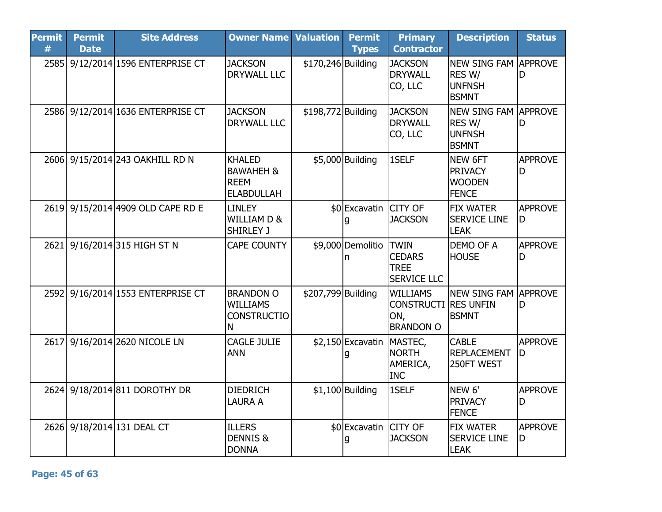| <b>Permit</b><br># | <b>Permit</b><br><b>Date</b> | <b>Site Address</b>               | <b>Owner Name</b>                                                         | <b>Valuation</b>   | <b>Permit</b><br><b>Types</b> | <b>Primary</b><br><b>Contractor</b>                                       | <b>Description</b>                                                      | <b>Status</b>        |
|--------------------|------------------------------|-----------------------------------|---------------------------------------------------------------------------|--------------------|-------------------------------|---------------------------------------------------------------------------|-------------------------------------------------------------------------|----------------------|
| 2585               |                              | 9/12/2014 1596 ENTERPRISE CT      | <b>JACKSON</b><br><b>DRYWALL LLC</b>                                      | \$170,246 Building |                               | <b>JACKSON</b><br><b>DRYWALL</b><br>CO, LLC                               | NEW SING FAM APPROVE<br>RES W/<br><b>UNFNSH</b><br><b>BSMNT</b>         | D                    |
| 2586               |                              | 9/12/2014 1636 ENTERPRISE CT      | <b>JACKSON</b><br><b>DRYWALL LLC</b>                                      | \$198,772 Building |                               | <b>JACKSON</b><br><b>DRYWALL</b><br>CO, LLC                               | <b>NEW SING FAM APPROVE</b><br>RES W/<br><b>IUNFNSH</b><br><b>BSMNT</b> | ID                   |
|                    |                              | 2606 9/15/2014 243 OAKHILL RD N   | <b>KHALED</b><br><b>BAWAHEH &amp;</b><br><b>REEM</b><br><b>ELABDULLAH</b> |                    | \$5,000 Building              | 1SELF                                                                     | NEW 6FT<br><b>PRIVACY</b><br><b>WOODEN</b><br><b>FENCE</b>              | <b>APPROVE</b><br>ID |
|                    |                              | 2619 9/15/2014 4909 OLD CAPE RD E | <b>LINLEY</b><br><b>WILLIAM D &amp;</b><br>SHIRLEY J                      |                    | \$0 Excavatin CITY OF         | <b>JACKSON</b>                                                            | <b>FIX WATER</b><br><b>SERVICE LINE</b><br><b>LEAK</b>                  | <b>APPROVE</b><br>D  |
| 2621               |                              | 9/16/2014 315 HIGH ST N           | <b>CAPE COUNTY</b>                                                        |                    | \$9,000 Demolitio TWIN<br>n   | <b>CEDARS</b><br><b>TREE</b><br><b>SERVICE LLC</b>                        | <b>DEMO OF A</b><br><b>HOUSE</b>                                        | <b>APPROVE</b><br>D  |
| 2592               |                              | 9/16/2014 1553 ENTERPRISE CT      | <b>BRANDON O</b><br><b>WILLIAMS</b><br><b>CONSTRUCTIO</b><br>N            | \$207,799 Building |                               | <b>WILLIAMS</b><br><b>CONSTRUCTI RES UNFIN</b><br>ON,<br><b>BRANDON O</b> | INEW SING FAM IAPPROVE<br><b>BSMNT</b>                                  | D                    |
| 2617               |                              | 9/16/2014 2620 NICOLE LN          | CAGLE JULIE<br><b>ANN</b>                                                 |                    | \$2,150 Excavatin MASTEC,     | <b>NORTH</b><br>AMERICA,<br><b>INC</b>                                    | <b>CABLE</b><br>REPLACEMENT<br>250FT WEST                               | <b>APPROVE</b><br>lD |
|                    |                              | 2624 9/18/2014 811 DOROTHY DR     | <b>DIEDRICH</b><br>LAURA A                                                |                    | $$1,100$ Building             | 1SELF                                                                     | NEW <sub>6'</sub><br><b>PRIVACY</b><br><b>FENCE</b>                     | <b>APPROVE</b><br>D  |
| 2626               |                              | 9/18/2014 131 DEAL CT             | <b>ILLERS</b><br><b>DENNIS &amp;</b><br><b>DONNA</b>                      |                    | \$0 Excavatin CITY OF<br>g    | <b>JACKSON</b>                                                            | <b>FIX WATER</b><br><b>SERVICE LINE</b><br><b>LEAK</b>                  | <b>APPROVE</b><br>D  |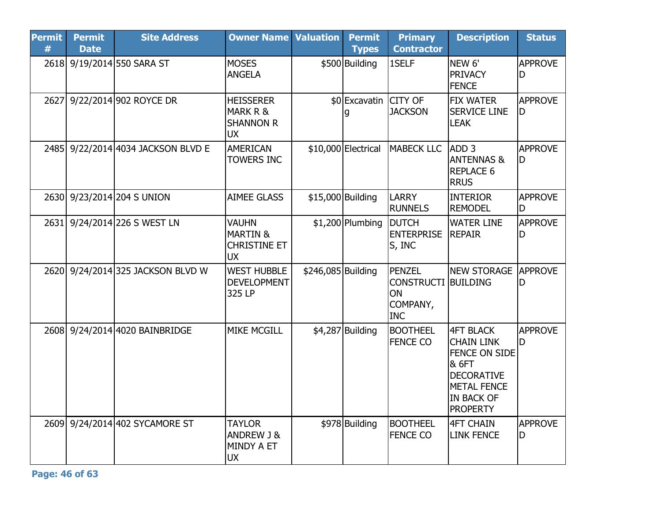| <b>Permit</b><br># | <b>Permit</b><br><b>Date</b> | <b>Site Address</b>                | <b>Owner Name Valuation</b>                                             |                    | <b>Permit</b><br><b>Types</b> | <b>Primary</b><br><b>Contractor</b>                                  | <b>Description</b>                                                                                                                                        | <b>Status</b>        |
|--------------------|------------------------------|------------------------------------|-------------------------------------------------------------------------|--------------------|-------------------------------|----------------------------------------------------------------------|-----------------------------------------------------------------------------------------------------------------------------------------------------------|----------------------|
|                    |                              | 2618 9/19/2014 550 SARA ST         | <b>MOSES</b><br><b>ANGELA</b>                                           |                    | \$500 Building                | 1SELF                                                                | NEW 6'<br><b>PRIVACY</b><br><b>FENCE</b>                                                                                                                  | <b>APPROVE</b><br>D  |
| 2627               |                              | 9/22/2014 902 ROYCE DR             | <b>HEISSERER</b><br>MARK R &<br><b>SHANNON R</b><br><b>UX</b>           |                    | \$0 Excavatin CITY OF         | <b>JACKSON</b>                                                       | <b>FIX WATER</b><br><b>SERVICE LINE</b><br><b>LEAK</b>                                                                                                    | <b>APPROVE</b><br>D  |
|                    |                              | 2485 9/22/2014 4034 JACKSON BLVD E | <b>AMERICAN</b><br>TOWERS INC                                           |                    | \$10,000 Electrical           | <b>MABECK LLC</b>                                                    | ADD <sub>3</sub><br><b>ANTENNAS &amp;</b><br><b>REPLACE 6</b><br><b>RRUS</b>                                                                              | <b>APPROVE</b><br>ID |
|                    |                              | 2630 9/23/2014 204 S UNION         | <b>AIMEE GLASS</b>                                                      |                    | \$15,000 Building             | LARRY<br><b>RUNNELS</b>                                              | <b>INTERIOR</b><br><b>REMODEL</b>                                                                                                                         | <b>APPROVE</b><br>D  |
| 2631               |                              | 9/24/2014 226 S WEST LN            | <b>VAUHN</b><br><b>MARTIN &amp;</b><br><b>CHRISTINE ET</b><br><b>UX</b> |                    | $$1,200$ Plumbing             | <b>DUTCH</b><br><b>ENTERPRISE</b><br>S, INC                          | <b>WATER LINE</b><br><b>REPAIR</b>                                                                                                                        | <b>APPROVE</b><br>D  |
|                    |                              | 2620 9/24/2014 325 JACKSON BLVD W  | <b>WEST HUBBLE</b><br><b>DEVELOPMENT</b><br>325 LP                      | \$246,085 Building |                               | PENZEL<br><b>CONSTRUCTI BUILDING</b><br>ON<br>COMPANY,<br><b>INC</b> | <b>NEW STORAGE</b>                                                                                                                                        | <b>APPROVE</b><br>D  |
|                    |                              | 2608 9/24/2014 4020 BAINBRIDGE     | <b>MIKE MCGILL</b>                                                      |                    | \$4,287 Building              | <b>BOOTHEEL</b><br><b>FENCE CO</b>                                   | <b>4FT BLACK</b><br><b>CHAIN LINK</b><br><b>FENCE ON SIDE</b><br>& 6FT<br><b>DECORATIVE</b><br><b>METAL FENCE</b><br><b>IN BACK OF</b><br><b>PROPERTY</b> | <b>APPROVE</b><br>ID |
|                    |                              | 2609 9/24/2014 402 SYCAMORE ST     | <b>TAYLOR</b><br><b>ANDREW J &amp;</b><br>MINDY A ET<br><b>UX</b>       |                    | \$978 Building                | <b>BOOTHEEL</b><br><b>FENCE CO</b>                                   | <b>4FT CHAIN</b><br><b>LINK FENCE</b>                                                                                                                     | <b>APPROVE</b><br>D  |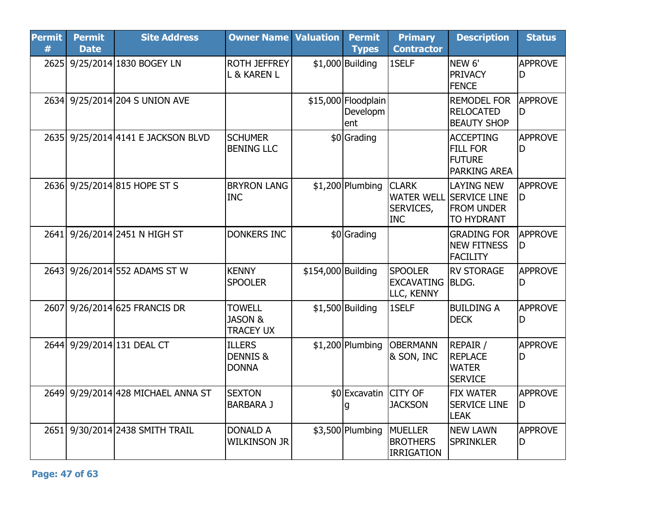| <b>Permit</b><br># | <b>Permit</b><br><b>Date</b> | <b>Site Address</b>                | <b>Owner Name Valuation</b>                             |                    | <b>Permit</b><br><b>Types</b>          | <b>Primary</b><br><b>Contractor</b>               | <b>Description</b>                                                                            | <b>Status</b>        |
|--------------------|------------------------------|------------------------------------|---------------------------------------------------------|--------------------|----------------------------------------|---------------------------------------------------|-----------------------------------------------------------------------------------------------|----------------------|
|                    |                              | 2625 9/25/2014 1830 BOGEY LN       | <b>ROTH JEFFREY</b><br>L & KAREN L                      |                    | $$1,000$ Building                      | 1SELF                                             | NEW <sub>6'</sub><br><b>PRIVACY</b><br><b>FENCE</b>                                           | APPROVE<br>D         |
|                    |                              | 2634 9/25/2014 204 S UNION AVE     |                                                         |                    | \$15,000 Floodplain<br>Developm<br>ent |                                                   | <b>REMODEL FOR</b><br><b>RELOCATED</b><br><b>BEAUTY SHOP</b>                                  | <b>APPROVE</b><br>D  |
|                    |                              | 2635 9/25/2014 4141 E JACKSON BLVD | <b>SCHUMER</b><br><b>BENING LLC</b>                     |                    | \$0 Grading                            |                                                   | <b>ACCEPTING</b><br><b>FILL FOR</b><br><b>FUTURE</b><br><b>PARKING AREA</b>                   | <b>APPROVE</b><br>ID |
|                    |                              | 2636 9/25/2014 815 HOPE ST S       | <b>BRYRON LANG</b><br><b>INC</b>                        |                    | $$1,200$ Plumbing                      | <b>CLARK</b><br>SERVICES,<br><b>INC</b>           | <b>LAYING NEW</b><br><b>WATER WELL SERVICE LINE</b><br><b>FROM UNDER</b><br><b>TO HYDRANT</b> | <b>APPROVE</b><br>ID |
|                    |                              | 2641 9/26/2014 2451 N HIGH ST      | <b>DONKERS INC</b>                                      |                    | \$0 Grading                            |                                                   | <b>GRADING FOR</b><br><b>NEW FITNESS</b><br><b>FACILITY</b>                                   | <b>APPROVE</b><br>ID |
|                    |                              | 2643 9/26/2014 552 ADAMS ST W      | <b>KENNY</b><br><b>SPOOLER</b>                          | \$154,000 Building |                                        | <b>SPOOLER</b><br><b>EXCAVATING</b><br>LLC, KENNY | <b>RV STORAGE</b><br><b>BLDG.</b>                                                             | APPROVE<br>ID        |
|                    |                              | 2607 9/26/2014 625 FRANCIS DR      | <b>TOWELL</b><br><b>JASON &amp;</b><br><b>TRACEY UX</b> |                    | $$1,500$ Building                      | 1SELF                                             | <b>BUILDING A</b><br><b>DECK</b>                                                              | <b>APPROVE</b><br>D  |
|                    |                              | 2644 9/29/2014 131 DEAL CT         | <b>ILLERS</b><br><b>DENNIS &amp;</b><br><b>DONNA</b>    |                    | $$1,200$ Plumbing                      | <b>OBERMANN</b><br>& SON, INC                     | <b>REPAIR /</b><br><b>REPLACE</b><br><b>WATER</b><br><b>SERVICE</b>                           | <b>APPROVE</b><br>D  |
|                    |                              | 2649 9/29/2014 428 MICHAEL ANNA ST | <b>SEXTON</b><br><b>BARBARA J</b>                       |                    | \$0 Excavatin CITY OF                  | <b>JACKSON</b>                                    | <b>FIX WATER</b><br><b>SERVICE LINE</b><br><b>LEAK</b>                                        | <b>APPROVE</b><br>ID |
| 2651               |                              | 9/30/2014 2438 SMITH TRAIL         | <b>DONALD A</b><br><b>WILKINSON JR</b>                  |                    | \$3,500 Plumbing                       | <b>MUELLER</b><br><b>BROTHERS</b><br>IRRIGATION   | <b>NEW LAWN</b><br><b>SPRINKLER</b>                                                           | <b>APPROVE</b><br>lD |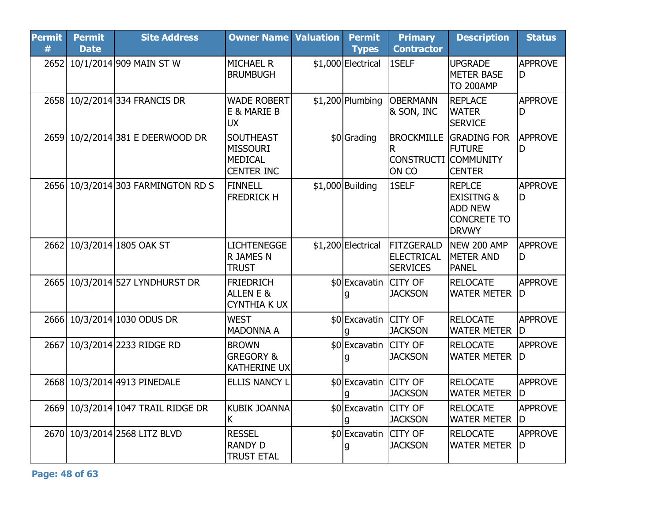| <b>Permit</b><br># | <b>Permit</b><br><b>Date</b> | <b>Site Address</b>                | <b>Owner Name Valuation</b>                                                | <b>Permit</b><br><b>Types</b> | <b>Primary</b><br><b>Contractor</b>                            | <b>Description</b>                                                                             | <b>Status</b>        |
|--------------------|------------------------------|------------------------------------|----------------------------------------------------------------------------|-------------------------------|----------------------------------------------------------------|------------------------------------------------------------------------------------------------|----------------------|
|                    |                              | 2652 10/1/2014 909 MAIN ST W       | <b>MICHAEL R</b><br><b>BRUMBUGH</b>                                        | \$1,000 Electrical            | 1SELF                                                          | <b>UPGRADE</b><br><b>METER BASE</b><br><b>TO 200AMP</b>                                        | <b>APPROVE</b><br>D  |
|                    |                              | 2658 10/2/2014 334 FRANCIS DR      | <b>WADE ROBERT</b><br>E & MARIE B<br><b>UX</b>                             | $$1,200$ Plumbing             | <b>OBERMANN</b><br>& SON, INC                                  | <b>REPLACE</b><br><b>WATER</b><br><b>SERVICE</b>                                               | <b>APPROVE</b><br>D  |
|                    |                              | 2659 10/2/2014 381 E DEERWOOD DR   | <b>SOUTHEAST</b><br><b>MISSOURI</b><br><b>MEDICAL</b><br><b>CENTER INC</b> | \$0 Grading                   | <b>BROCKMILLE</b><br>R<br><b>CONSTRUCTI COMMUNITY</b><br>ON CO | <b>GRADING FOR</b><br><b>FUTURE</b><br><b>CENTER</b>                                           | <b>APPROVE</b><br>ID |
|                    |                              | 2656 10/3/2014 303 FARMINGTON RD S | FINNELL<br><b>FREDRICK H</b>                                               | $$1,000$ Building             | 1SELF                                                          | <b>REPLCE</b><br><b>EXISITNG &amp;</b><br><b>ADD NEW</b><br><b>CONCRETE TO</b><br><b>DRVWY</b> | <b>APPROVE</b><br>D  |
|                    |                              | 2662 10/3/2014 1805 OAK ST         | <b>LICHTENEGGE</b><br>R JAMES N<br><b>TRUST</b>                            | \$1,200 Electrical            | FITZGERALD<br><b>ELECTRICAL</b><br><b>SERVICES</b>             | NEW 200 AMP<br><b>METER AND</b><br><b>PANEL</b>                                                | <b>APPROVE</b><br>D  |
|                    |                              | 2665 10/3/2014 527 LYNDHURST DR    | <b>FRIEDRICH</b><br>ALLEN E &<br><b>CYNTHIA K UX</b>                       | \$0 Excavatin CITY OF         | <b>JACKSON</b>                                                 | <b>RELOCATE</b><br><b>WATER METER</b>                                                          | <b>APPROVE</b><br>ID |
|                    |                              | 2666 10/3/2014 1030 ODUS DR        | <b>WEST</b><br><b>MADONNA A</b>                                            | \$0 Excavatin CITY OF<br>q    | <b>JACKSON</b>                                                 | <b>RELOCATE</b><br><b>WATER METER</b>                                                          | <b>APPROVE</b><br>ID |
| 2667               |                              | 10/3/2014 2233 RIDGE RD            | <b>BROWN</b><br><b>GREGORY &amp;</b><br><b>KATHERINE UX</b>                | \$0 Excavatin                 | <b>CITY OF</b><br><b>JACKSON</b>                               | <b>RELOCATE</b><br><b>WATER METER</b>                                                          | <b>APPROVE</b><br>ID |
|                    |                              | 2668 10/3/2014 4913 PINEDALE       | <b>ELLIS NANCY L</b>                                                       | \$0 Excavatin CITY OF         | <b>JACKSON</b>                                                 | <b>RELOCATE</b><br><b>WATER METER</b>                                                          | <b>APPROVE</b><br>ID |
|                    |                              | 2669 10/3/2014 1047 TRAIL RIDGE DR | <b>KUBIK JOANNA</b><br>K                                                   | \$0 Excavatin CITY OF         | <b>JACKSON</b>                                                 | <b>RELOCATE</b><br><b>WATER METER</b>                                                          | <b>APPROVE</b><br>ID |
|                    |                              | 2670 10/3/2014 2568 LITZ BLVD      | <b>RESSEL</b><br><b>RANDY D</b><br><b>TRUST ETAL</b>                       | \$0 Excavatin CITY OF<br>g    | <b>JACKSON</b>                                                 | <b>RELOCATE</b><br><b>WATER METER</b>                                                          | <b>APPROVE</b><br>ID |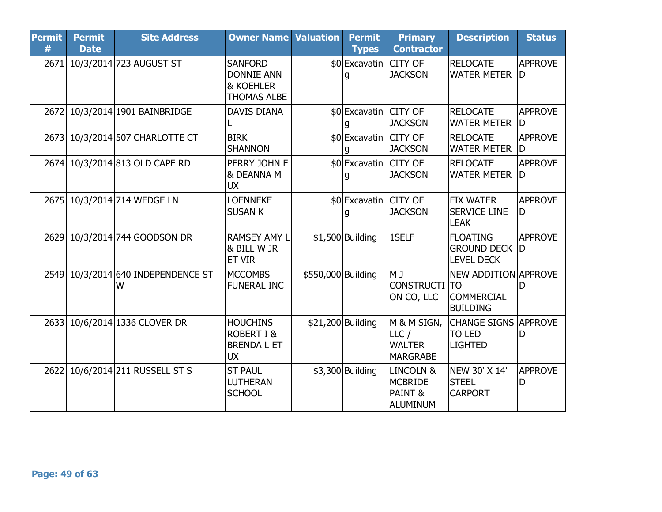| <b>Permit</b><br># | <b>Permit</b><br><b>Date</b> | <b>Site Address</b>                     | <b>Owner Name Valuation</b>                                                       |                    | <b>Permit</b><br><b>Types</b> | <b>Primary</b><br><b>Contractor</b>                                      | <b>Description</b>                                                               | <b>Status</b>        |
|--------------------|------------------------------|-----------------------------------------|-----------------------------------------------------------------------------------|--------------------|-------------------------------|--------------------------------------------------------------------------|----------------------------------------------------------------------------------|----------------------|
| 2671               |                              | 10/3/2014 723 AUGUST ST                 | <b>SANFORD</b><br><b>DONNIE ANN</b><br><b>&amp; KOEHLER</b><br><b>THOMAS ALBE</b> |                    | \$0 Excavatin CITY OF         | <b>JACKSON</b>                                                           | <b>RELOCATE</b><br><b>WATER METER</b>                                            | <b>APPROVE</b><br>ID |
| 2672               |                              | 10/3/2014 1901 BAINBRIDGE               | <b>DAVIS DIANA</b>                                                                |                    | \$0 Excavatin CITY OF         | <b>JACKSON</b>                                                           | <b>RELOCATE</b><br><b>WATER METER</b>                                            | <b>APPROVE</b><br>lD |
|                    |                              | 2673 10/3/2014 507 CHARLOTTE CT         | <b>BIRK</b><br><b>SHANNON</b>                                                     |                    | \$0 Excavatin CITY OF         | <b>JACKSON</b>                                                           | <b>RELOCATE</b><br><b>WATER METER</b>                                            | <b>APPROVE</b><br>ID |
|                    |                              | 2674 10/3/2014 813 OLD CAPE RD          | PERRY JOHN F<br>& DEANNA M<br><b>UX</b>                                           |                    | \$0 Excavatin CITY OF         | <b>JACKSON</b>                                                           | <b>RELOCATE</b><br><b>WATER METER</b>                                            | <b>APPROVE</b><br>ID |
|                    |                              | 2675 10/3/2014 714 WEDGE LN             | <b>LOENNEKE</b><br><b>SUSAN K</b>                                                 |                    | \$0 Excavatin CITY OF         | <b>JACKSON</b>                                                           | <b>FIX WATER</b><br><b>SERVICE LINE</b><br><b>LEAK</b>                           | <b>APPROVE</b><br>ID |
|                    |                              | 2629 10/3/2014 744 GOODSON DR           | <b>RAMSEY AMY L</b><br>& BILL W JR<br><b>ET VIR</b>                               |                    | $$1,500$ Building             | 1SELF                                                                    | <b>FLOATING</b><br><b>GROUND DECK D</b><br><b>LEVEL DECK</b>                     | <b>APPROVE</b>       |
|                    |                              | 2549 10/3/2014 640 INDEPENDENCE ST<br>W | <b>MCCOMBS</b><br><b>FUNERAL INC</b>                                              | \$550,000 Building |                               | M J<br><b>CONSTRUCTI</b><br>ON CO, LLC                                   | <b>NEW ADDITION APPROVE</b><br><b>TO</b><br><b>COMMERCIAL</b><br><b>BUILDING</b> | ID                   |
|                    |                              | 2633 10/6/2014 1336 CLOVER DR           | <b>HOUCHINS</b><br><b>ROBERT I &amp;</b><br><b>BRENDA L ET</b><br><b>UX</b>       |                    | \$21,200 Building             | M & M SIGN,<br>LLC/<br><b>WALTER</b><br><b>MARGRABE</b>                  | <b>CHANGE SIGNS APPROVE</b><br><b>TO LED</b><br><b>LIGHTED</b>                   | D                    |
| 2622               |                              | 10/6/2014 211 RUSSELL ST S              | <b>ST PAUL</b><br><b>LUTHERAN</b><br><b>SCHOOL</b>                                |                    | $$3,300$ Building             | <b>LINCOLN &amp;</b><br><b>MCBRIDE</b><br><b>PAINT &amp;</b><br>ALUMINUM | NEW 30' X 14'<br><b>STEEL</b><br><b>CARPORT</b>                                  | <b>APPROVE</b><br>D  |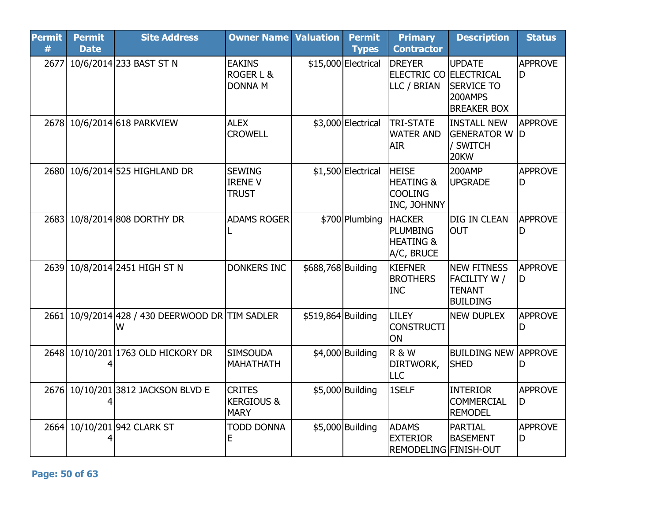| <b>Permit</b><br># | <b>Permit</b><br><b>Date</b> | <b>Site Address</b>                             | <b>Owner Name</b>                                     | <b>Valuation</b>   | <b>Permit</b><br><b>Types</b> | <b>Primary</b><br><b>Contractor</b>                                    | <b>Description</b>                                                      | <b>Status</b>        |
|--------------------|------------------------------|-------------------------------------------------|-------------------------------------------------------|--------------------|-------------------------------|------------------------------------------------------------------------|-------------------------------------------------------------------------|----------------------|
| 2677               |                              | 10/6/2014 233 BAST ST N                         | <b>EAKINS</b><br>ROGER L &<br><b>DONNA M</b>          |                    | \$15,000 Electrical           | <b>DREYER</b><br><b>ELECTRIC CO ELECTRICAL</b><br>LLC / BRIAN          | <b>UPDATE</b><br><b>SERVICE TO</b><br>200AMPS<br><b>BREAKER BOX</b>     | <b>APPROVE</b><br>D  |
| 2678               |                              | 10/6/2014 618 PARKVIEW                          | <b>ALEX</b><br><b>CROWELL</b>                         |                    | \$3,000 Electrical            | <b>TRI-STATE</b><br><b>WATER AND</b><br><b>AIR</b>                     | <b>INSTALL NEW</b><br><b>GENERATOR W D</b><br>/ SWITCH<br>20KW          | <b>APPROVE</b>       |
| 2680               |                              | 10/6/2014 525 HIGHLAND DR                       | <b>SEWING</b><br><b>IRENE V</b><br><b>TRUST</b>       |                    | \$1,500 Electrical            | <b>HEISE</b><br><b>HEATING &amp;</b><br><b>COOLING</b><br>INC, JOHNNY  | 200AMP<br><b>UPGRADE</b>                                                | <b>APPROVE</b><br>D  |
| 2683               |                              | 10/8/2014 808 DORTHY DR                         | <b>ADAMS ROGER</b>                                    |                    | \$700 Plumbing                | <b>HACKER</b><br><b>PLUMBING</b><br><b>HEATING &amp;</b><br>A/C, BRUCE | <b>DIG IN CLEAN</b><br><b>OUT</b>                                       | <b>APPROVE</b><br>D  |
| 2639               |                              | 10/8/2014 2451 HIGH ST N                        | <b>DONKERS INC</b>                                    | \$688,768 Building |                               | <b>KIEFNER</b><br><b>BROTHERS</b><br><b>INC</b>                        | <b>INEW FITNESS</b><br>FACILITY W /<br><b>TENANT</b><br><b>BUILDING</b> | <b>APPROVE</b><br>ID |
| 2661               |                              | 10/9/2014 428 / 430 DEERWOOD DR TIM SADLER<br>W |                                                       | \$519,864 Building |                               | <b>LILEY</b><br><b>CONSTRUCTI</b><br>ON                                | <b>NEW DUPLEX</b>                                                       | <b>APPROVE</b><br>D  |
| 2648               |                              | 10/10/201 1763 OLD HICKORY DR                   | <b>SIMSOUDA</b><br><b>MAHATHATH</b>                   |                    | \$4,000 Building              | <b>R&amp;W</b><br>DIRTWORK,<br>LLC                                     | <b>BUILDING NEW APPROVE</b><br><b>SHED</b>                              |                      |
| 2676               |                              | 10/10/201 3812 JACKSON BLVD E                   | <b>CRITES</b><br><b>KERGIOUS &amp;</b><br><b>MARY</b> |                    | \$5,000 Building              | 1SELF                                                                  | <b>INTERIOR</b><br><b>COMMERCIAL</b><br><b>REMODEL</b>                  | <b>APPROVE</b><br>D  |
| 2664               |                              | 10/10/201 942 CLARK ST                          | <b>TODD DONNA</b><br>Е                                |                    | \$5,000 Building              | <b>ADAMS</b><br><b>EXTERIOR</b><br><b>REMODELING FINISH-OUT</b>        | PARTIAL<br><b>BASEMENT</b>                                              | <b>APPROVE</b><br>D  |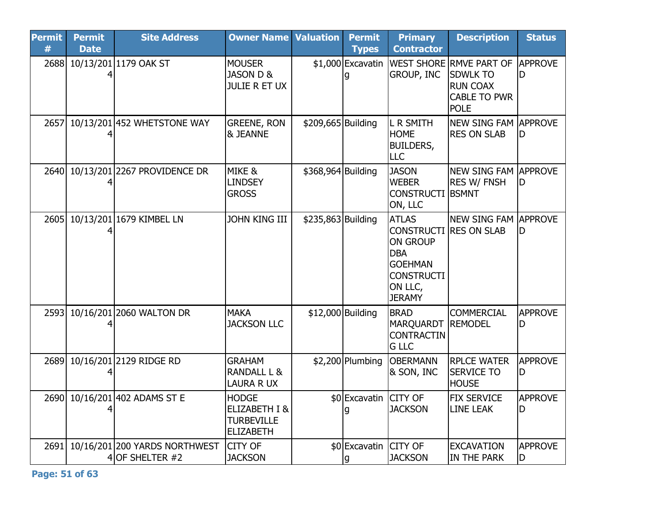| <b>Permit</b><br># | <b>Permit</b><br><b>Date</b> | <b>Site Address</b>                                | <b>Owner Name</b>                                                                 | <b>Valuation</b>   | <b>Permit</b><br><b>Types</b> | <b>Primary</b><br><b>Contractor</b>                                                                                                               | <b>Description</b>                                                                                         | <b>Status</b>         |
|--------------------|------------------------------|----------------------------------------------------|-----------------------------------------------------------------------------------|--------------------|-------------------------------|---------------------------------------------------------------------------------------------------------------------------------------------------|------------------------------------------------------------------------------------------------------------|-----------------------|
| 2688               |                              | 10/13/201 1179 OAK ST                              | <b>MOUSER</b><br>JASON D &<br><b>JULIE R ET UX</b>                                |                    | \$1,000 Excavatin<br>q        | <b>GROUP, INC</b>                                                                                                                                 | <b>WEST SHORE RMVE PART OF</b><br><b>SDWLK TO</b><br><b>RUN COAX</b><br><b>CABLE TO PWR</b><br><b>POLE</b> | <b>APPROVE</b><br>ID  |
| 2657               |                              | 10/13/201 452 WHETSTONE WAY                        | <b>GREENE, RON</b><br><b>&amp; JEANNE</b>                                         | \$209,665 Building |                               | <b>L R SMITH</b><br><b>HOME</b><br><b>BUILDERS,</b><br><b>LLC</b>                                                                                 | <b>NEW SING FAM APPROVE</b><br><b>RES ON SLAB</b>                                                          | ID                    |
| 2640               |                              | 10/13/201 2267 PROVIDENCE DR                       | MIKE &<br><b>LINDSEY</b><br><b>GROSS</b>                                          | \$368,964 Building |                               | <b>JASON</b><br><b>WEBER</b><br><b>CONSTRUCTI</b><br>ON, LLC                                                                                      | <b>NEW SING FAM APPROVE</b><br><b>RES W/ FNSH</b><br><b>BSMNT</b>                                          | ID                    |
| 2605               |                              | 10/13/201 1679 KIMBEL LN                           | <b>JOHN KING III</b>                                                              | \$235,863 Building |                               | <b>ATLAS</b><br><b>CONSTRUCTI RES ON SLAB</b><br><b>ON GROUP</b><br><b>DBA</b><br><b>GOEHMAN</b><br><b>CONSTRUCTI</b><br>ON LLC,<br><b>JERAMY</b> | <b>NEW SING FAM APPROVE</b>                                                                                | ID                    |
| 2593               |                              | 10/16/201 2060 WALTON DR                           | <b>MAKA</b><br><b>JACKSON LLC</b>                                                 | \$12,000 Building  |                               | <b>BRAD</b><br>MARQUARDT<br><b>CONTRACTIN</b><br><b>G LLC</b>                                                                                     | <b>COMMERCIAL</b><br><b>REMODEL</b>                                                                        | <b>APPROVE</b><br>ID  |
| 2689               |                              | 10/16/201 2129 RIDGE RD                            | <b>GRAHAM</b><br>RANDALL L &<br>LAURA R UX                                        |                    | \$2,200 Plumbing              | <b>OBERMANN</b><br>& SON, INC                                                                                                                     | <b>RPLCE WATER</b><br><b>SERVICE TO</b><br><b>HOUSE</b>                                                    | <b>APPROVE</b><br>D   |
| 2690               |                              | 10/16/201 402 ADAMS ST E                           | <b>HODGE</b><br><b>ELIZABETH I &amp;</b><br><b>TURBEVILLE</b><br><b>ELIZABETH</b> |                    | \$0 Excavatin CITY OF<br>q    | <b>JACKSON</b>                                                                                                                                    | <b>FIX SERVICE</b><br>LINE LEAK                                                                            | <b>APPROVE</b><br>D   |
| 2691               |                              | 10/16/201 200 YARDS NORTHWEST<br>4 OF SHELTER $#2$ | <b>CITY OF</b><br><b>JACKSON</b>                                                  |                    | \$0 Excavatin CITY OF<br>g    | <b>JACKSON</b>                                                                                                                                    | <b>EXCAVATION</b><br><b>IN THE PARK</b>                                                                    | <b>APPROVE</b><br>ID. |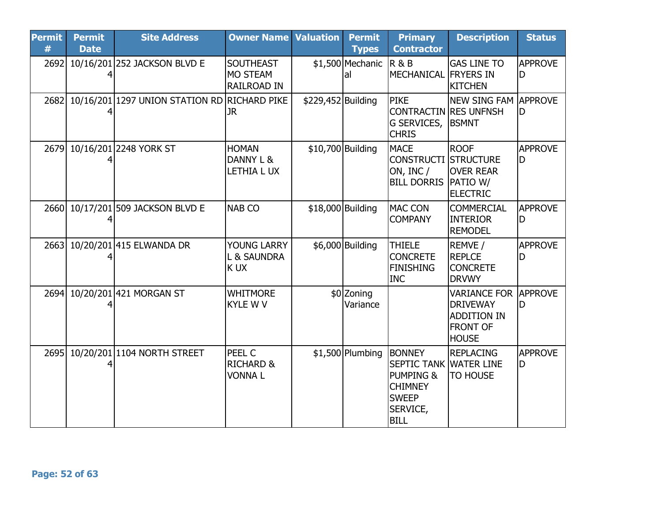| <b>Permit</b><br># | <b>Permit</b><br><b>Date</b> | <b>Site Address</b>                          | <b>Owner Name</b>                                         | <b>Valuation</b>   | <b>Permit</b><br><b>Types</b> | <b>Primary</b><br><b>Contractor</b>                                                                                                 | <b>Description</b>                                                                              | <b>Status</b>        |
|--------------------|------------------------------|----------------------------------------------|-----------------------------------------------------------|--------------------|-------------------------------|-------------------------------------------------------------------------------------------------------------------------------------|-------------------------------------------------------------------------------------------------|----------------------|
| 2692               |                              | 10/16/201 252 JACKSON BLVD E                 | <b>SOUTHEAST</b><br><b>MO STEAM</b><br><b>RAILROAD IN</b> |                    | \$1,500 Mechanic<br>al        | <b>R&amp;B</b><br><b>MECHANICAL FRYERS IN</b>                                                                                       | <b>GAS LINE TO</b><br><b>KITCHEN</b>                                                            | <b>APPROVE</b><br>lD |
| 2682               |                              | 10/16/201 1297 UNION STATION RD RICHARD PIKE | <b>JR</b>                                                 | \$229,452 Building |                               | <b>PIKE</b><br><b>CONTRACTIN RES UNFNSH</b><br>G SERVICES,<br><b>CHRIS</b>                                                          | NEW SING FAM APPROVE<br><b>BSMNT</b>                                                            | lD                   |
| 2679               |                              | 10/16/201 2248 YORK ST                       | <b>HOMAN</b><br>DANNY L &<br>LETHIA LUX                   |                    | \$10,700 Building             | <b>MACE</b><br><b>CONSTRUCTI STRUCTURE</b><br>ON, INC /<br><b>BILL DORRIS</b>                                                       | <b>ROOF</b><br><b>OVER REAR</b><br><b>PATIO W/</b><br><b>ELECTRIC</b>                           | <b>APPROVE</b><br>ID |
|                    |                              | 2660 10/17/201 509 JACKSON BLVD E            | <b>NAB CO</b>                                             |                    | \$18,000 Building             | <b>MAC CON</b><br><b>COMPANY</b>                                                                                                    | <b>COMMERCIAL</b><br><b>INTERIOR</b><br><b>REMODEL</b>                                          | <b>APPROVE</b><br>ID |
| 2663               |                              | 10/20/201 415 ELWANDA DR                     | YOUNG LARRY<br>L & SAUNDRA<br>K UX                        |                    | \$6,000 Building              | <b>THIELE</b><br><b>CONCRETE</b><br><b>FINISHING</b><br><b>INC</b>                                                                  | REMVE /<br><b>REPLCE</b><br><b>CONCRETE</b><br><b>DRVWY</b>                                     | <b>APPROVE</b>       |
| 2694               |                              | 10/20/201421 MORGAN ST                       | <b>WHITMORE</b><br><b>KYLE W V</b>                        |                    | \$0 Zoning<br>Variance        |                                                                                                                                     | <b>VARIANCE FOR</b><br><b>DRIVEWAY</b><br><b>ADDITION IN</b><br><b>FRONT OF</b><br><b>HOUSE</b> | APPROVE<br>ID        |
| 2695               |                              | 10/20/201 104 NORTH STREET                   | PEEL C<br><b>RICHARD &amp;</b><br><b>VONNAL</b>           |                    | $$1,500$ Plumbing             | <b>BONNEY</b><br><b>SEPTIC TANK WATER LINE</b><br><b>PUMPING &amp;</b><br><b>CHIMNEY</b><br><b>SWEEP</b><br>SERVICE,<br><b>BILL</b> | <b>REPLACING</b><br>TO HOUSE                                                                    | <b>APPROVE</b><br>ID |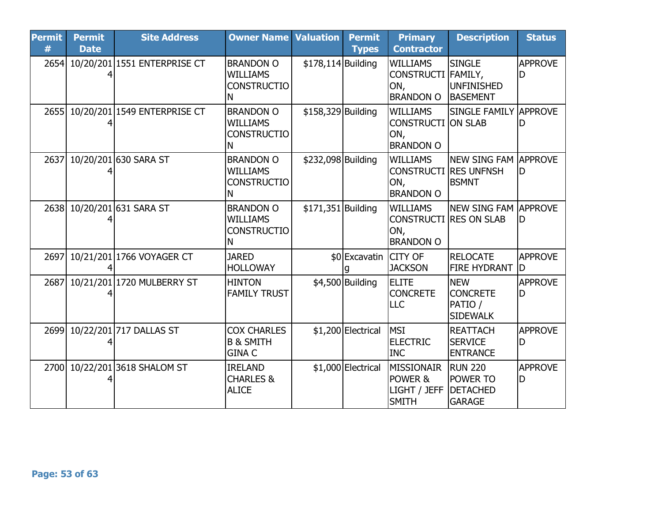| <b>Permit</b><br># | <b>Permit</b><br><b>Date</b> | <b>Site Address</b>          | <b>Owner Name Valuation</b>                                    |                    | <b>Permit</b><br><b>Types</b> | <b>Primary</b><br><b>Contractor</b>                                         | <b>Description</b>                                                    | <b>Status</b>        |
|--------------------|------------------------------|------------------------------|----------------------------------------------------------------|--------------------|-------------------------------|-----------------------------------------------------------------------------|-----------------------------------------------------------------------|----------------------|
| 2654               |                              | 10/20/201 1551 ENTERPRISE CT | <b>BRANDON O</b><br><b>WILLIAMS</b><br><b>CONSTRUCTIO</b><br>N | \$178,114 Building |                               | <b>WILLIAMS</b><br>CONSTRUCTI FAMILY,<br>ON,<br><b>BRANDON O</b>            | <b>SINGLE</b><br>UNFINISHED<br><b>BASEMENT</b>                        | <b>APPROVE</b><br>D  |
| 2655               |                              | 10/20/201 1549 ENTERPRISE CT | <b>BRANDON O</b><br><b>WILLIAMS</b><br><b>CONSTRUCTIO</b><br>Ν | \$158,329 Building |                               | <b>WILLIAMS</b><br><b>CONSTRUCTI ON SLAB</b><br>ON,<br><b>BRANDON O</b>     | ISINGLE FAMILY lAPPROVE                                               |                      |
| 2637               |                              | 10/20/201 630 SARA ST        | <b>BRANDON O</b><br><b>WILLIAMS</b><br><b>CONSTRUCTIO</b><br>N | \$232,098 Building |                               | <b>WILLIAMS</b><br><b>CONSTRUCTI RES UNFNSH</b><br>ON,<br><b>BRANDON O</b>  | NEW SING FAM APPROVE<br><b>BSMNT</b>                                  | ID                   |
|                    |                              | 2638 10/20/201 631 SARA ST   | <b>BRANDON O</b><br><b>WILLIAMS</b><br><b>CONSTRUCTIO</b><br>N | \$171,351 Building |                               | <b>WILLIAMS</b><br><b>CONSTRUCTI RES ON SLAB</b><br>ON,<br><b>BRANDON O</b> | NEW SING FAM APPROVE                                                  | lD                   |
| 2697               |                              | 10/21/201 1766 VOYAGER CT    | <b>JARED</b><br><b>HOLLOWAY</b>                                |                    | \$0 Excavatin CITY OF         | <b>JACKSON</b>                                                              | RELOCATE<br><b>FIRE HYDRANT</b>                                       | <b>APPROVE</b><br>ID |
| 2687               |                              | 10/21/201 1720 MULBERRY ST   | <b>HINTON</b><br><b>FAMILY TRUST</b>                           |                    | \$4,500 Building              | <b>ELITE</b><br><b>CONCRETE</b><br>LLC                                      | <b>NEW</b><br><b>CONCRETE</b><br>PATIO /<br><b>SIDEWALK</b>           | <b>APPROVE</b><br>ID |
| 2699               |                              | 10/22/201 717 DALLAS ST      | <b>COX CHARLES</b><br><b>B &amp; SMITH</b><br><b>GINA C</b>    |                    | \$1,200 Electrical            | <b>MSI</b><br><b>ELECTRIC</b><br><b>INC</b>                                 | <b>REATTACH</b><br><b>SERVICE</b><br><b>ENTRANCE</b>                  | <b>APPROVE</b><br>ID |
| 2700               |                              | 10/22/201 3618 SHALOM ST     | <b>IRELAND</b><br><b>CHARLES &amp;</b><br><b>ALICE</b>         |                    | \$1,000 Electrical            | MISSIONAIR<br>POWER &<br>LIGHT / JEFF<br><b>SMITH</b>                       | <b>RUN 220</b><br><b>POWER TO</b><br><b>DETACHED</b><br><b>GARAGE</b> | <b>APPROVE</b><br>D  |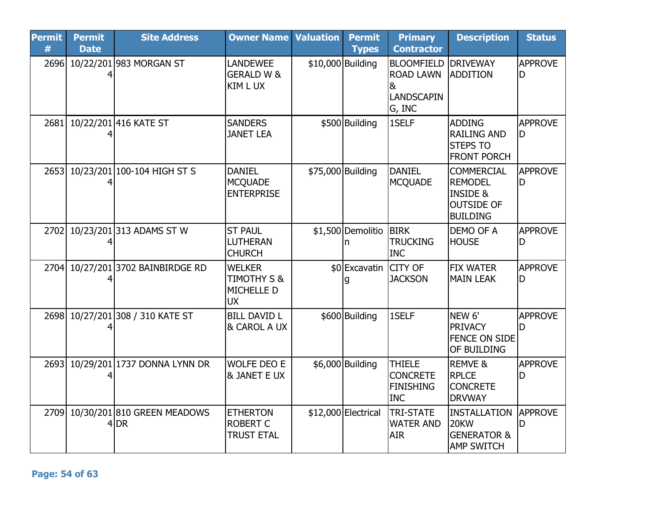| <b>Permit</b><br># | <b>Permit</b><br><b>Date</b> | <b>Site Address</b>                 | <b>Owner Name</b>                                                  | <b>Valuation</b>  | <b>Permit</b><br><b>Types</b> | <b>Primary</b><br><b>Contractor</b>                                                | <b>Description</b>                                                                                 | <b>Status</b>        |
|--------------------|------------------------------|-------------------------------------|--------------------------------------------------------------------|-------------------|-------------------------------|------------------------------------------------------------------------------------|----------------------------------------------------------------------------------------------------|----------------------|
| 2696               |                              | 10/22/201 983 MORGAN ST             | <b>LANDEWEE</b><br><b>GERALD W &amp;</b><br>KIM L UX               | \$10,000 Building |                               | <b>BLOOMFIELD DRIVEWAY</b><br><b>ROAD LAWN</b><br>&<br><b>LANDSCAPIN</b><br>G, INC | ADDITION                                                                                           | <b>APPROVE</b><br>D  |
| 2681               |                              | 10/22/201 416 KATE ST               | <b>SANDERS</b><br><b>JANET LEA</b>                                 |                   | \$500 Building                | 1SELF                                                                              | <b>ADDING</b><br><b>RAILING AND</b><br><b>STEPS TO</b><br><b>FRONT PORCH</b>                       | <b>APPROVE</b><br>ID |
| 2653               |                              | 10/23/201 100-104 HIGH ST S         | <b>DANIEL</b><br><b>MCQUADE</b><br><b>ENTERPRISE</b>               | \$75,000 Building |                               | <b>DANIEL</b><br><b>MCQUADE</b>                                                    | <b>COMMERCIAL</b><br><b>REMODEL</b><br><b>INSIDE &amp;</b><br><b>OUTSIDE OF</b><br><b>BUILDING</b> | <b>APPROVE</b><br>ID |
| 2702               |                              | 10/23/201 313 ADAMS ST W            | <b>ST PAUL</b><br>LUTHERAN<br><b>CHURCH</b>                        |                   | \$1,500 Demolitio BIRK<br>n   | <b>TRUCKING</b><br><b>INC</b>                                                      | <b>DEMO OF A</b><br><b>HOUSE</b>                                                                   | <b>APPROVE</b><br>ID |
| 2704               |                              | 10/27/201 3702 BAINBIRDGE RD        | <b>WELKER</b><br><b>TIMOTHY S &amp;</b><br>MICHELLE D<br><b>UX</b> |                   | \$0 Excavatin<br>q            | <b>CITY OF</b><br><b>JACKSON</b>                                                   | <b>FIX WATER</b><br><b>MAIN LEAK</b>                                                               | <b>APPROVE</b><br>ID |
| 2698               |                              | 10/27/201 308 / 310 KATE ST         | <b>BILL DAVID L</b><br>& CAROL A UX                                |                   | \$600 Building                | 1SELF                                                                              | NEW <sub>6'</sub><br>PRIVACY<br><b>FENCE ON SIDE</b><br><b>OF BUILDING</b>                         | <b>APPROVE</b>       |
| 2693               |                              | 10/29/201 1737 DONNA LYNN DR        | <b>WOLFE DEO E</b><br>& JANET E UX                                 |                   | \$6,000 Building              | <b>THIELE</b><br><b>CONCRETE</b><br><b>FINISHING</b><br><b>INC</b>                 | <b>REMVE &amp;</b><br><b>RPLCE</b><br><b>CONCRETE</b><br><b>DRVWAY</b>                             | <b>APPROVE</b><br>D  |
| 2709               |                              | 10/30/201 810 GREEN MEADOWS<br>4 DR | <b>ETHERTON</b><br><b>ROBERT C</b><br><b>TRUST ETAL</b>            |                   | \$12,000 Electrical           | <b>TRI-STATE</b><br><b>WATER AND</b><br><b>AIR</b>                                 | INSTALLATION<br>20KW<br><b>GENERATOR &amp;</b><br><b>AMP SWITCH</b>                                | <b>APPROVE</b><br>D  |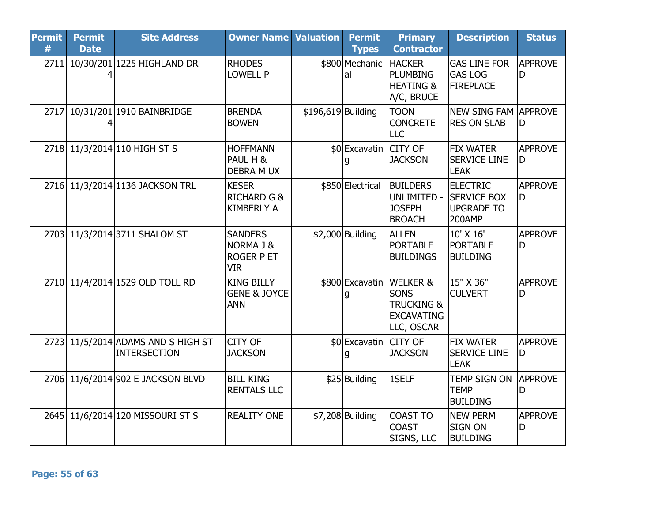| <b>Permit</b><br># | <b>Permit</b><br><b>Date</b> | <b>Site Address</b>                                       | <b>Owner Name Valuation</b>                                    |                    | <b>Permit</b><br><b>Types</b> | <b>Primary</b><br><b>Contractor</b>                                                                 | <b>Description</b>                                                   | <b>Status</b>        |
|--------------------|------------------------------|-----------------------------------------------------------|----------------------------------------------------------------|--------------------|-------------------------------|-----------------------------------------------------------------------------------------------------|----------------------------------------------------------------------|----------------------|
| 2711               |                              | 10/30/201 1225 HIGHLAND DR                                | <b>RHODES</b><br><b>LOWELL P</b>                               |                    | \$800 Mechanic<br>lal         | <b>HACKER</b><br><b>PLUMBING</b><br><b>HEATING &amp;</b><br>A/C, BRUCE                              | <b>GAS LINE FOR</b><br><b>GAS LOG</b><br><b>FIREPLACE</b>            | APPROVE<br>D         |
| 2717               |                              | 10/31/201 1910 BAINBRIDGE                                 | <b>BRENDA</b><br><b>BOWEN</b>                                  | \$196,619 Building |                               | <b>TOON</b><br><b>CONCRETE</b><br>LLC                                                               | NEW SING FAM APPROVE<br><b>RES ON SLAB</b>                           | ID                   |
|                    |                              | 2718 11/3/2014 110 HIGH ST S                              | <b>HOFFMANN</b><br>PAUL H &<br><b>DEBRA M UX</b>               |                    | \$0 Excavatin CITY OF         | <b>JACKSON</b>                                                                                      | <b>FIX WATER</b><br><b>SERVICE LINE</b><br><b>LEAK</b>               | <b>APPROVE</b><br>ID |
|                    |                              | 2716 11/3/2014 1136 JACKSON TRL                           | <b>KESER</b><br><b>RICHARD G &amp;</b><br><b>KIMBERLY A</b>    |                    | \$850 Electrical              | <b>BUILDERS</b><br>UNLIMITED -<br><b>JOSEPH</b><br><b>BROACH</b>                                    | <b>ELECTRIC</b><br><b>SERVICE BOX</b><br><b>UPGRADE TO</b><br>200AMP | <b>APPROVE</b><br>ID |
| 2703               |                              | 11/3/2014 3711 SHALOM ST                                  | <b>SANDERS</b><br>NORMA J &<br><b>ROGER P ET</b><br><b>VIR</b> |                    | $$2,000$ Building             | <b>ALLEN</b><br><b>PORTABLE</b><br><b>BUILDINGS</b>                                                 | 10' X 16'<br>PORTABLE<br><b>BUILDING</b>                             | <b>APPROVE</b><br>D  |
|                    |                              | 2710 11/4/2014 1529 OLD TOLL RD                           | <b>KING BILLY</b><br><b>GENE &amp; JOYCE</b><br><b>ANN</b>     |                    | g                             | \$800 Excavatin WELKER &<br><b>SONS</b><br><b>TRUCKING &amp;</b><br><b>EXCAVATING</b><br>LLC, OSCAR | 15" X 36"<br><b>CULVERT</b>                                          | <b>APPROVE</b><br>D  |
|                    |                              | 2723 11/5/2014 ADAMS AND S HIGH ST<br><b>INTERSECTION</b> | <b>CITY OF</b><br><b>JACKSON</b>                               |                    | \$0 Excavatin CITY OF         | <b>JACKSON</b>                                                                                      | <b>FIX WATER</b><br><b>SERVICE LINE</b><br><b>LEAK</b>               | <b>APPROVE</b><br>D  |
|                    |                              | 2706 11/6/2014 902 E JACKSON BLVD                         | <b>BILL KING</b><br><b>RENTALS LLC</b>                         |                    | \$25 Building                 | 1SELF                                                                                               | TEMP SIGN ON<br><b>TEMP</b><br><b>BUILDING</b>                       | APPROVE<br>D         |
|                    |                              | 2645 11/6/2014 120 MISSOURI ST S                          | <b>REALITY ONE</b>                                             |                    | $$7,208$ Building             | <b>COAST TO</b><br><b>COAST</b><br>SIGNS, LLC                                                       | <b>NEW PERM</b><br><b>SIGN ON</b><br><b>BUILDING</b>                 | <b>APPROVE</b><br>D  |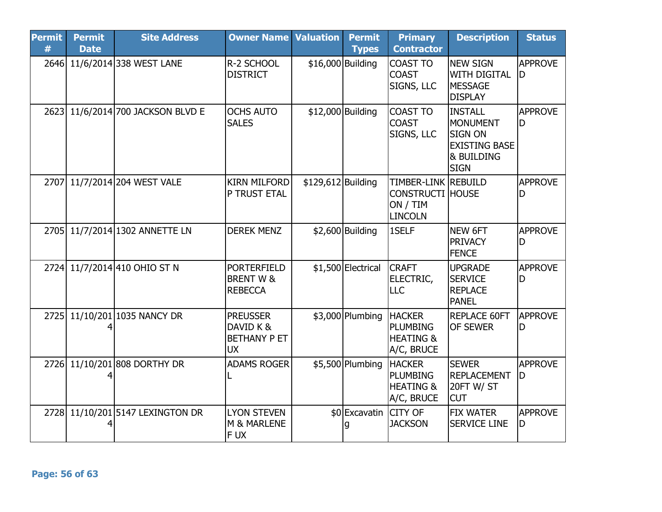| <b>Permit</b><br># | <b>Permit</b><br><b>Date</b> | <b>Site Address</b>               | <b>Owner Name Valuation</b>                                      |                    | <b>Permit</b><br><b>Types</b> | <b>Primary</b><br><b>Contractor</b>                                          | <b>Description</b>                                                                                       | <b>Status</b>        |
|--------------------|------------------------------|-----------------------------------|------------------------------------------------------------------|--------------------|-------------------------------|------------------------------------------------------------------------------|----------------------------------------------------------------------------------------------------------|----------------------|
|                    |                              | 2646 11/6/2014 338 WEST LANE      | R-2 SCHOOL<br><b>DISTRICT</b>                                    | \$16,000 Building  |                               | <b>COAST TO</b><br><b>COAST</b><br>SIGNS, LLC                                | <b>NEW SIGN</b><br><b>WITH DIGITAL</b><br><b>MESSAGE</b><br><b>DISPLAY</b>                               | <b>APPROVE</b><br>ID |
|                    |                              | 2623 11/6/2014 700 JACKSON BLVD E | <b>OCHS AUTO</b><br><b>SALES</b>                                 |                    | \$12,000 Building             | <b>COAST TO</b><br><b>COAST</b><br>SIGNS, LLC                                | <b>INSTALL</b><br><b>MONUMENT</b><br><b>SIGN ON</b><br><b>EXISTING BASE</b><br>& BUILDING<br><b>SIGN</b> | <b>APPROVE</b><br>ID |
|                    |                              | 2707 11/7/2014 204 WEST VALE      | <b>KIRN MILFORD</b><br>P TRUST ETAL                              | \$129,612 Building |                               | TIMBER-LINK REBUILD<br><b>CONSTRUCTI HOUSE</b><br>ON / TIM<br><b>LINCOLN</b> |                                                                                                          | <b>APPROVE</b><br>D  |
|                    |                              | 2705 11/7/2014 1302 ANNETTE LN    | <b>DEREK MENZ</b>                                                |                    | $$2,600$ Building             | 1SELF                                                                        | NEW 6FT<br><b>PRIVACY</b><br><b>FENCE</b>                                                                | <b>APPROVE</b><br>ID |
|                    |                              | 2724 11/7/2014 410 OHIO ST N      | <b>PORTERFIELD</b><br><b>BRENT W &amp;</b><br><b>REBECCA</b>     |                    | \$1,500 Electrical            | <b>CRAFT</b><br>ELECTRIC,<br><b>LLC</b>                                      | <b>UPGRADE</b><br><b>SERVICE</b><br><b>REPLACE</b><br><b>PANEL</b>                                       | <b>APPROVE</b><br>D  |
| 2725               |                              | 11/10/201 1035 NANCY DR           | <b>PREUSSER</b><br>DAVID K &<br><b>BETHANY P ET</b><br><b>UX</b> |                    | \$3,000 Plumbing              | <b>HACKER</b><br><b>PLUMBING</b><br><b>HEATING &amp;</b><br>A/C, BRUCE       | <b>REPLACE 60FT</b><br><b>OF SEWER</b>                                                                   | <b>APPROVE</b><br>ID |
|                    |                              | 2726 11/10/201 808 DORTHY DR      | <b>ADAMS ROGER</b>                                               |                    | \$5,500 Plumbing              | <b>HACKER</b><br><b>PLUMBING</b><br><b>HEATING &amp;</b><br>A/C, BRUCE       | <b>SEWER</b><br><b>REPLACEMENT</b><br><b>20FT W/ ST</b><br><b>CUT</b>                                    | <b>APPROVE</b><br>D  |
| 2728               |                              | 11/10/201 5147 LEXINGTON DR       | <b>LYON STEVEN</b><br>M & MARLENE<br>F UX                        |                    | \$0 Excavatin CITY OF         | <b>JACKSON</b>                                                               | <b>FIX WATER</b><br><b>SERVICE LINE</b>                                                                  | <b>APPROVE</b><br>D  |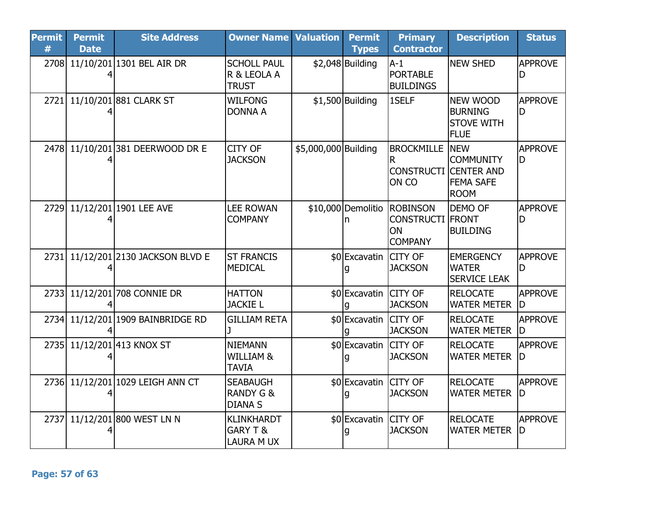| <b>Permit</b><br># | <b>Permit</b><br><b>Date</b> | <b>Site Address</b>               | <b>Owner Name Valuation</b>                                   |                      | <b>Permit</b><br><b>Types</b> | <b>Primary</b><br><b>Contractor</b>                                            | <b>Description</b>                                                                     | <b>Status</b>        |
|--------------------|------------------------------|-----------------------------------|---------------------------------------------------------------|----------------------|-------------------------------|--------------------------------------------------------------------------------|----------------------------------------------------------------------------------------|----------------------|
|                    |                              | 2708 11/10/201 1301 BEL AIR DR    | <b>SCHOLL PAUL</b><br>R & LEOLA A<br><b>TRUST</b>             |                      | $$2,048$ Building             | $A-1$<br><b>PORTABLE</b><br><b>BUILDINGS</b>                                   | <b>NEW SHED</b>                                                                        | <b>APPROVE</b><br>D  |
| 2721               |                              | 11/10/201 881 CLARK ST            | <b>WILFONG</b><br><b>DONNA A</b>                              |                      | $$1,500$ Building             | 1SELF                                                                          | <b>NEW WOOD</b><br><b>BURNING</b><br><b>STOVE WITH</b><br><b>FLUE</b>                  | <b>APPROVE</b><br>ID |
| 2478               |                              | 11/10/201381 DEERWOOD DR E        | CITY OF<br><b>JACKSON</b>                                     | \$5,000,000 Building |                               | <b>BROCKMILLE</b><br><b>CONSTRUCTI</b><br>ON CO                                | <b>NEW</b><br><b>COMMUNITY</b><br><b>CENTER AND</b><br><b>FEMA SAFE</b><br><b>ROOM</b> | <b>APPROVE</b><br>D  |
|                    |                              | 2729 11/12/201 1901 LEE AVE       | <b>LEE ROWAN</b><br><b>COMPANY</b>                            |                      | n                             | \$10,000 Demolitio ROBINSON<br><b>CONSTRUCTI FRONT</b><br>ON<br><b>COMPANY</b> | <b>DEMO OF</b><br><b>BUILDING</b>                                                      | <b>APPROVE</b><br>D  |
| 2731               |                              | 11/12/201 2130 JACKSON BLVD E     | <b>ST FRANCIS</b><br><b>MEDICAL</b>                           |                      | \$0 Excavatin                 | <b>CITY OF</b><br><b>JACKSON</b>                                               | <b>EMERGENCY</b><br><b>WATER</b><br><b>SERVICE LEAK</b>                                | <b>APPROVE</b><br>D  |
|                    |                              | 2733 11/12/201 708 CONNIE DR      | <b>HATTON</b><br><b>JACKIE L</b>                              |                      | \$0 Excavatin CITY OF         | <b>JACKSON</b>                                                                 | <b>RELOCATE</b><br><b>WATER METER</b>                                                  | <b>APPROVE</b><br>ID |
|                    |                              | 2734 11/12/201 1909 BAINBRIDGE RD | <b>GILLIAM RETA</b>                                           |                      | \$0 Excavatin CITY OF         | <b>JACKSON</b>                                                                 | <b>RELOCATE</b><br><b>WATER METER</b>                                                  | <b>APPROVE</b><br>ID |
|                    |                              | 2735 11/12/201 413 KNOX ST        | <b>NIEMANN</b><br>WILLIAM &<br><b>TAVIA</b>                   |                      | \$0 Excavatin                 | <b>CITY OF</b><br><b>JACKSON</b>                                               | <b>RELOCATE</b><br><b>WATER METER</b>                                                  | <b>APPROVE</b><br>ID |
|                    |                              | 2736 11/12/201 1029 LEIGH ANN CT  | <b>SEABAUGH</b><br><b>RANDY G &amp;</b><br><b>DIANA S</b>     |                      | \$0 Excavatin CITY OF         | <b>JACKSON</b>                                                                 | <b>RELOCATE</b><br><b>WATER METER</b>                                                  | <b>APPROVE</b><br>ID |
| 2737               |                              | 11/12/201 800 WEST LN N           | <b>KLINKHARDT</b><br><b>GARY T &amp;</b><br><b>LAURA M UX</b> |                      | \$0 Excavatin CITY OF         | <b>JACKSON</b>                                                                 | <b>RELOCATE</b><br><b>WATER METER</b>                                                  | <b>APPROVE</b><br>ID |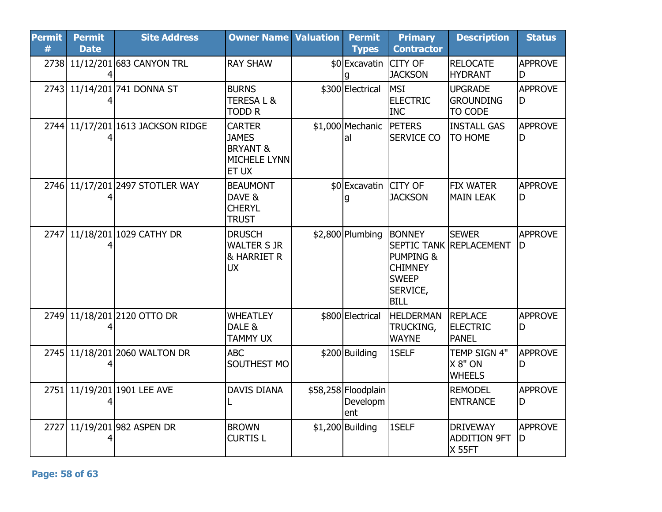| <b>Permit</b><br># | <b>Permit</b><br><b>Date</b> | <b>Site Address</b>               | <b>Owner Name Valuation</b>                                                          | <b>Permit</b><br><b>Types</b>          | <b>Primary</b><br><b>Contractor</b>                                                                | <b>Description</b>                                      | <b>Status</b>        |
|--------------------|------------------------------|-----------------------------------|--------------------------------------------------------------------------------------|----------------------------------------|----------------------------------------------------------------------------------------------------|---------------------------------------------------------|----------------------|
|                    |                              | 2738 11/12/201 683 CANYON TRL     | <b>RAY SHAW</b>                                                                      | \$0 Excavatin                          | <b>CITY OF</b><br><b>JACKSON</b>                                                                   | <b>RELOCATE</b><br><b>HYDRANT</b>                       | <b>APPROVE</b><br>D  |
|                    |                              | 2743 11/14/201 741 DONNA ST       | <b>BURNS</b><br><b>TERESAL&amp;</b><br><b>TODD R</b>                                 | \$300 Electrical                       | <b>MSI</b><br><b>ELECTRIC</b><br><b>INC</b>                                                        | <b>UPGRADE</b><br><b>GROUNDING</b><br>TO CODE           | <b>APPROVE</b><br>ID |
|                    |                              | 2744 11/17/201 1613 JACKSON RIDGE | <b>CARTER</b><br><b>JAMES</b><br><b>BRYANT &amp;</b><br>MICHELE LYNN<br><b>ET UX</b> | \$1,000 Mechanic<br>lal                | <b>IPETERS</b><br><b>SERVICE CO</b>                                                                | <b>INSTALL GAS</b><br><b>TO HOME</b>                    | <b>APPROVE</b><br>ID |
|                    |                              | 2746 11/17/201 2497 STOTLER WAY   | <b>BEAUMONT</b><br>DAVE &<br><b>CHERYL</b><br><b>TRUST</b>                           | \$0 Excavatin CITY OF                  | <b>JACKSON</b>                                                                                     | <b>FIX WATER</b><br><b>MAIN LEAK</b>                    | <b>APPROVE</b><br>ID |
| 2747               |                              | 11/18/201 1029 CATHY DR           | <b>DRUSCH</b><br><b>WALTER S JR</b><br><b>&amp; HARRIET R</b><br><b>UX</b>           | \$2,800 Plumbing                       | <b>BONNEY</b><br><b>PUMPING &amp;</b><br><b>CHIMNEY</b><br><b>SWEEP</b><br>SERVICE,<br><b>BILL</b> | <b>SEWER</b><br><b>SEPTIC TANK REPLACEMENT</b>          | <b>APPROVE</b><br>ID |
| 2749               |                              | 11/18/201 2120 OTTO DR            | <b>WHEATLEY</b><br>DALE &<br><b>TAMMY UX</b>                                         | \$800 Electrical                       | <b>HELDERMAN</b><br><b>TRUCKING,</b><br><b>WAYNE</b>                                               | <b>REPLACE</b><br><b>ELECTRIC</b><br><b>PANEL</b>       | <b>APPROVE</b><br>D  |
|                    |                              | 2745 11/18/201 2060 WALTON DR     | <b>ABC</b><br>SOUTHEST MO                                                            | \$200 Building                         | 1SELF                                                                                              | TEMP SIGN 4"<br>X 8" ON<br><b>WHEELS</b>                | <b>APPROVE</b><br>ID |
| 2751               |                              | 11/19/201 1901 LEE AVE            | <b>DAVIS DIANA</b>                                                                   | \$58,258 Floodplain<br>Developm<br>ent |                                                                                                    | <b>REMODEL</b><br><b>ENTRANCE</b>                       | <b>APPROVE</b><br>ID |
| 2727               |                              | 11/19/201 982 ASPEN DR            | <b>BROWN</b><br><b>CURTIS L</b>                                                      | $$1,200$ Building                      | 1SELF                                                                                              | <b>DRIVEWAY</b><br><b>ADDITION 9FT</b><br><b>X 55FT</b> | <b>APPROVE</b><br>D  |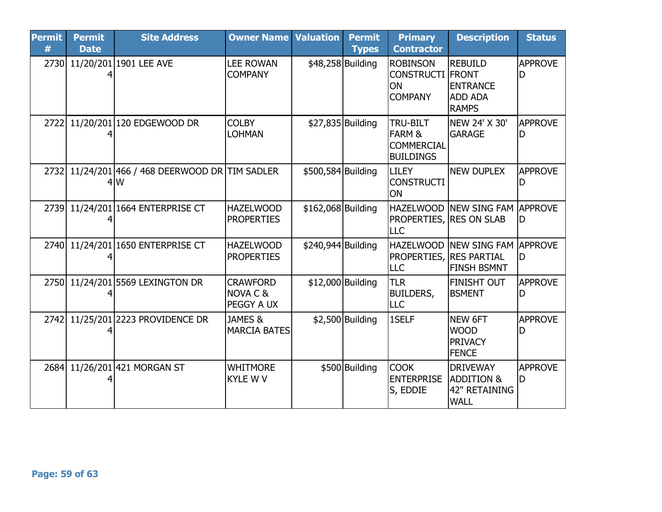| <b>Permit</b><br># | <b>Permit</b><br><b>Date</b> | <b>Site Address</b>                                    | <b>Owner Name</b>                                    | <b>Valuation</b>   | <b>Permit</b><br><b>Types</b> | <b>Primary</b><br><b>Contractor</b>                                    | <b>Description</b>                                                       | <b>Status</b>       |
|--------------------|------------------------------|--------------------------------------------------------|------------------------------------------------------|--------------------|-------------------------------|------------------------------------------------------------------------|--------------------------------------------------------------------------|---------------------|
| 2730               |                              | 11/20/201 1901 LEE AVE                                 | <b>LEE ROWAN</b><br><b>COMPANY</b>                   |                    | \$48,258 Building             | <b>ROBINSON</b><br><b>CONSTRUCTI FRONT</b><br>ON<br><b>COMPANY</b>     | <b>REBUILD</b><br><b>ENTRANCE</b><br><b>ADD ADA</b><br><b>RAMPS</b>      | <b>APPROVE</b>      |
| 2722               |                              | 11/20/201 120 EDGEWOOD DR                              | <b>COLBY</b><br><b>LOHMAN</b>                        |                    | \$27,835 Building             | TRU-BILT<br><b>FARM &amp;</b><br><b>COMMERCIAL</b><br><b>BUILDINGS</b> | NEW 24' X 30'<br><b>GARAGE</b>                                           | <b>APPROVE</b>      |
|                    |                              | 2732 11/24/201 466 / 468 DEERWOOD DR TIM SADLER<br>4lW |                                                      | \$500,584 Building |                               | <b>LILEY</b><br><b>CONSTRUCTI</b><br>ON                                | <b>NEW DUPLEX</b>                                                        | <b>APPROVE</b>      |
| 2739               |                              | 11/24/201 1664 ENTERPRISE CT                           | <b>HAZELWOOD</b><br><b>PROPERTIES</b>                | \$162,068 Building |                               | <b>PROPERTIES, RES ON SLAB</b><br>LLC                                  | HAZELWOOD NEW SING FAM APPROVE                                           | lD                  |
| 2740               |                              | 11/24/201 1650 ENTERPRISE CT                           | <b>HAZELWOOD</b><br><b>PROPERTIES</b>                | \$240,944 Building |                               | <b>HAZELWOOD</b><br><b>PROPERTIES, RES PARTIAL</b><br>LLC              | <b>NEW SING FAM APPROVE</b><br><b>FINSH BSMNT</b>                        | ID                  |
|                    |                              | 2750 11/24/201 5569 LEXINGTON DR                       | <b>CRAWFORD</b><br><b>NOVA C &amp;</b><br>PEGGY A UX |                    | \$12,000 Building             | <b>TLR</b><br><b>BUILDERS,</b><br>LLC                                  | <b>FINISHT OUT</b><br><b>BSMENT</b>                                      | <b>APPROVE</b><br>D |
| 2742               |                              | 11/25/201 2223 PROVIDENCE DR                           | JAMES &<br>MARCIA BATES                              |                    | $$2,500$ Building             | 1SELF                                                                  | NEW 6FT<br><b>WOOD</b><br><b>PRIVACY</b><br><b>FENCE</b>                 | <b>APPROVE</b><br>D |
| 2684               |                              | 11/26/201 421 MORGAN ST                                | <b>WHITMORE</b><br><b>KYLE W V</b>                   |                    | \$500 Building                | <b>COOK</b><br><b>ENTERPRISE</b><br>S, EDDIE                           | <b>DRIVEWAY</b><br><b>ADDITION &amp;</b><br>42" RETAINING<br><b>WALL</b> | <b>APPROVE</b>      |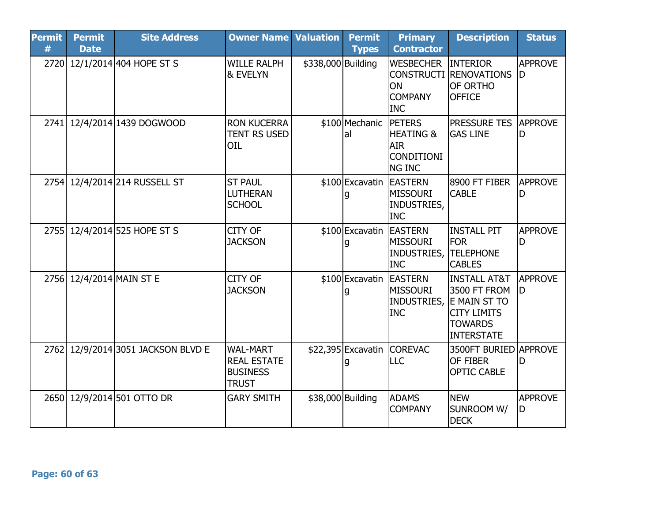| <b>Permit</b><br># | <b>Permit</b><br><b>Date</b> | <b>Site Address</b>           | <b>Owner Name</b>                                                        | <b>Valuation</b>   | <b>Permit</b><br><b>Types</b> | <b>Primary</b><br><b>Contractor</b>                                                        | <b>Description</b>                                                                                            | <b>Status</b>        |
|--------------------|------------------------------|-------------------------------|--------------------------------------------------------------------------|--------------------|-------------------------------|--------------------------------------------------------------------------------------------|---------------------------------------------------------------------------------------------------------------|----------------------|
|                    |                              | 2720 12/1/2014 404 HOPE ST S  | <b>WILLE RALPH</b><br><b>&amp; EVELYN</b>                                | \$338,000 Building |                               | <b>WESBECHER</b><br><b>ON</b><br><b>COMPANY</b><br><b>INC</b>                              | <b>INTERIOR</b><br><b>CONSTRUCTI RENOVATIONS</b><br><b>OF ORTHO</b><br><b>OFFICE</b>                          | <b>APPROVE</b><br>ID |
|                    |                              | 2741 12/4/2014 1439 DOGWOOD   | <b>RON KUCERRA</b><br><b>TENT RS USED</b><br>OIL                         |                    | \$100 Mechanic<br>lal         | <b>IPETERS</b><br><b>HEATING &amp;</b><br><b>AIR</b><br><b>CONDITIONI</b><br><b>NG INC</b> | <b>PRESSURE TES</b><br><b>GAS LINE</b>                                                                        | <b>APPROVE</b><br>ID |
|                    |                              | 2754 12/4/2014 214 RUSSELL ST | <b>ST PAUL</b><br>LUTHERAN<br><b>SCHOOL</b>                              |                    | \$100 Excavatin EASTERN       | <b>MISSOURI</b><br>INDUSTRIES,<br><b>INC</b>                                               | 8900 FT FIBER<br><b>CABLE</b>                                                                                 | <b>APPROVE</b><br>D  |
|                    |                              | 2755 12/4/2014 525 HOPE ST S  | CITY OF<br><b>JACKSON</b>                                                |                    | \$100 Excavatin EASTERN       | <b>MISSOURI</b><br>INDUSTRIES,<br><b>INC</b>                                               | <b>INSTALL PIT</b><br><b>FOR</b><br><b>TELEPHONE</b><br><b>CABLES</b>                                         | <b>APPROVE</b><br>ID |
|                    | 2756 12/4/2014 MAIN ST E     |                               | CITY OF<br><b>JACKSON</b>                                                |                    | \$100 Excavatin EASTERN<br>g  | <b>MISSOURI</b><br>INDUSTRIES,<br><b>INC</b>                                               | <b>INSTALL AT&amp;T</b><br>3500 FT FROM<br>E MAIN ST TO<br><b>CITY LIMITS</b><br><b>TOWARDS</b><br>INTERSTATE | <b>APPROVE</b><br>ID |
| 2762               |                              | 12/9/2014 3051 JACKSON BLVD E | <b>WAL-MART</b><br><b>REAL ESTATE</b><br><b>BUSINESS</b><br><b>TRUST</b> |                    |                               | \$22,395 Excavatin COREVAC<br>LLC                                                          | 3500FT BURIED APPROVE<br>OF FIBER<br><b>OPTIC CABLE</b>                                                       | D                    |
|                    |                              | 2650 12/9/2014 501 OTTO DR    | <b>GARY SMITH</b>                                                        |                    | \$38,000 Building             | <b>ADAMS</b><br><b>COMPANY</b>                                                             | <b>NEW</b><br>SUNROOM W/<br><b>DECK</b>                                                                       | <b>APPROVE</b><br>ID |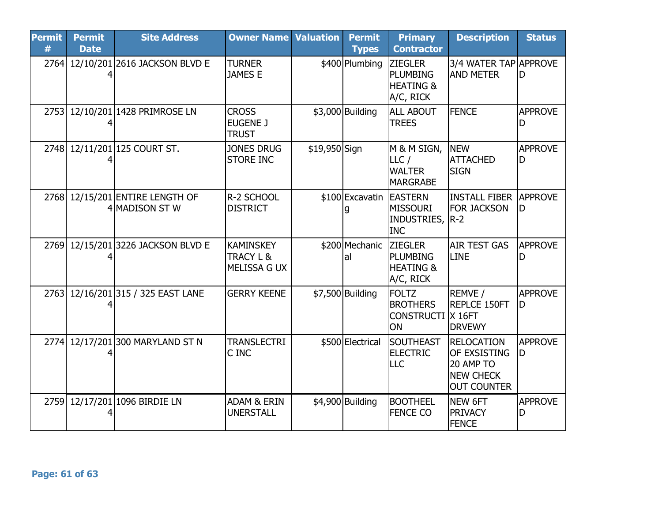| <b>Permit</b><br># | <b>Permit</b><br><b>Date</b> | <b>Site Address</b>                               | <b>Owner Name</b>                                        | <b>Valuation</b> | <b>Permit</b><br><b>Types</b> | <b>Primary</b><br><b>Contractor</b>                                    | <b>Description</b>                                                                              | <b>Status</b>        |
|--------------------|------------------------------|---------------------------------------------------|----------------------------------------------------------|------------------|-------------------------------|------------------------------------------------------------------------|-------------------------------------------------------------------------------------------------|----------------------|
|                    |                              | 2764 12/10/201 2616 JACKSON BLVD E                | <b>TURNER</b><br>JAMES E                                 |                  | \$400 Plumbing                | <b>ZIEGLER</b><br><b>PLUMBING</b><br><b>HEATING &amp;</b><br>A/C, RICK | 3/4 WATER TAP APPROVE<br><b>AND METER</b>                                                       | lD                   |
|                    |                              | 2753 12/10/201 1428 PRIMROSE LN                   | <b>CROSS</b><br><b>EUGENE J</b><br><b>TRUST</b>          |                  | $$3,000$ Building             | <b>ALL ABOUT</b><br><b>TREES</b>                                       | <b>FENCE</b>                                                                                    | <b>APPROVE</b>       |
| 2748               |                              | 12/11/201125 COURT ST.                            | <b>JONES DRUG</b><br><b>STORE INC</b>                    | \$19,950 Sign    |                               | M & M SIGN,<br>LLC/<br><b>WALTER</b><br><b>MARGRABE</b>                | <b>NEW</b><br><b>ATTACHED</b><br><b>SIGN</b>                                                    | <b>APPROVE</b><br>D  |
|                    |                              | 2768 12/15/201 ENTIRE LENGTH OF<br>4 MADISON ST W | R-2 SCHOOL<br><b>DISTRICT</b>                            |                  | \$100 Excavatin EASTERN<br>g  | <b>MISSOURI</b><br>INDUSTRIES,<br><b>INC</b>                           | <b>INSTALL FIBER APPROVE</b><br><b>FOR JACKSON</b><br>$R-2$                                     | ID                   |
| 2769               |                              | 12/15/201 3226 JACKSON BLVD E                     | <b>KAMINSKEY</b><br><b>TRACY L &amp;</b><br>MELISSA G UX |                  | \$200 Mechanic<br>lal         | <b>ZIEGLER</b><br><b>PLUMBING</b><br><b>HEATING &amp;</b><br>A/C, RICK | <b>AIR TEST GAS</b><br>LINE                                                                     | <b>APPROVE</b>       |
| 2763               |                              | 12/16/201315 / 325 EAST LANE                      | <b>GERRY KEENE</b>                                       |                  | $$7,500$ Building             | <b>FOLTZ</b><br><b>BROTHERS</b><br><b>CONSTRUCTI X 16FT</b><br>ON      | REMVE /<br><b>REPLCE 150FT</b><br><b>DRVEWY</b>                                                 | <b>APPROVE</b><br>ID |
| 2774               |                              | 12/17/201300 MARYLAND ST N                        | <b>TRANSLECTRI</b><br>C INC                              |                  | \$500 Electrical              | SOUTHEAST<br><b>ELECTRIC</b><br>LLC                                    | <b>RELOCATION</b><br><b>OF EXSISTING</b><br>20 AMP TO<br><b>NEW CHECK</b><br><b>OUT COUNTER</b> | <b>APPROVE</b><br>ID |
| 2759               |                              | 12/17/201 1096 BIRDIE LN                          | <b>ADAM &amp; ERIN</b><br><b>UNERSTALL</b>               |                  | \$4,900 Building              | <b>BOOTHEEL</b><br><b>FENCE CO</b>                                     | NEW 6FT<br><b>PRIVACY</b><br><b>FENCE</b>                                                       | <b>APPROVE</b><br>D  |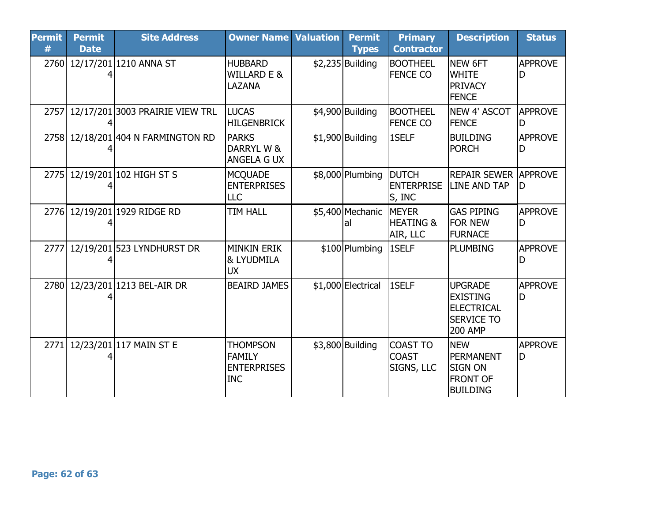| <b>Permit</b><br># | <b>Permit</b><br><b>Date</b> | <b>Site Address</b>                | <b>Owner Name Valuation</b>                                          | <b>Permit</b><br><b>Types</b> | <b>Primary</b><br><b>Contractor</b>               | <b>Description</b>                                                                              | <b>Status</b>        |
|--------------------|------------------------------|------------------------------------|----------------------------------------------------------------------|-------------------------------|---------------------------------------------------|-------------------------------------------------------------------------------------------------|----------------------|
|                    |                              | 2760 12/17/201 1210 ANNA ST        | <b>HUBBARD</b><br><b>WILLARD E &amp;</b><br>LAZANA                   | \$2,235 Building              | <b>BOOTHEEL</b><br><b>FENCE CO</b>                | NEW 6FT<br><b>WHITE</b><br><b>PRIVACY</b><br><b>FENCE</b>                                       | <b>APPROVE</b>       |
| 2757               |                              | 12/17/201 3003 PRAIRIE VIEW TRL    | <b>LUCAS</b><br><b>HILGENBRICK</b>                                   | \$4,900 Building              | <b>BOOTHEEL</b><br><b>FENCE CO</b>                | NEW 4' ASCOT<br><b>FENCE</b>                                                                    | <b>APPROVE</b>       |
|                    |                              | 2758 12/18/201 404 N FARMINGTON RD | <b>PARKS</b><br>DARRYL W &<br><b>ANGELA G UX</b>                     | \$1,900 Building              | 1SELF                                             | <b>BUILDING</b><br><b>PORCH</b>                                                                 | <b>APPROVE</b><br>D  |
| 2775               |                              | 12/19/201 102 HIGH ST S            | <b>MCQUADE</b><br><b>ENTERPRISES</b><br>LLC                          | \$8,000 Plumbing              | <b>DUTCH</b><br><b>ENTERPRISE</b><br>S, INC       | <b>REPAIR SEWER APPROVE</b><br><b>LINE AND TAP</b>                                              | ID                   |
|                    |                              | 2776 12/19/201 1929 RIDGE RD       | <b>TIM HALL</b>                                                      | \$5,400 Mechanic<br>lal       | <b>IMEYER</b><br><b>HEATING &amp;</b><br>AIR, LLC | lgas piping<br><b>FOR NEW</b><br><b>FURNACE</b>                                                 | <b>APPROVE</b><br>D  |
| 2777               |                              | 12/19/201 523 LYNDHURST DR         | <b>MINKIN ERIK</b><br>& LYUDMILA<br><b>UX</b>                        | \$100 Plumbing                | 1SELF                                             | PLUMBING                                                                                        | <b>APPROVE</b>       |
| 2780               |                              | 12/23/201 1213 BEL-AIR DR          | <b>BEAIRD JAMES</b>                                                  | \$1,000 Electrical            | 1SELF                                             | <b>UPGRADE</b><br><b>EXISTING</b><br><b>IELECTRICAL</b><br><b>ISERVICE TO</b><br><b>200 AMP</b> | <b>APPROVE</b><br>D  |
| 2771               |                              | 12/23/201 117 MAIN ST E            | <b>THOMPSON</b><br><b>FAMILY</b><br><b>ENTERPRISES</b><br><b>INC</b> | \$3,800 Building              | <b>COAST TO</b><br><b>COAST</b><br>SIGNS, LLC     | <b>NEW</b><br>PERMANENT<br><b>SIGN ON</b><br><b>FRONT OF</b><br><b>BUILDING</b>                 | <b>APPROVE</b><br>ID |